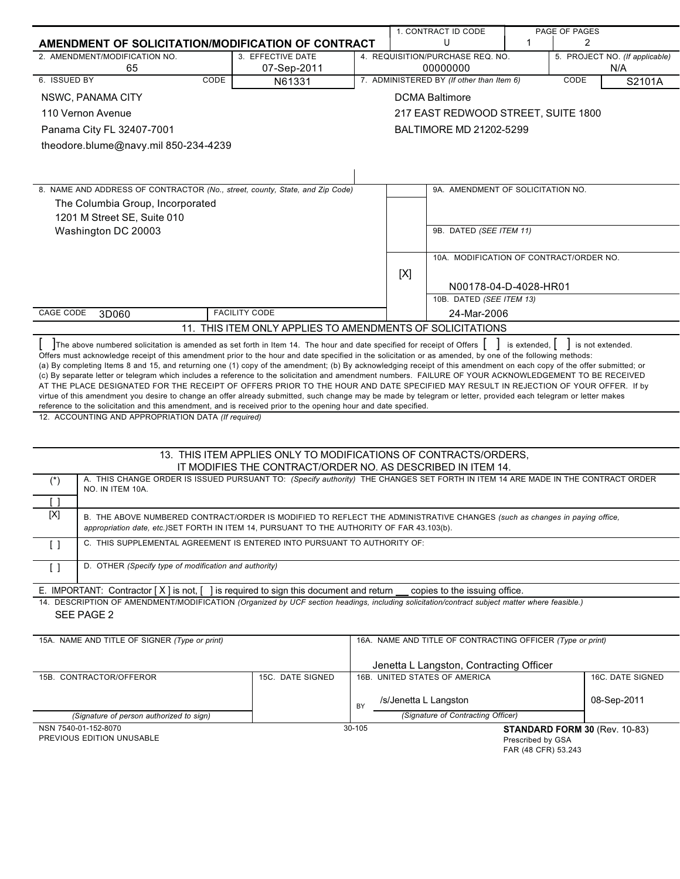|                                                                                                                                                                                                                                                                                                                                     |                                                                  |        |                       | 1. CONTRACT ID CODE                                        |                | PAGE OF PAGES                  |
|-------------------------------------------------------------------------------------------------------------------------------------------------------------------------------------------------------------------------------------------------------------------------------------------------------------------------------------|------------------------------------------------------------------|--------|-----------------------|------------------------------------------------------------|----------------|--------------------------------|
| AMENDMENT OF SOLICITATION/MODIFICATION OF CONTRACT                                                                                                                                                                                                                                                                                  |                                                                  |        |                       | U<br>1<br>2                                                |                |                                |
| 2. AMENDMENT/MODIFICATION NO.                                                                                                                                                                                                                                                                                                       | 3. EFFECTIVE DATE                                                |        |                       | 4. REQUISITION/PURCHASE REQ. NO.                           |                | 5. PROJECT NO. (If applicable) |
| 65<br>6. ISSUED BY<br>CODE                                                                                                                                                                                                                                                                                                          | 07-Sep-2011                                                      |        |                       | 00000000<br>7. ADMINISTERED BY (If other than Item 6)      |                | N/A<br>CODE                    |
|                                                                                                                                                                                                                                                                                                                                     | N61331                                                           |        |                       |                                                            |                | S2101A                         |
| NSWC, PANAMA CITY                                                                                                                                                                                                                                                                                                                   |                                                                  |        |                       | <b>DCMA Baltimore</b>                                      |                |                                |
| 110 Vernon Avenue                                                                                                                                                                                                                                                                                                                   |                                                                  |        |                       | 217 EAST REDWOOD STREET, SUITE 1800                        |                |                                |
| Panama City FL 32407-7001                                                                                                                                                                                                                                                                                                           |                                                                  |        |                       | BALTIMORE MD 21202-5299                                    |                |                                |
| theodore.blume@navy.mil 850-234-4239                                                                                                                                                                                                                                                                                                |                                                                  |        |                       |                                                            |                |                                |
|                                                                                                                                                                                                                                                                                                                                     |                                                                  |        |                       |                                                            |                |                                |
|                                                                                                                                                                                                                                                                                                                                     |                                                                  |        |                       |                                                            |                |                                |
| 8. NAME AND ADDRESS OF CONTRACTOR (No., street, county, State, and Zip Code)                                                                                                                                                                                                                                                        |                                                                  |        |                       | 9A. AMENDMENT OF SOLICITATION NO.                          |                |                                |
| The Columbia Group, Incorporated                                                                                                                                                                                                                                                                                                    |                                                                  |        |                       |                                                            |                |                                |
| 1201 M Street SE, Suite 010                                                                                                                                                                                                                                                                                                         |                                                                  |        |                       |                                                            |                |                                |
| Washington DC 20003                                                                                                                                                                                                                                                                                                                 |                                                                  |        |                       | 9B. DATED (SEE ITEM 11)                                    |                |                                |
|                                                                                                                                                                                                                                                                                                                                     |                                                                  |        |                       |                                                            |                |                                |
|                                                                                                                                                                                                                                                                                                                                     |                                                                  |        |                       | 10A. MODIFICATION OF CONTRACT/ORDER NO.                    |                |                                |
|                                                                                                                                                                                                                                                                                                                                     |                                                                  |        | [X]                   |                                                            |                |                                |
|                                                                                                                                                                                                                                                                                                                                     |                                                                  |        |                       | N00178-04-D-4028-HR01                                      |                |                                |
|                                                                                                                                                                                                                                                                                                                                     |                                                                  |        |                       | 10B. DATED (SEE ITEM 13)                                   |                |                                |
| CAGE CODE<br>3D060                                                                                                                                                                                                                                                                                                                  | <b>FACILITY CODE</b>                                             |        |                       | 24-Mar-2006                                                |                |                                |
|                                                                                                                                                                                                                                                                                                                                     | 11. THIS ITEM ONLY APPLIES TO AMENDMENTS OF SOLICITATIONS        |        |                       |                                                            |                |                                |
| The above numbered solicitation is amended as set forth in Item 14. The hour and date specified for receipt of Offers                                                                                                                                                                                                               |                                                                  |        |                       |                                                            | is extended, I | is not extended.               |
| Offers must acknowledge receipt of this amendment prior to the hour and date specified in the solicitation or as amended, by one of the following methods:<br>(a) By completing Items 8 and 15, and returning one (1) copy of the amendment; (b) By acknowledging receipt of this amendment on each copy of the offer submitted; or |                                                                  |        |                       |                                                            |                |                                |
| (c) By separate letter or telegram which includes a reference to the solicitation and amendment numbers. FAILURE OF YOUR ACKNOWLEDGEMENT TO BE RECEIVED                                                                                                                                                                             |                                                                  |        |                       |                                                            |                |                                |
| AT THE PLACE DESIGNATED FOR THE RECEIPT OF OFFERS PRIOR TO THE HOUR AND DATE SPECIFIED MAY RESULT IN REJECTION OF YOUR OFFER. If by                                                                                                                                                                                                 |                                                                  |        |                       |                                                            |                |                                |
| virtue of this amendment you desire to change an offer already submitted, such change may be made by telegram or letter, provided each telegram or letter makes<br>reference to the solicitation and this amendment, and is received prior to the opening hour and date specified.                                                  |                                                                  |        |                       |                                                            |                |                                |
| 12. ACCOUNTING AND APPROPRIATION DATA (If required)                                                                                                                                                                                                                                                                                 |                                                                  |        |                       |                                                            |                |                                |
|                                                                                                                                                                                                                                                                                                                                     |                                                                  |        |                       |                                                            |                |                                |
|                                                                                                                                                                                                                                                                                                                                     |                                                                  |        |                       |                                                            |                |                                |
|                                                                                                                                                                                                                                                                                                                                     | 13. THIS ITEM APPLIES ONLY TO MODIFICATIONS OF CONTRACTS/ORDERS, |        |                       |                                                            |                |                                |
| A. THIS CHANGE ORDER IS ISSUED PURSUANT TO: (Specify authority) THE CHANGES SET FORTH IN ITEM 14 ARE MADE IN THE CONTRACT ORDER<br>$(*)$                                                                                                                                                                                            | IT MODIFIES THE CONTRACT/ORDER NO. AS DESCRIBED IN ITEM 14.      |        |                       |                                                            |                |                                |
| NO. IN ITEM 10A.                                                                                                                                                                                                                                                                                                                    |                                                                  |        |                       |                                                            |                |                                |
| Γl                                                                                                                                                                                                                                                                                                                                  |                                                                  |        |                       |                                                            |                |                                |
| [X]<br>B. THE ABOVE NUMBERED CONTRACT/ORDER IS MODIFIED TO REFLECT THE ADMINISTRATIVE CHANGES (such as changes in paying office,                                                                                                                                                                                                    |                                                                  |        |                       |                                                            |                |                                |
| appropriation date, etc.) SET FORTH IN ITEM 14, PURSUANT TO THE AUTHORITY OF FAR 43.103(b).                                                                                                                                                                                                                                         |                                                                  |        |                       |                                                            |                |                                |
| C. THIS SUPPLEMENTAL AGREEMENT IS ENTERED INTO PURSUANT TO AUTHORITY OF:<br>$\lceil$ $\rceil$                                                                                                                                                                                                                                       |                                                                  |        |                       |                                                            |                |                                |
| D. OTHER (Specify type of modification and authority)<br>$\lceil$                                                                                                                                                                                                                                                                   |                                                                  |        |                       |                                                            |                |                                |
|                                                                                                                                                                                                                                                                                                                                     |                                                                  |        |                       |                                                            |                |                                |
| E. IMPORTANT: Contractor $[X]$ is not, $[$<br>14. DESCRIPTION OF AMENDMENT/MODIFICATION (Organized by UCF section headings, including solicitation/contract subject matter where feasible.)                                                                                                                                         | is required to sign this document and return                     |        |                       | copies to the issuing office.                              |                |                                |
| SEE PAGE 2                                                                                                                                                                                                                                                                                                                          |                                                                  |        |                       |                                                            |                |                                |
|                                                                                                                                                                                                                                                                                                                                     |                                                                  |        |                       |                                                            |                |                                |
| 15A. NAME AND TITLE OF SIGNER (Type or print)                                                                                                                                                                                                                                                                                       |                                                                  |        |                       | 16A. NAME AND TITLE OF CONTRACTING OFFICER (Type or print) |                |                                |
|                                                                                                                                                                                                                                                                                                                                     |                                                                  |        |                       |                                                            |                |                                |
|                                                                                                                                                                                                                                                                                                                                     |                                                                  |        |                       | Jenetta L Langston, Contracting Officer                    |                |                                |
| 15B. CONTRACTOR/OFFEROR                                                                                                                                                                                                                                                                                                             | 15C. DATE SIGNED                                                 |        |                       | 16B. UNITED STATES OF AMERICA                              |                | 16C. DATE SIGNED               |
|                                                                                                                                                                                                                                                                                                                                     |                                                                  |        |                       |                                                            |                | 08-Sep-2011                    |
|                                                                                                                                                                                                                                                                                                                                     |                                                                  | BY     | /s/Jenetta L Langston |                                                            |                |                                |
| (Signature of person authorized to sign)<br>NSN 7540-01-152-8070                                                                                                                                                                                                                                                                    |                                                                  | 30-105 |                       | (Signature of Contracting Officer)                         |                |                                |
| PREVIOUS EDITION UNUSABLE                                                                                                                                                                                                                                                                                                           | STANDARD FORM 30 (Rev. 10-83)<br>Prescribed by GSA               |        |                       |                                                            |                |                                |

FAR (48 CFR) 53.243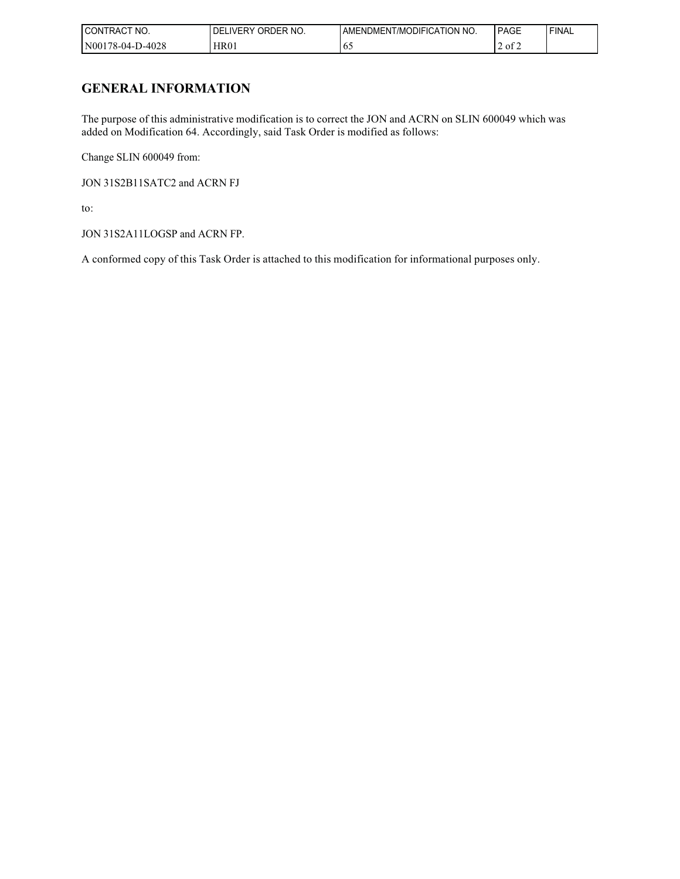| NO.<br>$\sim$<br><b>CONTRACT</b> | ORDER NO.<br><b>DELIVERY</b> | AMENDMENT/MODIFICATION NO. | PAGE                | 'FINAL |
|----------------------------------|------------------------------|----------------------------|---------------------|--------|
| N00178-04-D-4028                 | <b>HR01</b>                  | 02                         | $\sim$<br>ot 2<br>∸ |        |

## **GENERAL INFORMATION**

The purpose of this administrative modification is to correct the JON and ACRN on SLIN 600049 which was added on Modification 64. Accordingly, said Task Order is modified as follows:

Change SLIN 600049 from:

JON 31S2B11SATC2 and ACRN FJ

to:

JON 31S2A11LOGSP and ACRN FP.

A conformed copy of this Task Order is attached to this modification for informational purposes only.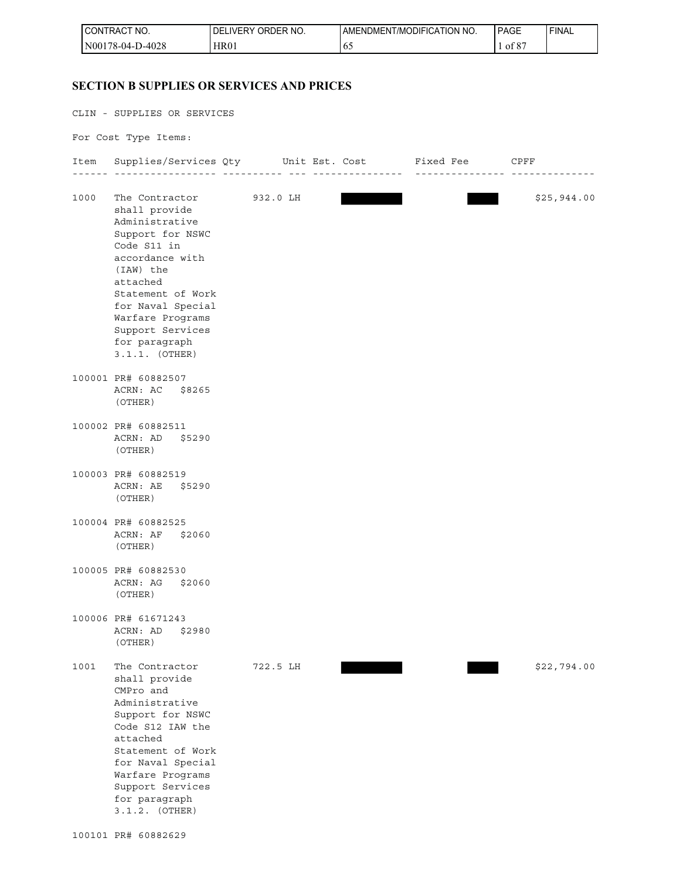| CONTRACT NO.          | ORDER NO.<br><b>IVERY</b><br>DELI | AMENDMENT/MODIFICATION NO. | <b>PAGE</b>          | ' FINAL |
|-----------------------|-----------------------------------|----------------------------|----------------------|---------|
| 0-4028<br>N00178-04-L | <b>HR01</b>                       | 02                         | 0°،<br>οt<br>$\circ$ |         |

## **SECTION B SUPPLIES OR SERVICES AND PRICES SECTION B SUPPLIES OR SERVICES AND PRICES**

CLIN - SUPPLIES OR SERVICES For Cost Type Items: Item Supplies/Services Qty Unit Est. Cost Fixed Fee CPFF ------ ----------------- ---------- --- --------------- --------------- -------------- 1000 The Contractor 932.0 LH \$25,944.00 shall provide Administrative Support for NSWC Code S11 in accordance with (IAW) the attached Statement of Work for Naval Special Warfare Programs Support Services for paragraph 3.1.1. (OTHER) 100001 PR# 60882507 ACRN: AC \$8265 (OTHER) 100002 PR# 60882511 ACRN: AD \$5290 (OTHER) 100003 PR# 60882519 ACRN: AE \$5290 (OTHER) 100004 PR# 60882525 ACRN: AF \$2060 (OTHER) 100005 PR# 60882530 ACRN: AG \$2060 (OTHER) 100006 PR# 61671243 ACRN: AD \$2980 (OTHER) 1001 The Contractor 722.5 LH \$22,794.00 shall provide CMPro and Administrative Support for NSWC Code S12 IAW the attached Statement of Work for Naval Special Warfare Programs Support Services for paragraph

3.1.2. (OTHER)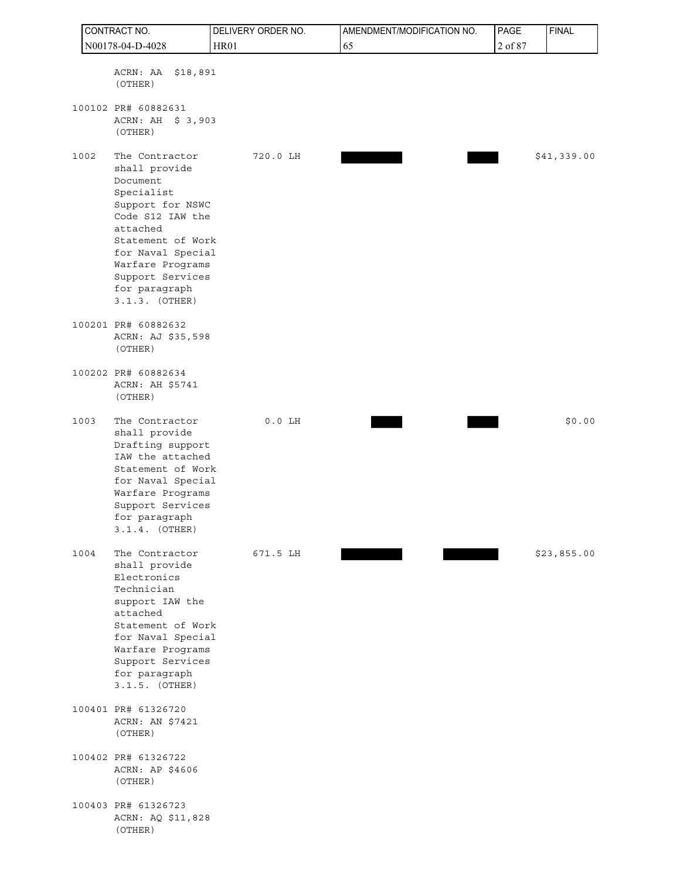|      | CONTRACT NO.                                                                                                                                                                                                                         | DELIVERY ORDER NO. | AMENDMENT/MODIFICATION NO. | PAGE    | <b>FINAL</b> |
|------|--------------------------------------------------------------------------------------------------------------------------------------------------------------------------------------------------------------------------------------|--------------------|----------------------------|---------|--------------|
|      | N00178-04-D-4028                                                                                                                                                                                                                     | <b>HR01</b>        | 65                         | 2 of 87 |              |
|      | ACRN: AA<br>\$18,891<br>(OTHER)                                                                                                                                                                                                      |                    |                            |         |              |
|      | 100102 PR# 60882631<br>ACRN: AH \$ 3,903<br>(OTHER)                                                                                                                                                                                  |                    |                            |         |              |
| 1002 | The Contractor<br>shall provide<br>Document<br>Specialist<br>Support for NSWC<br>Code S12 IAW the<br>attached<br>Statement of Work<br>for Naval Special<br>Warfare Programs<br>Support Services<br>for paragraph<br>$3.1.3.$ (OTHER) | 720.0 LH           |                            |         | \$41,339.00  |
|      | 100201 PR# 60882632<br>ACRN: AJ \$35,598<br>(OTHER)                                                                                                                                                                                  |                    |                            |         |              |
|      | 100202 PR# 60882634<br>ACRN: AH \$5741<br>(OTHER)                                                                                                                                                                                    |                    |                            |         |              |
| 1003 | The Contractor<br>shall provide<br>Drafting support<br>IAW the attached<br>Statement of Work<br>for Naval Special<br>Warfare Programs<br>Support Services<br>for paragraph<br>$3.1.4.$ (OTHER)                                       | $0.0$ LH           |                            |         | \$0.00       |
| 1004 | The Contractor<br>shall provide<br>Electronics<br>Technician<br>support IAW the<br>attached<br>Statement of Work<br>for Naval Special<br>Warfare Programs<br>Support Services<br>for paragraph<br>$3.1.5.$ (OTHER)                   | 671.5 LH           |                            |         | \$23,855.00  |
|      | 100401 PR# 61326720<br>ACRN: AN \$7421<br>(OTHER)                                                                                                                                                                                    |                    |                            |         |              |
|      | 100402 PR# 61326722<br>ACRN: AP \$4606<br>(OTHER)                                                                                                                                                                                    |                    |                            |         |              |
|      | 100403 PR# 61326723<br>ACRN: AQ \$11,828<br>(OTHER)                                                                                                                                                                                  |                    |                            |         |              |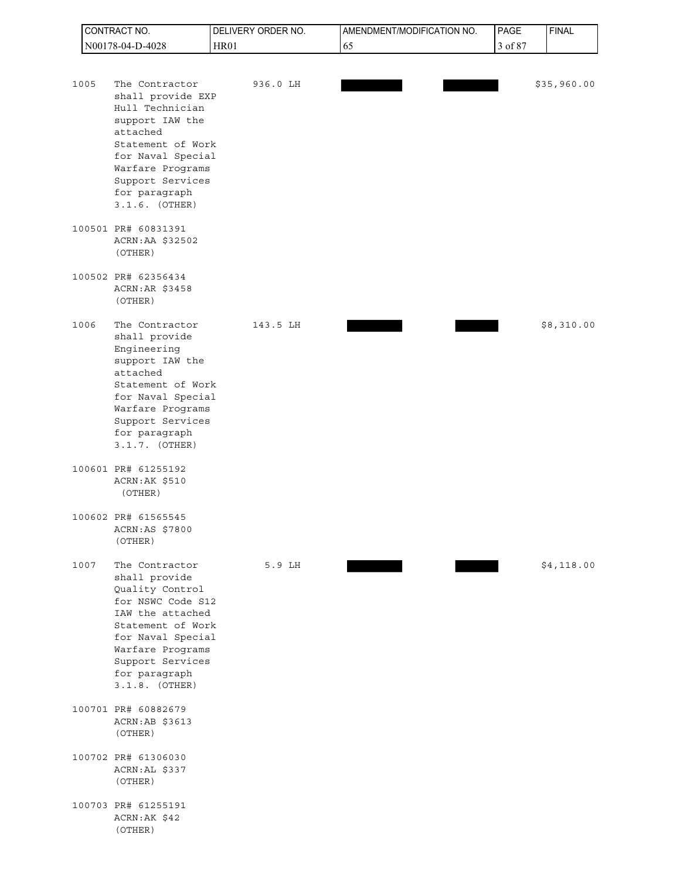|      | CONTRACT NO.                                                                                                                                                                                                       | DELIVERY ORDER NO. | AMENDMENT/MODIFICATION NO. | PAGE    | <b>FINAL</b> |
|------|--------------------------------------------------------------------------------------------------------------------------------------------------------------------------------------------------------------------|--------------------|----------------------------|---------|--------------|
|      | N00178-04-D-4028                                                                                                                                                                                                   | <b>HR01</b>        | 65                         | 3 of 87 |              |
| 1005 | The Contractor<br>shall provide EXP<br>Hull Technician<br>support IAW the<br>attached<br>Statement of Work<br>for Naval Special<br>Warfare Programs<br>Support Services<br>for paragraph<br>$3.1.6.$ (OTHER)       | 936.0 LH           |                            |         | \$35,960.00  |
|      | 100501 PR# 60831391<br>ACRN:AA \$32502<br>(OTHER)                                                                                                                                                                  |                    |                            |         |              |
|      | 100502 PR# 62356434<br>ACRN: AR \$3458<br>(OTHER)                                                                                                                                                                  |                    |                            |         |              |
| 1006 | The Contractor<br>shall provide<br>Engineering<br>support IAW the<br>attached<br>Statement of Work<br>for Naval Special<br>Warfare Programs<br>Support Services<br>for paragraph<br>$3.1.7.$ (OTHER)               | 143.5 LH           |                            |         | \$8,310.00   |
|      | 100601 PR# 61255192<br>ACRN: AK \$510<br>(OTHER)                                                                                                                                                                   |                    |                            |         |              |
|      | 100602 PR# 61565545<br>ACRN:AS \$7800<br>(OTHER)                                                                                                                                                                   |                    |                            |         |              |
| 1007 | The Contractor<br>shall provide<br>Quality Control<br>for NSWC Code S12<br>IAW the attached<br>Statement of Work<br>for Naval Special<br>Warfare Programs<br>Support Services<br>for paragraph<br>$3.1.8.$ (OTHER) | 5.9 LH             |                            |         | \$4,118.00   |
|      | 100701 PR# 60882679<br>ACRN:AB \$3613<br>(OTHER)                                                                                                                                                                   |                    |                            |         |              |
|      | 100702 PR# 61306030<br>ACRN: AL \$337<br>(OTHER)                                                                                                                                                                   |                    |                            |         |              |
|      | 100703 PR# 61255191<br>ACRN:AK \$42<br>(OTHER)                                                                                                                                                                     |                    |                            |         |              |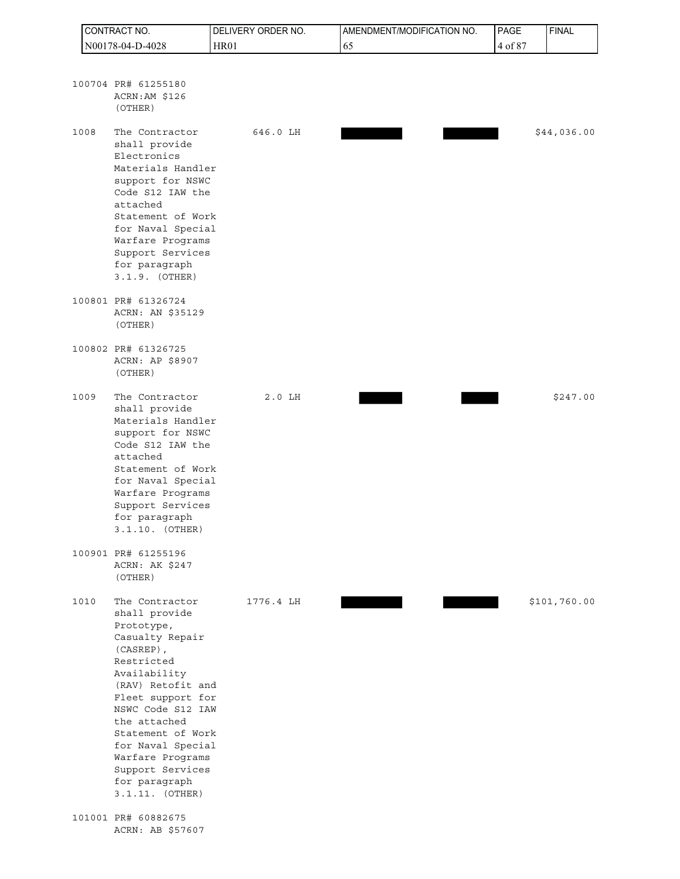| CONTRACT NO. |                                                                                                                                                                                                                                                                                                                             | DELIVERY ORDER NO. | AMENDMENT/MODIFICATION NO. | PAGE    | <b>FINAL</b> |
|--------------|-----------------------------------------------------------------------------------------------------------------------------------------------------------------------------------------------------------------------------------------------------------------------------------------------------------------------------|--------------------|----------------------------|---------|--------------|
|              | N00178-04-D-4028                                                                                                                                                                                                                                                                                                            | <b>HR01</b>        | 65                         | 4 of 87 |              |
|              | 100704 PR# 61255180<br>ACRN:AM \$126<br>(OTHER)                                                                                                                                                                                                                                                                             |                    |                            |         |              |
|              | The Contractor<br>1008<br>shall provide<br>Electronics<br>Materials Handler<br>support for NSWC<br>Code S12 IAW the<br>attached<br>Statement of Work<br>for Naval Special<br>Warfare Programs<br>Support Services<br>for paragraph<br>3.1.9. (OTHER)                                                                        | 646.0 LH           |                            |         | \$44,036.00  |
|              | 100801 PR# 61326724<br>ACRN: AN \$35129<br>(OTHER)                                                                                                                                                                                                                                                                          |                    |                            |         |              |
|              | 100802 PR# 61326725<br>ACRN: AP \$8907<br>(OTHER)                                                                                                                                                                                                                                                                           |                    |                            |         |              |
|              | 1009<br>The Contractor<br>shall provide<br>Materials Handler<br>support for NSWC<br>Code S12 IAW the<br>attached<br>Statement of Work<br>for Naval Special<br>Warfare Programs<br>Support Services<br>for paragraph<br>3.1.10. (OTHER)                                                                                      | $2.0$ LH           |                            |         | \$247.00     |
|              | 100901 PR# 61255196<br>ACRN: AK \$247<br>(OTHER)                                                                                                                                                                                                                                                                            |                    |                            |         |              |
|              | 1010<br>The Contractor<br>shall provide<br>Prototype,<br>Casualty Repair<br>$(CASREP)$ ,<br>Restricted<br>Availability<br>(RAV) Retofit and<br>Fleet support for<br>NSWC Code S12 IAW<br>the attached<br>Statement of Work<br>for Naval Special<br>Warfare Programs<br>Support Services<br>for paragraph<br>3.1.11. (OTHER) | 1776.4 LH          |                            |         | \$101,760.00 |
|              | 101001 PR# 60882675<br>ACRN: AB \$57607                                                                                                                                                                                                                                                                                     |                    |                            |         |              |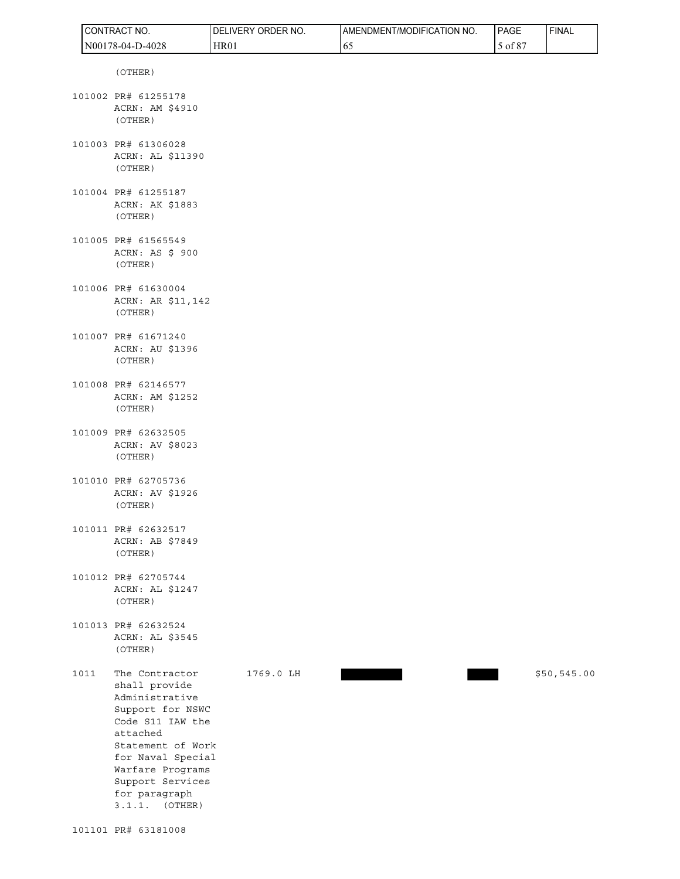|      | CONTRACT NO.                                                                                                                                                                                                                  | DELIVERY ORDER NO. | AMENDMENT/MODIFICATION NO. | PAGE    | <b>FINAL</b> |
|------|-------------------------------------------------------------------------------------------------------------------------------------------------------------------------------------------------------------------------------|--------------------|----------------------------|---------|--------------|
|      | N00178-04-D-4028                                                                                                                                                                                                              | HR01               | 65                         | 5 of 87 |              |
|      | (OTHER)                                                                                                                                                                                                                       |                    |                            |         |              |
|      | 101002 PR# 61255178<br>ACRN: AM \$4910<br>(OTHER)                                                                                                                                                                             |                    |                            |         |              |
|      | 101003 PR# 61306028<br>ACRN: AL \$11390<br>(OTHER)                                                                                                                                                                            |                    |                            |         |              |
|      | 101004 PR# 61255187<br>ACRN: AK \$1883<br>(OTHER)                                                                                                                                                                             |                    |                            |         |              |
|      | 101005 PR# 61565549<br>ACRN: AS \$ 900<br>(OTHER)                                                                                                                                                                             |                    |                            |         |              |
|      | 101006 PR# 61630004<br>ACRN: AR \$11,142<br>(OTHER)                                                                                                                                                                           |                    |                            |         |              |
|      | 101007 PR# 61671240<br>ACRN: AU \$1396<br>(OTHER)                                                                                                                                                                             |                    |                            |         |              |
|      | 101008 PR# 62146577<br>ACRN: AM \$1252<br>(OTHER)                                                                                                                                                                             |                    |                            |         |              |
|      | 101009 PR# 62632505<br>ACRN: AV \$8023<br>(OTHER)                                                                                                                                                                             |                    |                            |         |              |
|      | 101010 PR# 62705736<br>ACRN: AV \$1926<br>(OTHER)                                                                                                                                                                             |                    |                            |         |              |
|      | 101011 PR# 62632517<br>ACRN: AB \$7849<br>(OTHER)                                                                                                                                                                             |                    |                            |         |              |
|      | 101012 PR# 62705744<br>ACRN: AL \$1247<br>(OTHER)                                                                                                                                                                             |                    |                            |         |              |
|      | 101013 PR# 62632524<br>ACRN: AL \$3545<br>(OTHER)                                                                                                                                                                             |                    |                            |         |              |
| 1011 | The Contractor<br>shall provide<br>Administrative<br>Support for NSWC<br>Code S11 IAW the<br>attached<br>Statement of Work<br>for Naval Special<br>Warfare Programs<br>Support Services<br>for paragraph<br>(OTHER)<br>3.1.1. | 1769.0 LH          |                            |         | \$50,545.00  |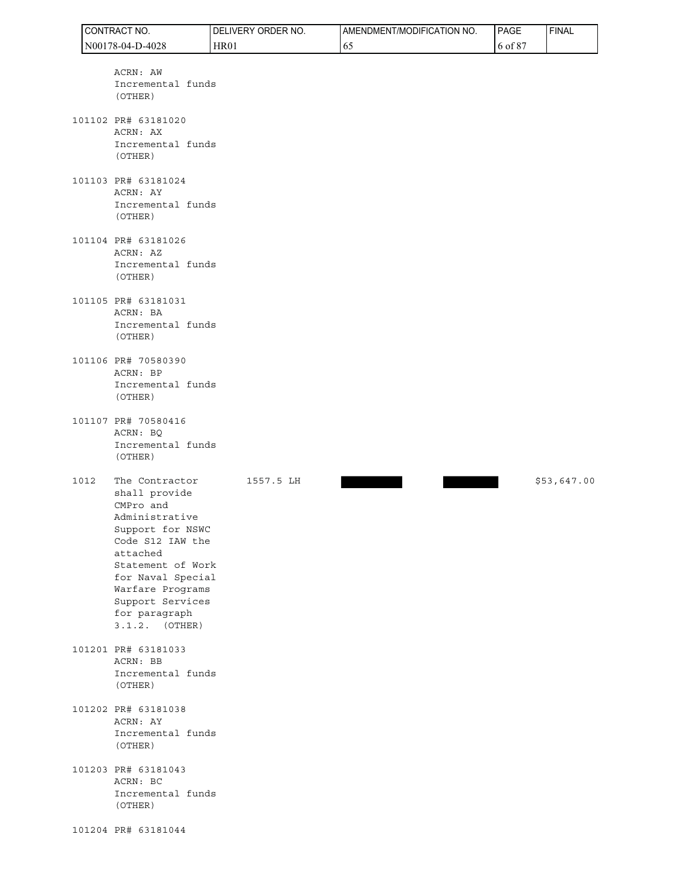|      | CONTRACT NO.                                                                                                                                                                                                                              | DELIVERY ORDER NO. | AMENDMENT/MODIFICATION NO. | PAGE    | <b>FINAL</b> |
|------|-------------------------------------------------------------------------------------------------------------------------------------------------------------------------------------------------------------------------------------------|--------------------|----------------------------|---------|--------------|
|      | N00178-04-D-4028                                                                                                                                                                                                                          | <b>HR01</b>        | 65                         | 6 of 87 |              |
|      | ACRN: AW<br>Incremental funds<br>(OTHER)<br>101102 PR# 63181020<br>ACRN: AX                                                                                                                                                               |                    |                            |         |              |
|      | Incremental funds<br>(OTHER)                                                                                                                                                                                                              |                    |                            |         |              |
|      | 101103 PR# 63181024<br>ACRN: AY<br>Incremental funds<br>(OTHER)                                                                                                                                                                           |                    |                            |         |              |
|      | 101104 PR# 63181026<br>ACRN: AZ<br>Incremental funds<br>(OTHER)                                                                                                                                                                           |                    |                            |         |              |
|      | 101105 PR# 63181031<br>ACRN: BA<br>Incremental funds<br>(OTHER)                                                                                                                                                                           |                    |                            |         |              |
|      | 101106 PR# 70580390<br>ACRN: BP<br>Incremental funds<br>(OTHER)                                                                                                                                                                           |                    |                            |         |              |
|      | 101107 PR# 70580416<br>ACRN: BQ<br>Incremental funds<br>(OTHER)                                                                                                                                                                           |                    |                            |         |              |
| 1012 | The Contractor<br>shall provide<br>CMPro and<br>Administrative<br>Support for NSWC<br>Code S12 IAW the<br>attached<br>Statement of Work<br>for Naval Special<br>Warfare Programs<br>Support Services<br>for paragraph<br>$3.1.2.$ (OTHER) | 1557.5 LH          |                            |         | \$53,647.00  |
|      | 101201 PR# 63181033<br>ACRN: BB<br>Incremental funds<br>(OTHER)                                                                                                                                                                           |                    |                            |         |              |
|      | 101202 PR# 63181038<br>ACRN: AY<br>Incremental funds<br>(OTHER)                                                                                                                                                                           |                    |                            |         |              |
|      | 101203 PR# 63181043<br>ACRN: BC<br>Incremental funds<br>(OTHER)                                                                                                                                                                           |                    |                            |         |              |
|      | 101204 PR# 63181044                                                                                                                                                                                                                       |                    |                            |         |              |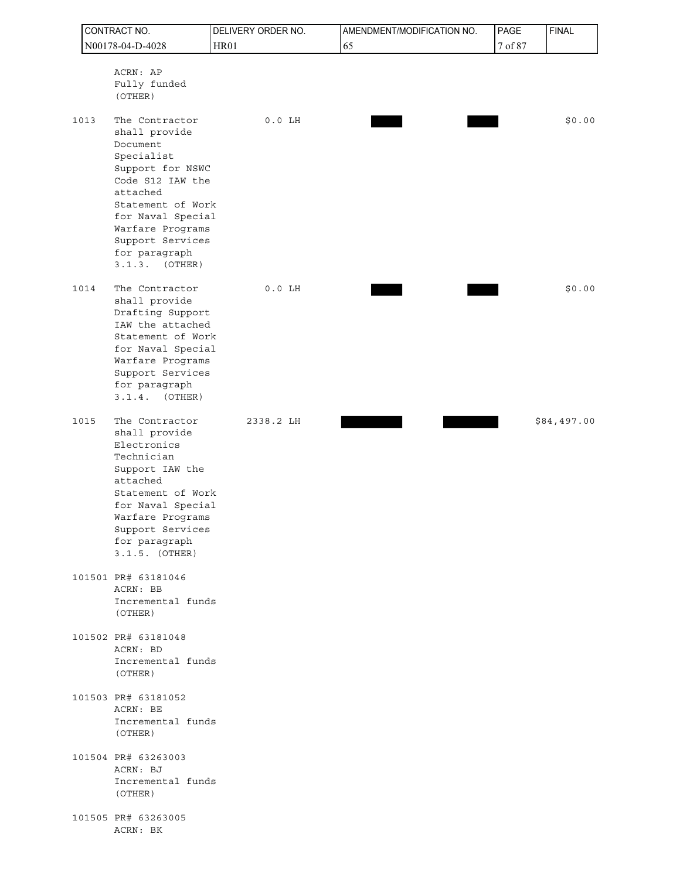|      | CONTRACT NO.                                                                                                                                                                                                                          | DELIVERY ORDER NO. | AMENDMENT/MODIFICATION NO. | PAGE    | <b>FINAL</b> |
|------|---------------------------------------------------------------------------------------------------------------------------------------------------------------------------------------------------------------------------------------|--------------------|----------------------------|---------|--------------|
|      | N00178-04-D-4028                                                                                                                                                                                                                      | <b>HR01</b>        | 65                         | 7 of 87 |              |
|      | ACRN: AP<br>Fully funded<br>(OTHER)                                                                                                                                                                                                   |                    |                            |         |              |
| 1013 | The Contractor<br>shall provide<br>Document<br>Specialist<br>Support for NSWC<br>Code S12 IAW the<br>attached<br>Statement of Work<br>for Naval Special<br>Warfare Programs<br>Support Services<br>for paragraph<br>(OTHER)<br>3.1.3. | $0.0$ LH           |                            |         | \$0.00       |
| 1014 | The Contractor<br>shall provide<br>Drafting Support<br>IAW the attached<br>Statement of Work<br>for Naval Special<br>Warfare Programs<br>Support Services<br>for paragraph<br>3.1.4.<br>(OTHER)                                       | $0.0$ LH           |                            |         | \$0.00       |
| 1015 | The Contractor<br>shall provide<br>Electronics<br>Technician<br>Support IAW the<br>attached<br>Statement of Work<br>for Naval Special<br>Warfare Programs<br>Support Services<br>for paragraph<br>$3.1.5.$ (OTHER)                    | 2338.2 LH          |                            |         | \$84,497.00  |
|      | 101501 PR# 63181046<br>ACRN: BB<br>Incremental funds<br>(OTHER)                                                                                                                                                                       |                    |                            |         |              |
|      | 101502 PR# 63181048<br>ACRN: BD<br>Incremental funds<br>(OTHER)                                                                                                                                                                       |                    |                            |         |              |
|      | 101503 PR# 63181052<br>ACRN: BE<br>Incremental funds<br>(OTHER)                                                                                                                                                                       |                    |                            |         |              |
|      | 101504 PR# 63263003<br>ACRN: BJ<br>Incremental funds<br>(OTHER)                                                                                                                                                                       |                    |                            |         |              |
|      | 101505 PR# 63263005<br>ACRN: BK                                                                                                                                                                                                       |                    |                            |         |              |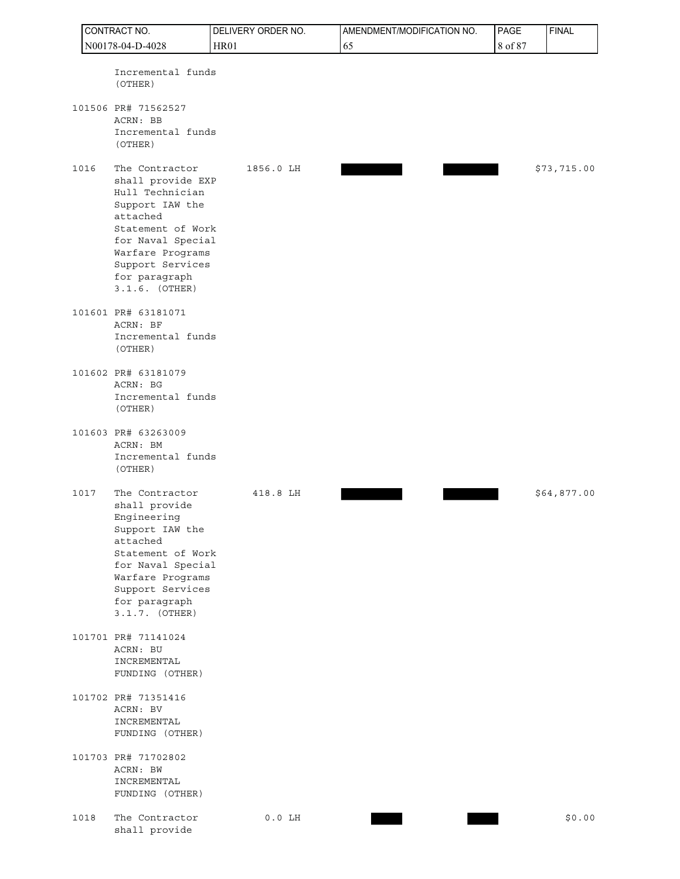| CONTRACT NO. |                                                                                                                                                                                                              | DELIVERY ORDER NO. | AMENDMENT/MODIFICATION NO. | PAGE    | <b>FINAL</b> |
|--------------|--------------------------------------------------------------------------------------------------------------------------------------------------------------------------------------------------------------|--------------------|----------------------------|---------|--------------|
|              | N00178-04-D-4028                                                                                                                                                                                             | <b>HR01</b>        | 65                         | 8 of 87 |              |
|              | Incremental funds<br>(OTHER)                                                                                                                                                                                 |                    |                            |         |              |
|              | 101506 PR# 71562527<br>ACRN: BB<br>Incremental funds<br>(OTHER)                                                                                                                                              |                    |                            |         |              |
| 1016         | The Contractor<br>shall provide EXP<br>Hull Technician<br>Support IAW the<br>attached<br>Statement of Work<br>for Naval Special<br>Warfare Programs<br>Support Services<br>for paragraph<br>$3.1.6.$ (OTHER) | 1856.0 LH          |                            |         | \$73,715.00  |
|              | 101601 PR# 63181071<br>ACRN: BF<br>Incremental funds<br>(OTHER)                                                                                                                                              |                    |                            |         |              |
|              | 101602 PR# 63181079<br>ACRN: BG<br>Incremental funds<br>(OTHER)                                                                                                                                              |                    |                            |         |              |
|              | 101603 PR# 63263009<br>ACRN: BM<br>Incremental funds<br>(OTHER)                                                                                                                                              |                    |                            |         |              |
| 1017         | The Contractor<br>shall provide<br>Engineering<br>Support IAW the<br>attached<br>Statement of Work<br>for Naval Special<br>Warfare Programs<br>Support Services<br>for paragraph<br>$3.1.7.$ (OTHER)         | 418.8 LH           |                            |         | \$64,877.00  |
|              | 101701 PR# 71141024<br>ACRN: BU<br>INCREMENTAL<br>FUNDING (OTHER)                                                                                                                                            |                    |                            |         |              |
|              | 101702 PR# 71351416<br>ACRN: BV<br>INCREMENTAL<br>FUNDING (OTHER)                                                                                                                                            |                    |                            |         |              |
|              | 101703 PR# 71702802<br>ACRN: BW<br>INCREMENTAL<br>FUNDING (OTHER)                                                                                                                                            |                    |                            |         |              |
| 1018         | The Contractor<br>shall provide                                                                                                                                                                              | $0.0$ LH           |                            |         | \$0.00       |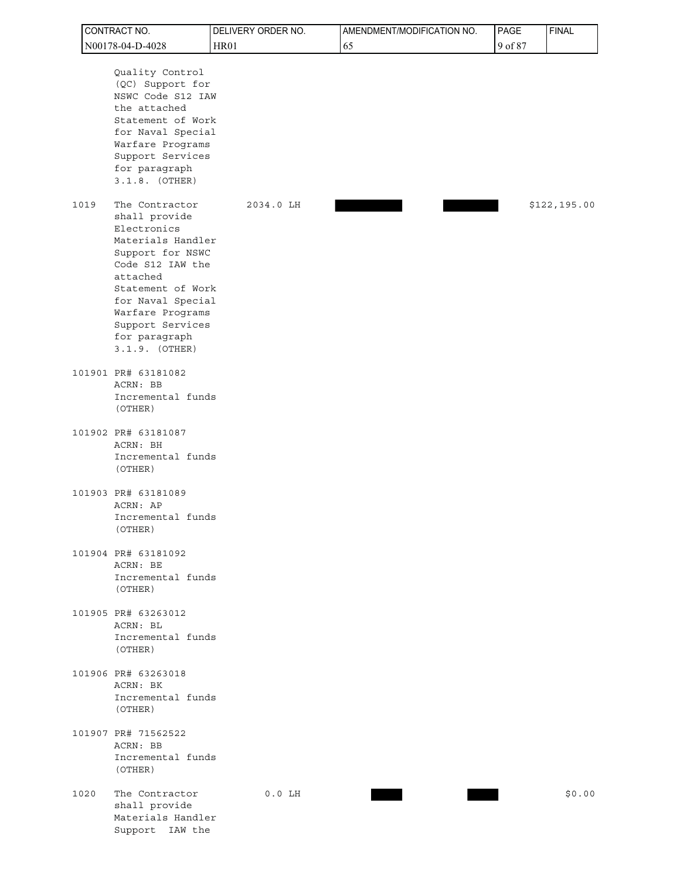|      | CONTRACT NO.                                                                                                                                                                                                                                 | DELIVERY ORDER NO. | AMENDMENT/MODIFICATION NO. | PAGE    | <b>FINAL</b> |
|------|----------------------------------------------------------------------------------------------------------------------------------------------------------------------------------------------------------------------------------------------|--------------------|----------------------------|---------|--------------|
|      | N00178-04-D-4028                                                                                                                                                                                                                             | <b>HR01</b>        | 65                         | 9 of 87 |              |
|      | Quality Control<br>(QC) Support for<br>NSWC Code S12 IAW<br>the attached<br>Statement of Work<br>for Naval Special<br>Warfare Programs<br>Support Services<br>for paragraph<br>$3.1.8.$ (OTHER)                                              |                    |                            |         |              |
| 1019 | The Contractor<br>shall provide<br>Electronics<br>Materials Handler<br>Support for NSWC<br>Code S12 IAW the<br>attached<br>Statement of Work<br>for Naval Special<br>Warfare Programs<br>Support Services<br>for paragraph<br>3.1.9. (OTHER) | 2034.0 LH          |                            |         | \$122,195.00 |
|      | 101901 PR# 63181082<br>ACRN: BB<br>Incremental funds<br>(OTHER)                                                                                                                                                                              |                    |                            |         |              |
|      | 101902 PR# 63181087<br>ACRN: BH<br>Incremental funds<br>(OTHER)                                                                                                                                                                              |                    |                            |         |              |
|      | 101903 PR# 63181089<br>ACRN: AP<br>Incremental funds<br>(OTHER)                                                                                                                                                                              |                    |                            |         |              |
|      | 101904 PR# 63181092<br>ACRN: BE<br>Incremental funds<br>(OTHER)                                                                                                                                                                              |                    |                            |         |              |
|      | 101905 PR# 63263012<br>ACRN: BL<br>Incremental funds<br>(OTHER)                                                                                                                                                                              |                    |                            |         |              |
|      | 101906 PR# 63263018<br>ACRN: BK<br>Incremental funds<br>(OTHER)                                                                                                                                                                              |                    |                            |         |              |
|      | 101907 PR# 71562522<br>ACRN: BB<br>Incremental funds<br>(OTHER)                                                                                                                                                                              |                    |                            |         |              |
| 1020 | The Contractor<br>shall provide<br>Materials Handler<br>Support IAW the                                                                                                                                                                      | $0.0$ LH           |                            |         | \$0.00       |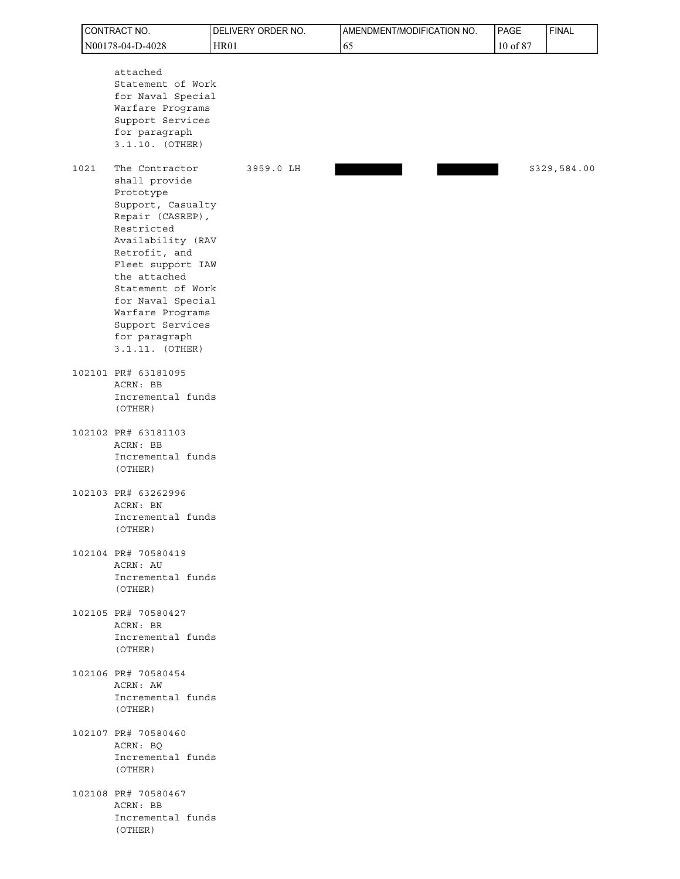| CONTRACT NO. |                                                                                                                                                                                                                                                                                                              | DELIVERY ORDER NO. | PAGE | <b>FINAL</b> |              |
|--------------|--------------------------------------------------------------------------------------------------------------------------------------------------------------------------------------------------------------------------------------------------------------------------------------------------------------|--------------------|------|--------------|--------------|
|              | N00178-04-D-4028                                                                                                                                                                                                                                                                                             | <b>HR01</b>        | 65   | 10 of 87     |              |
|              | attached<br>Statement of Work<br>for Naval Special<br>Warfare Programs<br>Support Services<br>for paragraph<br>3.1.10. (OTHER)                                                                                                                                                                               |                    |      |              |              |
|              | The Contractor<br>1021<br>shall provide<br>Prototype<br>Support, Casualty<br>Repair (CASREP),<br>Restricted<br>Availability (RAV<br>Retrofit, and<br>Fleet support IAW<br>the attached<br>Statement of Work<br>for Naval Special<br>Warfare Programs<br>Support Services<br>for paragraph<br>3.1.11. (OTHER) | 3959.0 LH          |      |              | \$329,584.00 |
|              | 102101 PR# 63181095<br>ACRN: BB<br>Incremental funds<br>(OTHER)                                                                                                                                                                                                                                              |                    |      |              |              |
|              | 102102 PR# 63181103<br>ACRN: BB<br>Incremental funds<br>(OTHER)                                                                                                                                                                                                                                              |                    |      |              |              |
|              | 102103 PR# 63262996<br>ACRN: BN<br>Incremental funds<br>(OTHER)                                                                                                                                                                                                                                              |                    |      |              |              |
|              | 102104 PR# 70580419<br>ACRN: AU<br>Incremental funds<br>(OTHER)                                                                                                                                                                                                                                              |                    |      |              |              |
|              | 102105 PR# 70580427<br>ACRN: BR<br>Incremental funds<br>(OTHER)                                                                                                                                                                                                                                              |                    |      |              |              |
|              | 102106 PR# 70580454<br>ACRN: AW<br>Incremental funds<br>(OTHER)                                                                                                                                                                                                                                              |                    |      |              |              |
|              | 102107 PR# 70580460<br>ACRN: BQ<br>Incremental funds<br>(OTHER)                                                                                                                                                                                                                                              |                    |      |              |              |
|              | 102108 PR# 70580467<br>ACRN: BB<br>Incremental funds<br>(OTHER)                                                                                                                                                                                                                                              |                    |      |              |              |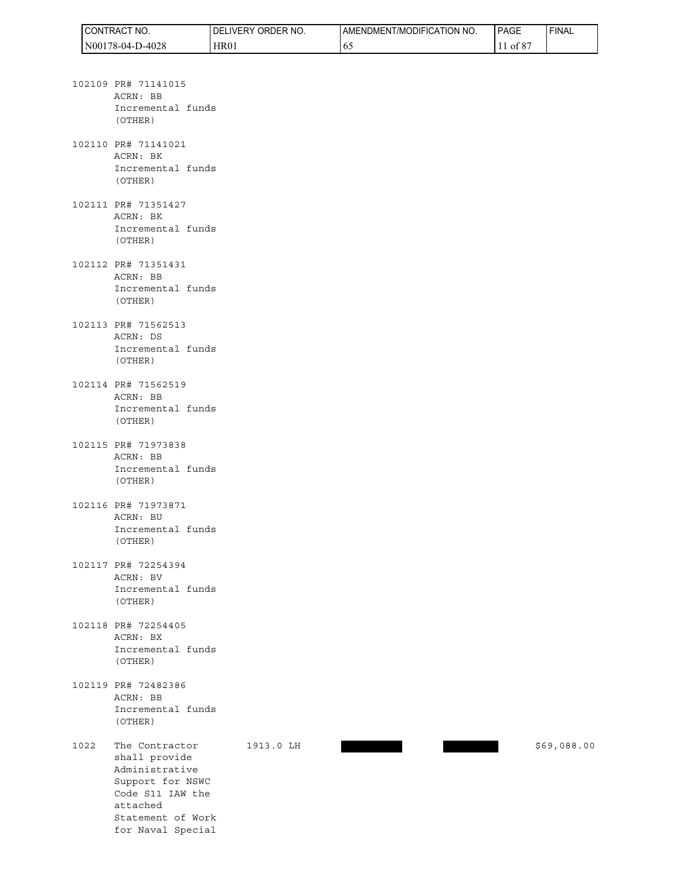| <b>I CONTRACT NO.</b> | DELIVERY ORDER<br>`NO. | AMENDMENT/MODIFICATION NO. | <b>PAGE</b> | <b>FINAL</b> |
|-----------------------|------------------------|----------------------------|-------------|--------------|
| N00178-04-D-4028      | HR01                   | $0 -$                      | ot 8        |              |

- 102109 PR# 71141015 ACRN: BB Incremental funds (OTHER)
- 102110 PR# 71141021 ACRN: BK Incremental funds (OTHER)
- 102111 PR# 71351427 ACRN: BK Incremental funds (OTHER)
- 102112 PR# 71351431 ACRN: BB Incremental funds (OTHER)
- 102113 PR# 71562513 ACRN: DS Incremental funds (OTHER)
- 102114 PR# 71562519 ACRN: BB Incremental funds (OTHER)
- 102115 PR# 71973838 ACRN: BB Incremental funds (OTHER)
- 102116 PR# 71973871 ACRN: BU Incremental funds (OTHER)
- 102117 PR# 72254394 ACRN: BV Incremental funds (OTHER)
- 102118 PR# 72254405 ACRN: BX Incremental funds (OTHER)
- 102119 PR# 72482386 ACRN: BB Incremental funds (OTHER)
- 1022 The Contractor 1913.0 LH  $$69,088.00$  shall provide Administrative Support for NSWC Code S11 IAW the attached Statement of Work for Naval Special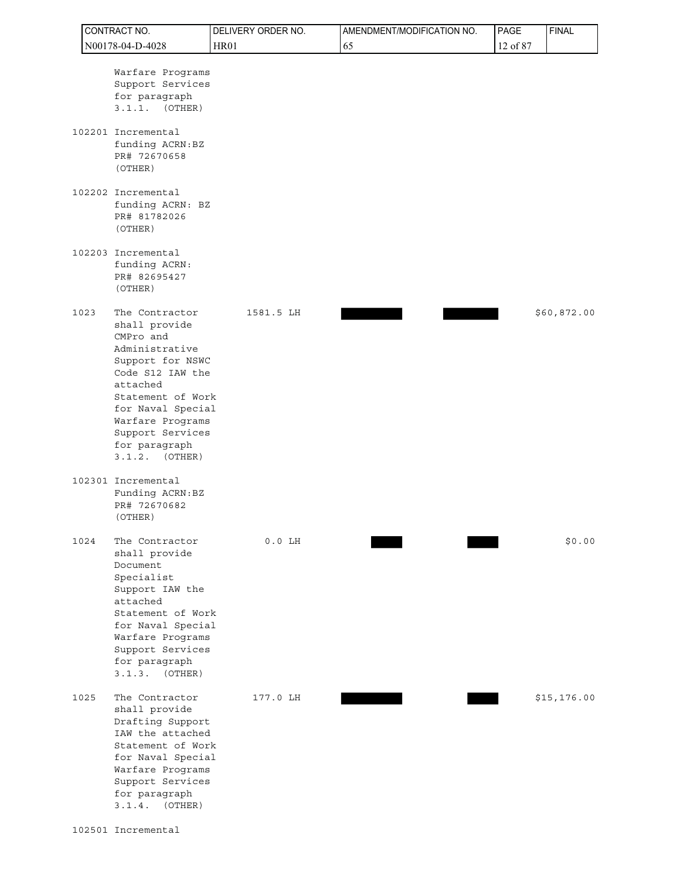| CONTRACT NO.                                                                                                                                                                                                                                      | DELIVERY ORDER NO. | AMENDMENT/MODIFICATION NO. | PAGE     | <b>FINAL</b> |
|---------------------------------------------------------------------------------------------------------------------------------------------------------------------------------------------------------------------------------------------------|--------------------|----------------------------|----------|--------------|
| N00178-04-D-4028                                                                                                                                                                                                                                  | <b>HR01</b>        | 65                         | 12 of 87 |              |
| Warfare Programs<br>Support Services<br>for paragraph<br>3.1.1.<br>(OTHER)<br>102201 Incremental<br>funding ACRN: BZ<br>PR# 72670658                                                                                                              |                    |                            |          |              |
| (OTHER)<br>102202 Incremental<br>funding ACRN: BZ<br>PR# 81782026<br>(OTHER)                                                                                                                                                                      |                    |                            |          |              |
| 102203 Incremental<br>funding ACRN:<br>PR# 82695427<br>(OTHER)                                                                                                                                                                                    |                    |                            |          |              |
| 1023<br>The Contractor<br>shall provide<br>CMPro and<br>Administrative<br>Support for NSWC<br>Code S12 IAW the<br>attached<br>Statement of Work<br>for Naval Special<br>Warfare Programs<br>Support Services<br>for paragraph<br>$3.1.2.$ (OTHER) | 1581.5 LH          |                            |          | \$60,872.00  |
| 102301 Incremental<br>Funding ACRN: BZ<br>PR# 72670682<br>(OTHER)                                                                                                                                                                                 |                    |                            |          |              |
| The Contractor<br>1024<br>shall provide<br>Document<br>Specialist<br>Support IAW the<br>attached<br>Statement of Work<br>for Naval Special<br>Warfare Programs<br>Support Services<br>for paragraph<br>3.1.3.<br>(OTHER)                          | $0.0$ LH           |                            |          | \$0.00       |
| 1025<br>The Contractor<br>shall provide<br>Drafting Support<br>IAW the attached<br>Statement of Work<br>for Naval Special<br>Warfare Programs<br>Support Services<br>for paragraph<br>3.1.4.<br>(OTHER)                                           | 177.0 LH           |                            |          | \$15, 176.00 |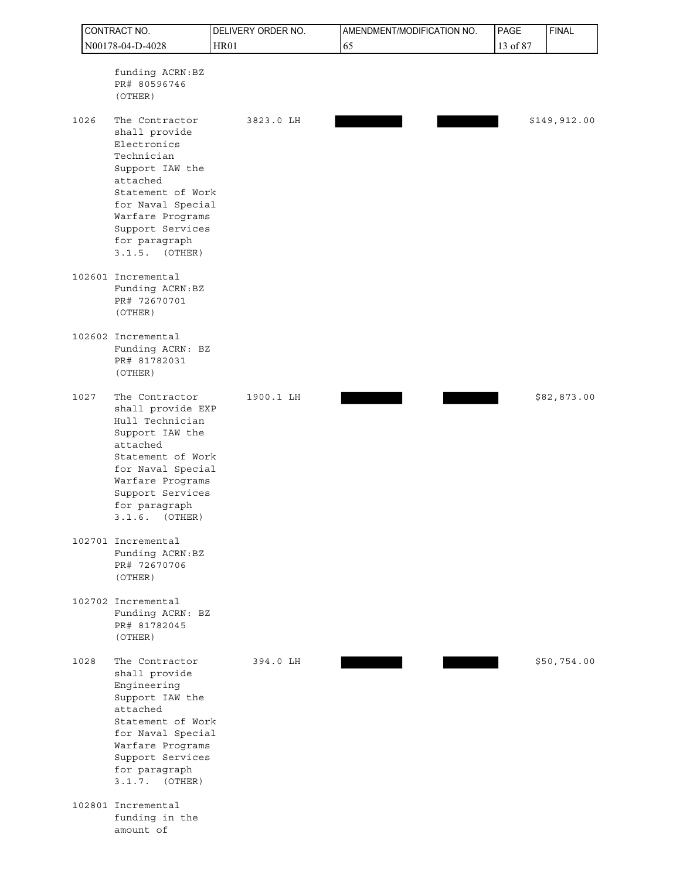| CONTRACT NO. |  |                                                                                                                                                                                                                     | DELIVERY ORDER NO. | AMENDMENT/MODIFICATION NO. | PAGE     | <b>FINAL</b> |
|--------------|--|---------------------------------------------------------------------------------------------------------------------------------------------------------------------------------------------------------------------|--------------------|----------------------------|----------|--------------|
|              |  | N00178-04-D-4028                                                                                                                                                                                                    | <b>HR01</b>        | 65                         | 13 of 87 |              |
|              |  | funding ACRN: BZ<br>PR# 80596746<br>(OTHER)                                                                                                                                                                         |                    |                            |          |              |
| 1026         |  | The Contractor<br>shall provide<br>Electronics<br>Technician<br>Support IAW the<br>attached<br>Statement of Work<br>for Naval Special<br>Warfare Programs<br>Support Services<br>for paragraph<br>3.1.5.<br>(OTHER) | 3823.0 LH          |                            |          | \$149,912.00 |
|              |  | 102601 Incremental<br>Funding ACRN: BZ<br>PR# 72670701<br>(OTHER)                                                                                                                                                   |                    |                            |          |              |
|              |  | 102602 Incremental<br>Funding ACRN: BZ<br>PR# 81782031<br>(OTHER)                                                                                                                                                   |                    |                            |          |              |
| 1027         |  | The Contractor<br>shall provide EXP<br>Hull Technician<br>Support IAW the<br>attached<br>Statement of Work<br>for Naval Special<br>Warfare Programs<br>Support Services<br>for paragraph<br>(OTHER)<br>3.1.6.       | 1900.1 LH          |                            |          | \$82,873.00  |
|              |  | 102701 Incremental<br>Funding ACRN:BZ<br>PR# 72670706<br>(OTHER)                                                                                                                                                    |                    |                            |          |              |
|              |  | 102702 Incremental<br>Funding ACRN: BZ<br>PR# 81782045<br>(OTHER)                                                                                                                                                   |                    |                            |          |              |
| 1028         |  | The Contractor<br>shall provide<br>Engineering<br>Support IAW the<br>attached<br>Statement of Work<br>for Naval Special<br>Warfare Programs<br>Support Services<br>for paragraph<br>$3.1.7.$ (OTHER)                | 394.0 LH           |                            |          | \$50,754.00  |
|              |  | 102801 Incremental<br>funding in the<br>amount of                                                                                                                                                                   |                    |                            |          |              |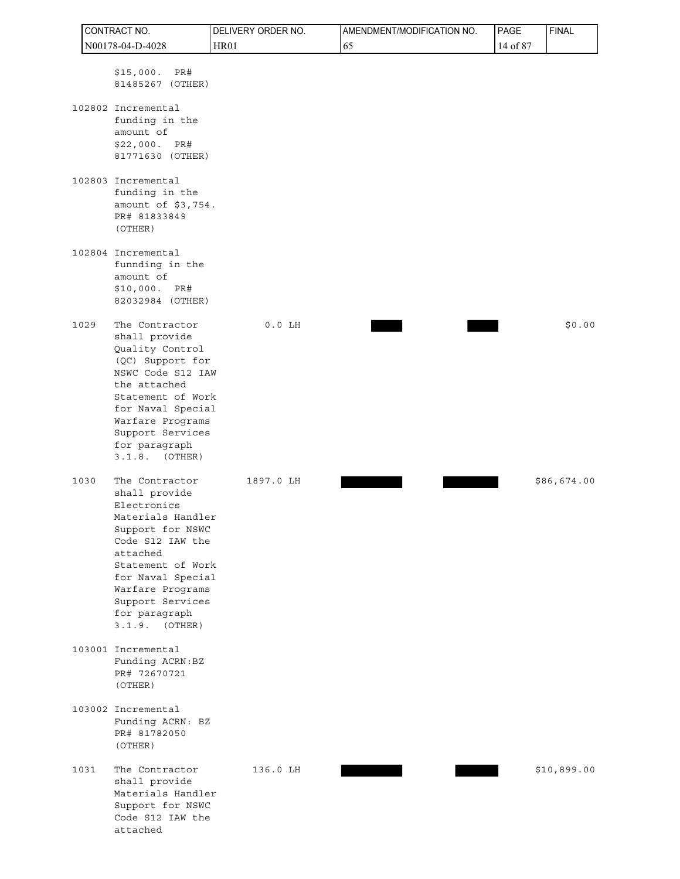| CONTRACT NO. |                                                                                                                                                                                                                                                | DELIVERY ORDER NO. | AMENDMENT/MODIFICATION NO. | PAGE     | <b>FINAL</b> |
|--------------|------------------------------------------------------------------------------------------------------------------------------------------------------------------------------------------------------------------------------------------------|--------------------|----------------------------|----------|--------------|
|              | N00178-04-D-4028                                                                                                                                                                                                                               | <b>HR01</b>        | 65                         | 14 of 87 |              |
|              | \$15,000.<br>PR#<br>81485267 (OTHER)                                                                                                                                                                                                           |                    |                            |          |              |
|              | 102802 Incremental<br>funding in the<br>amount of<br>\$22,000.<br>PR#<br>81771630 (OTHER)                                                                                                                                                      |                    |                            |          |              |
|              | 102803 Incremental<br>funding in the<br>amount of \$3,754.<br>PR# 81833849<br>(OTHER)                                                                                                                                                          |                    |                            |          |              |
|              | 102804 Incremental<br>funnding in the<br>amount of<br>\$10,000. PR#<br>82032984 (OTHER)                                                                                                                                                        |                    |                            |          |              |
| 1029         | The Contractor<br>shall provide<br>Quality Control<br>(QC) Support for<br>NSWC Code S12 IAW<br>the attached<br>Statement of Work<br>for Naval Special<br>Warfare Programs<br>Support Services<br>for paragraph<br>$3.1.8.$ (OTHER)             | $0.0$ LH           |                            |          | \$0.00       |
| 1030         | The Contractor<br>shall provide<br>Electronics<br>Materials Handler<br>Support for NSWC<br>Code S12 IAW the<br>attached<br>Statement of Work<br>for Naval Special<br>Warfare Programs<br>Support Services<br>for paragraph<br>$3.1.9.$ (OTHER) | 1897.0 LH          |                            |          | \$86,674.00  |
|              | 103001 Incremental<br>Funding ACRN:BZ<br>PR# 72670721<br>(OTHER)                                                                                                                                                                               |                    |                            |          |              |
|              | 103002 Incremental<br>Funding ACRN: BZ<br>PR# 81782050<br>(OTHER)                                                                                                                                                                              |                    |                            |          |              |
| 1031         | The Contractor<br>shall provide<br>Materials Handler<br>Support for NSWC<br>Code S12 IAW the<br>attached                                                                                                                                       | 136.0 LH           |                            |          | \$10,899.00  |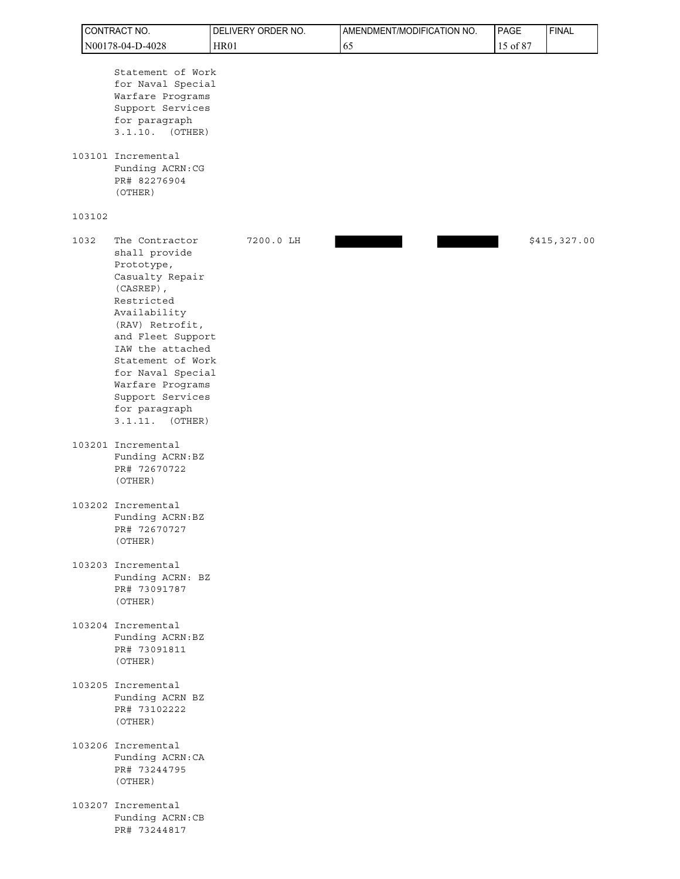| CONTRACT NO.     |        |                                                                                                                                                                                                                                                                                                  | DELIVERY ORDER NO. | AMENDMENT/MODIFICATION NO. | PAGE     | <b>FINAL</b> |
|------------------|--------|--------------------------------------------------------------------------------------------------------------------------------------------------------------------------------------------------------------------------------------------------------------------------------------------------|--------------------|----------------------------|----------|--------------|
| N00178-04-D-4028 |        |                                                                                                                                                                                                                                                                                                  | HR01               | 65                         | 15 of 87 |              |
|                  |        | Statement of Work<br>for Naval Special<br>Warfare Programs<br>Support Services<br>for paragraph<br>$3.1.10.$ (OTHER)<br>103101 Incremental<br>Funding ACRN: CG<br>PR# 82276904<br>(OTHER)                                                                                                        |                    |                            |          |              |
|                  | 103102 |                                                                                                                                                                                                                                                                                                  |                    |                            |          |              |
|                  | 1032   | The Contractor<br>shall provide<br>Prototype,<br>Casualty Repair<br>$(CASREF)$ ,<br>Restricted<br>Availability<br>(RAV) Retrofit,<br>and Fleet Support<br>IAW the attached<br>Statement of Work<br>for Naval Special<br>Warfare Programs<br>Support Services<br>for paragraph<br>3.1.11. (OTHER) | 7200.0 LH          |                            |          | \$415,327.00 |
|                  |        | 103201 Incremental<br>Funding ACRN:BZ<br>PR# 72670722<br>(OTHER)                                                                                                                                                                                                                                 |                    |                            |          |              |
|                  |        | 103202 Incremental<br>Funding ACRN: BZ<br>PR# 72670727<br>(OTHER)                                                                                                                                                                                                                                |                    |                            |          |              |
|                  |        | 103203 Incremental<br>Funding ACRN: BZ<br>PR# 73091787<br>(OTHER)                                                                                                                                                                                                                                |                    |                            |          |              |
|                  |        | 103204 Incremental<br>Funding ACRN:BZ<br>PR# 73091811<br>(OTHER)                                                                                                                                                                                                                                 |                    |                            |          |              |
|                  |        | 103205 Incremental<br>Funding ACRN BZ<br>PR# 73102222<br>(OTHER)                                                                                                                                                                                                                                 |                    |                            |          |              |
|                  |        | 103206 Incremental<br>Funding ACRN: CA<br>PR# 73244795<br>(OTHER)                                                                                                                                                                                                                                |                    |                            |          |              |
|                  |        | 103207 Incremental<br>Funding ACRN: CB<br>PR# 73244817                                                                                                                                                                                                                                           |                    |                            |          |              |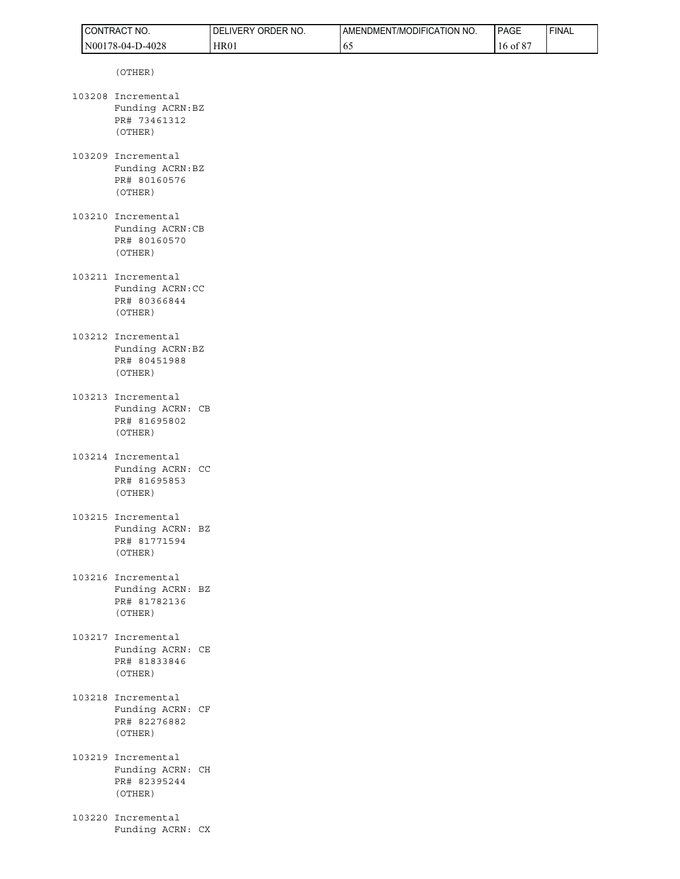| CONTRACT NO.                                                      | DELIVERY ORDER NO. | AMENDMENT/MODIFICATION NO. | PAGE     | <b>FINAL</b> |
|-------------------------------------------------------------------|--------------------|----------------------------|----------|--------------|
| N00178-04-D-4028                                                  | <b>HR01</b>        | 65                         | 16 of 87 |              |
| (OTHER)                                                           |                    |                            |          |              |
| 103208 Incremental<br>Funding ACRN:BZ<br>PR# 73461312<br>(OTHER)  |                    |                            |          |              |
| 103209 Incremental<br>Funding ACRN: BZ<br>PR# 80160576<br>(OTHER) |                    |                            |          |              |
| 103210 Incremental<br>Funding ACRN:CB<br>PR# 80160570<br>(OTHER)  |                    |                            |          |              |
| 103211 Incremental<br>Funding ACRN: CC<br>PR# 80366844<br>(OTHER) |                    |                            |          |              |
| 103212 Incremental<br>Funding ACRN:BZ<br>PR# 80451988<br>(OTHER)  |                    |                            |          |              |
| 103213 Incremental<br>Funding ACRN: CB<br>PR# 81695802<br>(OTHER) |                    |                            |          |              |
| 103214 Incremental<br>Funding ACRN: CC<br>PR# 81695853<br>(OTHER) |                    |                            |          |              |
| 103215 Incremental<br>Funding ACRN: BZ<br>PR# 81771594<br>(OTHER) |                    |                            |          |              |
| 103216 Incremental<br>Funding ACRN: BZ<br>PR# 81782136<br>(OTHER) |                    |                            |          |              |
| 103217 Incremental<br>Funding ACRN: CE<br>PR# 81833846<br>(OTHER) |                    |                            |          |              |
| 103218 Incremental<br>Funding ACRN: CF<br>PR# 82276882<br>(OTHER) |                    |                            |          |              |
| 103219 Incremental<br>Funding ACRN: CH<br>PR# 82395244<br>(OTHER) |                    |                            |          |              |
| 103220 Incremental<br>Funding ACRN: CX                            |                    |                            |          |              |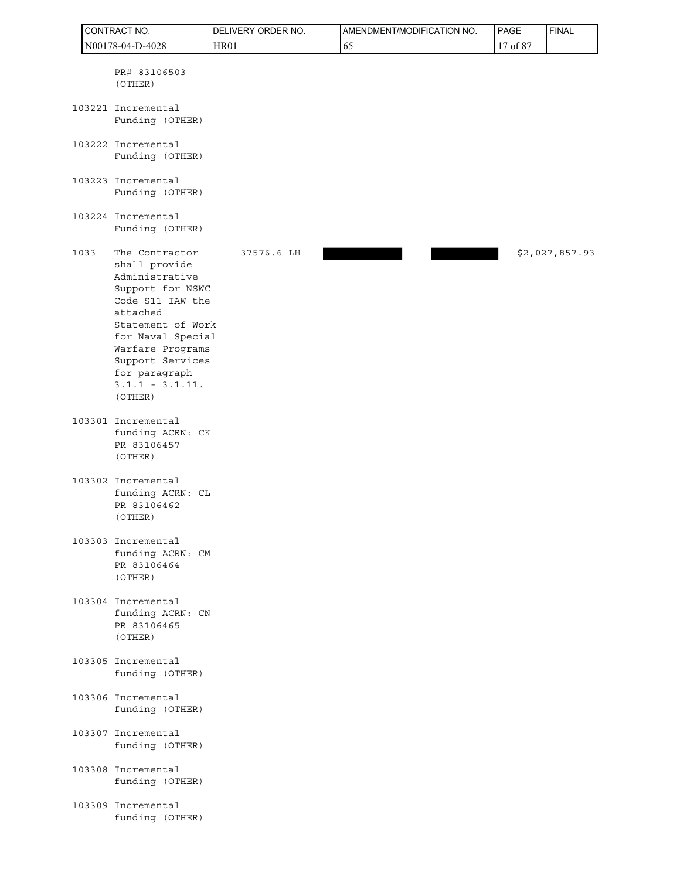| CONTRACT NO. |                  |                                                                                                                                                                                                                                          | DELIVERY ORDER NO. | AMENDMENT/MODIFICATION NO. | PAGE     | <b>FINAL</b>   |
|--------------|------------------|------------------------------------------------------------------------------------------------------------------------------------------------------------------------------------------------------------------------------------------|--------------------|----------------------------|----------|----------------|
|              | N00178-04-D-4028 |                                                                                                                                                                                                                                          | <b>HR01</b>        | 65                         | 17 of 87 |                |
|              |                  | PR# 83106503<br>(OTHER)                                                                                                                                                                                                                  |                    |                            |          |                |
|              |                  | 103221 Incremental<br>Funding (OTHER)                                                                                                                                                                                                    |                    |                            |          |                |
|              |                  | 103222 Incremental<br>Funding (OTHER)                                                                                                                                                                                                    |                    |                            |          |                |
|              |                  | 103223 Incremental<br>Funding (OTHER)                                                                                                                                                                                                    |                    |                            |          |                |
|              |                  | 103224 Incremental<br>Funding (OTHER)                                                                                                                                                                                                    |                    |                            |          |                |
|              | 1033             | The Contractor<br>shall provide<br>Administrative<br>Support for NSWC<br>Code S11 IAW the<br>attached<br>Statement of Work<br>for Naval Special<br>Warfare Programs<br>Support Services<br>for paragraph<br>$3.1.1 - 3.1.11.$<br>(OTHER) | 37576.6 LH         |                            |          | \$2,027,857.93 |
|              |                  | 103301 Incremental<br>funding ACRN: CK<br>PR 83106457<br>(OTHER)                                                                                                                                                                         |                    |                            |          |                |
|              |                  | 103302 Incremental<br>funding ACRN: CL<br>PR 83106462<br>(OTHER)                                                                                                                                                                         |                    |                            |          |                |
|              |                  | 103303 Incremental<br>funding ACRN: CM<br>PR 83106464<br>(OTHER)                                                                                                                                                                         |                    |                            |          |                |
|              |                  | 103304 Incremental<br>funding ACRN: CN<br>PR 83106465<br>(OTHER)                                                                                                                                                                         |                    |                            |          |                |
|              |                  | 103305 Incremental<br>funding (OTHER)                                                                                                                                                                                                    |                    |                            |          |                |
|              |                  | 103306 Incremental<br>funding (OTHER)                                                                                                                                                                                                    |                    |                            |          |                |
|              |                  | 103307 Incremental<br>funding (OTHER)                                                                                                                                                                                                    |                    |                            |          |                |
|              |                  | 103308 Incremental<br>funding (OTHER)                                                                                                                                                                                                    |                    |                            |          |                |
|              |                  | 103309 Incremental<br>funding (OTHER)                                                                                                                                                                                                    |                    |                            |          |                |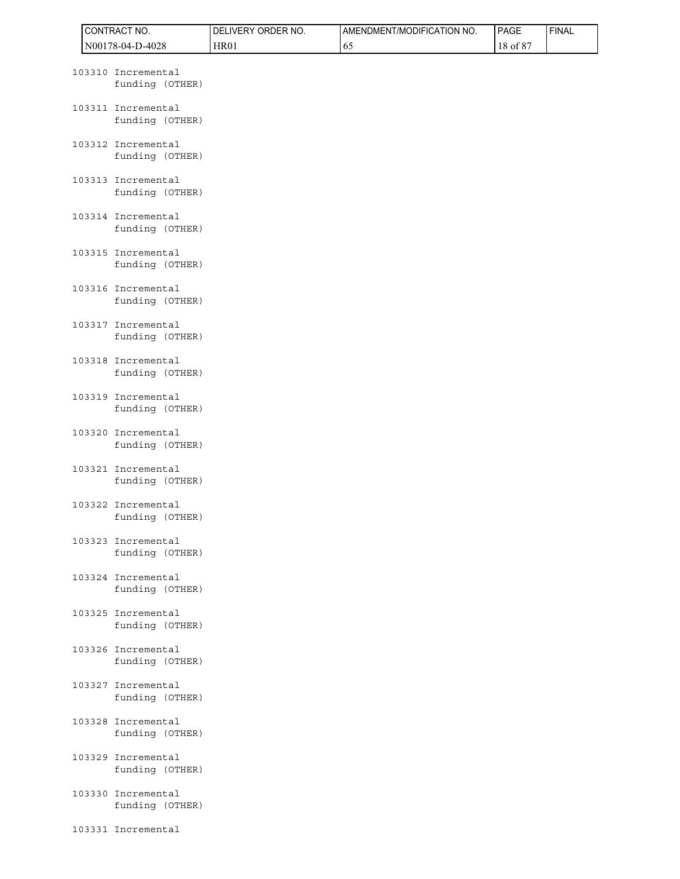|  | CONTRACT NO.                          | DELIVERY ORDER NO. | AMENDMENT/MODIFICATION NO. | PAGE     | <b>FINAL</b> |
|--|---------------------------------------|--------------------|----------------------------|----------|--------------|
|  | N00178-04-D-4028                      | <b>HR01</b>        | 65                         | 18 of 87 |              |
|  | 103310 Incremental<br>funding (OTHER) |                    |                            |          |              |
|  | 103311 Incremental<br>funding (OTHER) |                    |                            |          |              |
|  | 103312 Incremental<br>funding (OTHER) |                    |                            |          |              |
|  | 103313 Incremental<br>funding (OTHER) |                    |                            |          |              |
|  | 103314 Incremental<br>funding (OTHER) |                    |                            |          |              |
|  | 103315 Incremental<br>funding (OTHER) |                    |                            |          |              |
|  | 103316 Incremental<br>funding (OTHER) |                    |                            |          |              |
|  | 103317 Incremental<br>funding (OTHER) |                    |                            |          |              |
|  | 103318 Incremental<br>funding (OTHER) |                    |                            |          |              |
|  | 103319 Incremental<br>funding (OTHER) |                    |                            |          |              |
|  | 103320 Incremental<br>funding (OTHER) |                    |                            |          |              |
|  | 103321 Incremental<br>funding (OTHER) |                    |                            |          |              |
|  | 103322 Incremental<br>funding (OTHER) |                    |                            |          |              |
|  | 103323 Incremental<br>funding (OTHER) |                    |                            |          |              |
|  | 103324 Incremental<br>funding (OTHER) |                    |                            |          |              |
|  | 103325 Incremental<br>funding (OTHER) |                    |                            |          |              |
|  | 103326 Incremental<br>funding (OTHER) |                    |                            |          |              |
|  | 103327 Incremental<br>funding (OTHER) |                    |                            |          |              |
|  | 103328 Incremental<br>funding (OTHER) |                    |                            |          |              |
|  | 103329 Incremental<br>funding (OTHER) |                    |                            |          |              |
|  | 103330 Incremental<br>funding (OTHER) |                    |                            |          |              |
|  | 103331 Incremental                    |                    |                            |          |              |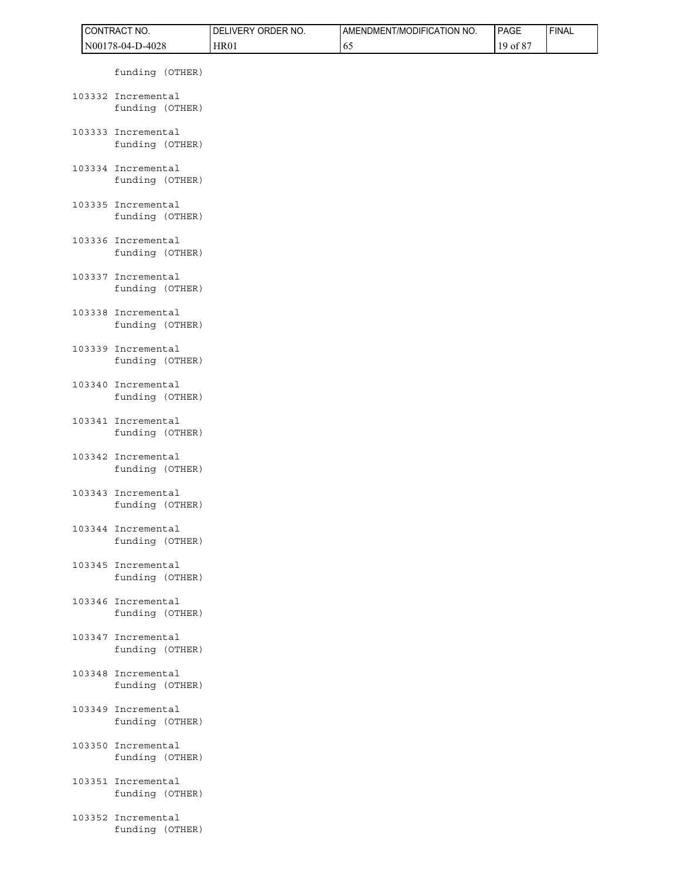|  | CONTRACT NO.                          | DELIVERY ORDER NO. | AMENDMENT/MODIFICATION NO. | PAGE     | <b>FINAL</b> |
|--|---------------------------------------|--------------------|----------------------------|----------|--------------|
|  | N00178-04-D-4028                      | HR01               | 65                         | 19 of 87 |              |
|  | funding (OTHER)                       |                    |                            |          |              |
|  | 103332 Incremental<br>funding (OTHER) |                    |                            |          |              |
|  | 103333 Incremental<br>funding (OTHER) |                    |                            |          |              |
|  | 103334 Incremental<br>funding (OTHER) |                    |                            |          |              |
|  | 103335 Incremental<br>funding (OTHER) |                    |                            |          |              |
|  | 103336 Incremental<br>funding (OTHER) |                    |                            |          |              |
|  | 103337 Incremental<br>funding (OTHER) |                    |                            |          |              |
|  | 103338 Incremental<br>funding (OTHER) |                    |                            |          |              |
|  | 103339 Incremental<br>funding (OTHER) |                    |                            |          |              |
|  | 103340 Incremental<br>funding (OTHER) |                    |                            |          |              |
|  | 103341 Incremental<br>funding (OTHER) |                    |                            |          |              |
|  | 103342 Incremental<br>funding (OTHER) |                    |                            |          |              |
|  | 103343 Incremental<br>funding (OTHER) |                    |                            |          |              |
|  | 103344 Incremental<br>funding (OTHER) |                    |                            |          |              |
|  | 103345 Incremental<br>funding (OTHER) |                    |                            |          |              |
|  | 103346 Incremental<br>funding (OTHER) |                    |                            |          |              |
|  | 103347 Incremental<br>funding (OTHER) |                    |                            |          |              |
|  | 103348 Incremental<br>funding (OTHER) |                    |                            |          |              |
|  | 103349 Incremental<br>funding (OTHER) |                    |                            |          |              |
|  | 103350 Incremental<br>funding (OTHER) |                    |                            |          |              |
|  | 103351 Incremental<br>funding (OTHER) |                    |                            |          |              |
|  | 103352 Incremental<br>funding (OTHER) |                    |                            |          |              |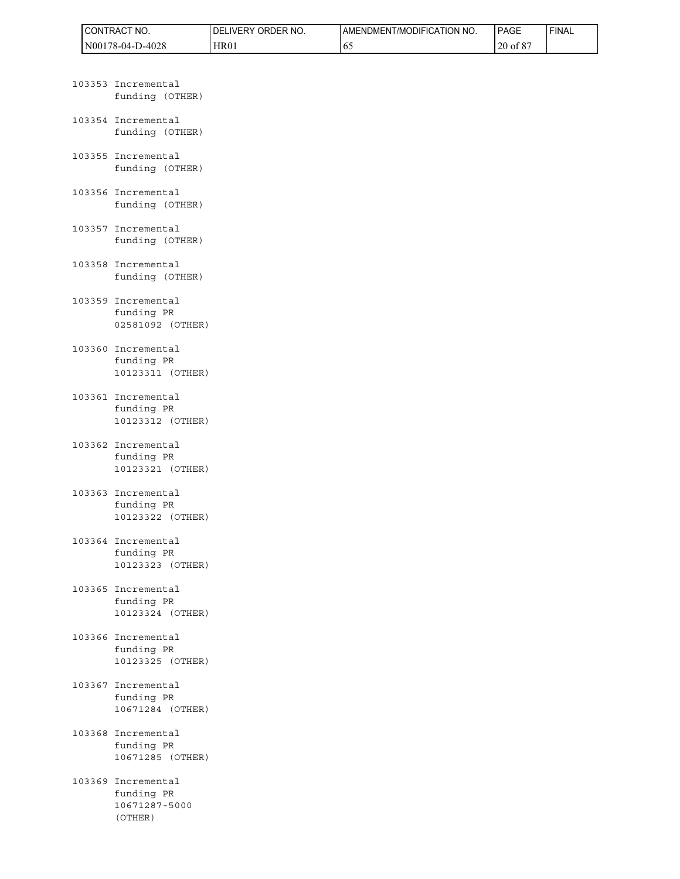| °CT NO.<br><b>ICONTRACT</b> | ORDER NO.<br><b>IVERY</b><br>DF | AMENDMENT/MODIFICATION NO. | <b>PAGE</b>                     | ' FINAL |
|-----------------------------|---------------------------------|----------------------------|---------------------------------|---------|
| N00178-04-D-4028            | HR01                            | v.                         | 00 <sup>2</sup><br>$20$ of $8'$ |         |

|        | 103353 Incremental<br>funding (OTHER)                |
|--------|------------------------------------------------------|
|        | 103354 Incremental<br>funding (OTHER)                |
|        | 103355 Incremental<br>funding (OTHER)                |
|        | 103356 Incremental<br>funding (OTHER)                |
|        | 103357 Incremental<br>funding (OTHER)                |
|        | 103358 Incremental<br>funding (OTHER)                |
|        | 103359 Incremental<br>funding PR<br>02581092 (OTHER) |
|        | 103360 Incremental<br>funding PR<br>10123311 (OTHER) |
| 103361 | Incremental<br>funding PR<br>10123312 (OTHER)        |
|        | 103362 Incremental<br>funding PR<br>10123321 (OTHER) |
| 103363 | Incremental<br>funding PR<br>10123322 (OTHER)        |
|        | 103364 Incremental<br>funding PR<br>10123323 (OTHER) |
|        | 103365 Incremental<br>funding PR<br>10123324 (OTHER) |
| 103366 | Incremental<br>funding PR<br>10123325 (OTHER)        |
|        | 103367 Incremental<br>funding PR<br>10671284 (OTHER) |
|        | 103368 Incremental                                   |

 funding PR 10671285 (OTHER)

103369 Incremental funding PR 10671287-5000 (OTHER)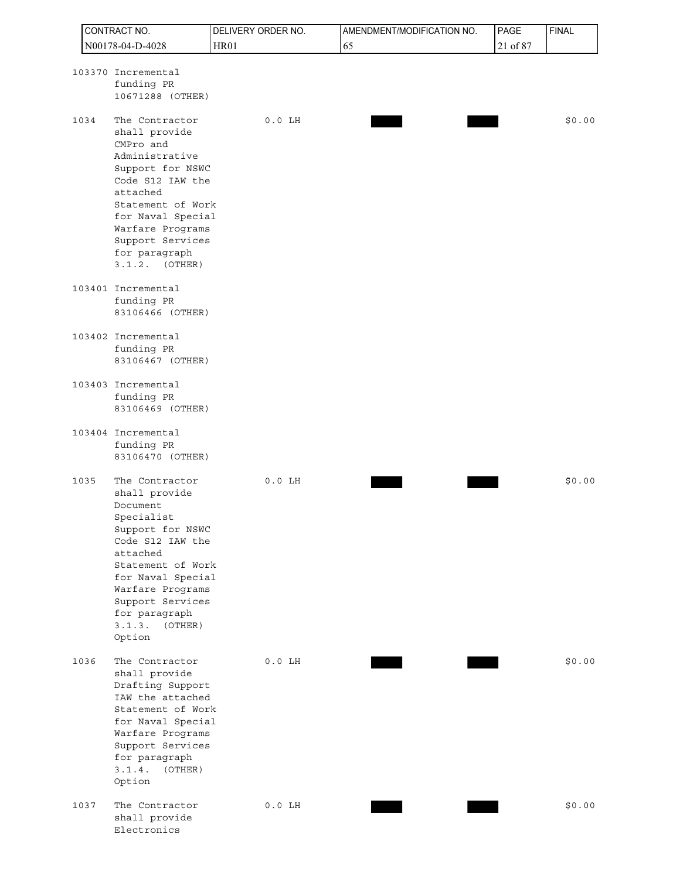|      | CONTRACT NO.                                                                                                                                                                                                                                    | DELIVERY ORDER NO. | AMENDMENT/MODIFICATION NO. | PAGE     | <b>FINAL</b> |
|------|-------------------------------------------------------------------------------------------------------------------------------------------------------------------------------------------------------------------------------------------------|--------------------|----------------------------|----------|--------------|
|      | N00178-04-D-4028                                                                                                                                                                                                                                | <b>HR01</b>        | 65                         | 21 of 87 |              |
|      | 103370 Incremental<br>funding PR<br>10671288 (OTHER)                                                                                                                                                                                            |                    |                            |          |              |
| 1034 | The Contractor<br>shall provide<br>CMPro and<br>Administrative<br>Support for NSWC<br>Code S12 IAW the<br>attached<br>Statement of Work<br>for Naval Special<br>Warfare Programs<br>Support Services<br>for paragraph<br>3.1.2.<br>(OTHER)      | $0.0$ LH           |                            |          | \$0.00       |
|      | 103401 Incremental<br>funding PR<br>83106466 (OTHER)                                                                                                                                                                                            |                    |                            |          |              |
|      | 103402 Incremental<br>funding PR<br>83106467 (OTHER)                                                                                                                                                                                            |                    |                            |          |              |
|      | 103403 Incremental<br>funding PR<br>83106469 (OTHER)                                                                                                                                                                                            |                    |                            |          |              |
|      | 103404 Incremental<br>funding PR<br>83106470 (OTHER)                                                                                                                                                                                            |                    |                            |          |              |
| 1035 | The Contractor<br>shall provide<br>Document<br>Specialist<br>Support for NSWC<br>Code S12 IAW the<br>attached<br>Statement of Work<br>for Naval Special<br>Warfare Programs<br>Support Services<br>for paragraph<br>3.1.3.<br>(OTHER)<br>Option | $0.0$ LH           |                            |          | \$0.00       |
| 1036 | The Contractor<br>shall provide<br>Drafting Support<br>IAW the attached<br>Statement of Work<br>for Naval Special<br>Warfare Programs<br>Support Services<br>for paragraph<br>3.1.4.<br>(OTHER)<br>Option                                       | $0.0$ LH           |                            |          | \$0.00       |
| 1037 | The Contractor<br>shall provide<br>Electronics                                                                                                                                                                                                  | $0.0$ LH           |                            |          | \$0.00       |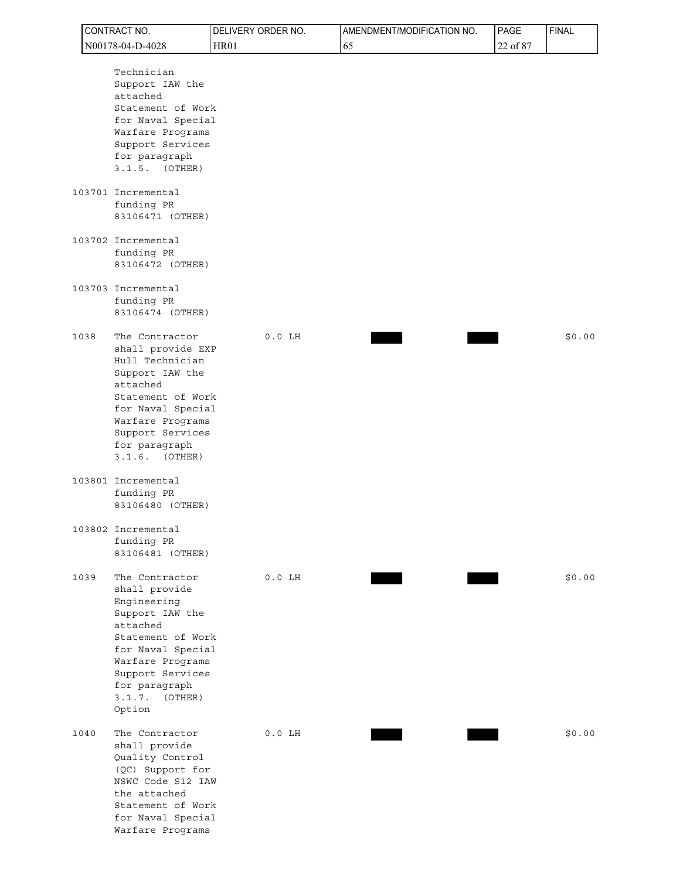|      | CONTRACT NO.                                                                                                                                                                                                    | DELIVERY ORDER NO. | AMENDMENT/MODIFICATION NO. | PAGE     | <b>FINAL</b> |
|------|-----------------------------------------------------------------------------------------------------------------------------------------------------------------------------------------------------------------|--------------------|----------------------------|----------|--------------|
|      | N00178-04-D-4028                                                                                                                                                                                                | <b>HR01</b>        | 65                         | 22 of 87 |              |
|      | Technician<br>Support IAW the<br>attached<br>Statement of Work<br>for Naval Special<br>Warfare Programs<br>Support Services<br>for paragraph<br>$3.1.5.$ (OTHER)                                                |                    |                            |          |              |
|      | 103701 Incremental<br>funding PR<br>83106471 (OTHER)                                                                                                                                                            |                    |                            |          |              |
|      | 103702 Incremental<br>funding PR<br>83106472 (OTHER)                                                                                                                                                            |                    |                            |          |              |
|      | 103703 Incremental<br>funding PR<br>83106474 (OTHER)                                                                                                                                                            |                    |                            |          |              |
| 1038 | The Contractor<br>shall provide EXP<br>Hull Technician<br>Support IAW the<br>attached<br>Statement of Work<br>for Naval Special<br>Warfare Programs<br>Support Services<br>for paragraph<br>$3.1.6.$ (OTHER)    | $0.0$ LH           |                            |          | \$0.00       |
|      | 103801 Incremental<br>funding PR<br>83106480 (OTHER)                                                                                                                                                            |                    |                            |          |              |
|      | 103802 Incremental<br>funding PR<br>83106481 (OTHER)                                                                                                                                                            |                    |                            |          |              |
| 1039 | The Contractor<br>shall provide<br>Engineering<br>Support IAW the<br>attached<br>Statement of Work<br>for Naval Special<br>Warfare Programs<br>Support Services<br>for paragraph<br>3.1.7.<br>(OTHER)<br>Option | $0.0$ LH           |                            |          | \$0.00       |
| 1040 | The Contractor<br>shall provide<br>Quality Control<br>(QC) Support for<br>NSWC Code S12 IAW<br>the attached<br>Statement of Work<br>for Naval Special<br>Warfare Programs                                       | $0.0$ LH           |                            |          | \$0.00       |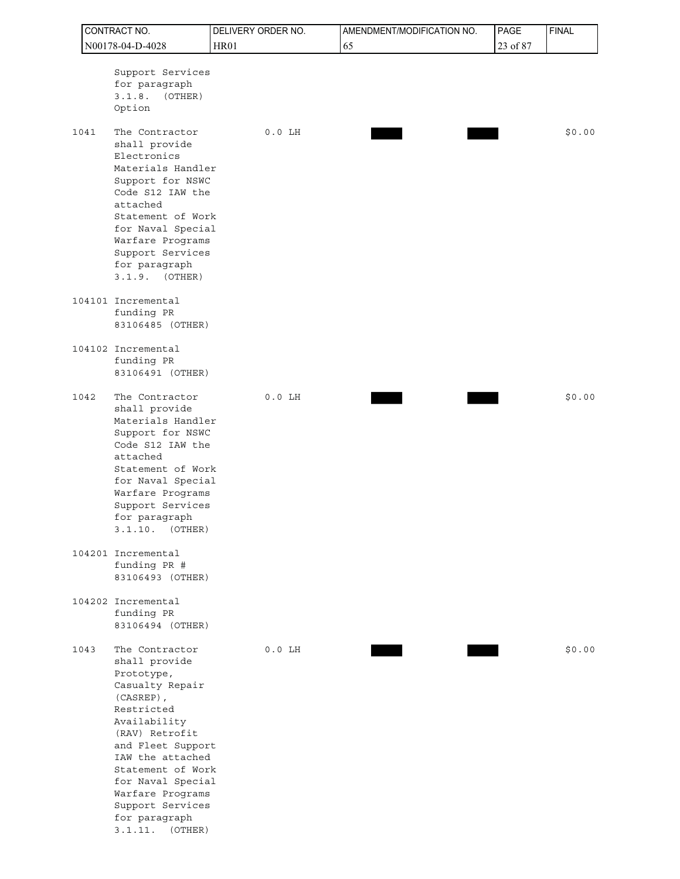|      | CONTRACT NO.                                                                                                                                                                                                                                                                                 | DELIVERY ORDER NO. | AMENDMENT/MODIFICATION NO. | PAGE     | <b>FINAL</b> |
|------|----------------------------------------------------------------------------------------------------------------------------------------------------------------------------------------------------------------------------------------------------------------------------------------------|--------------------|----------------------------|----------|--------------|
|      | N00178-04-D-4028                                                                                                                                                                                                                                                                             | <b>HR01</b>        | 65                         | 23 of 87 |              |
|      | Support Services<br>for paragraph<br>3.1.8.<br>(OTHER)<br>Option                                                                                                                                                                                                                             |                    |                            |          |              |
| 1041 | The Contractor<br>shall provide<br>Electronics<br>Materials Handler<br>Support for NSWC<br>Code S12 IAW the<br>attached<br>Statement of Work<br>for Naval Special<br>Warfare Programs<br>Support Services<br>for paragraph<br>$3.1.9.$ (OTHER)                                               | $0.0$ LH           |                            |          | \$0.00       |
|      | 104101 Incremental<br>funding PR<br>83106485 (OTHER)                                                                                                                                                                                                                                         |                    |                            |          |              |
|      | 104102 Incremental<br>funding PR<br>83106491 (OTHER)                                                                                                                                                                                                                                         |                    |                            |          |              |
| 1042 | The Contractor<br>shall provide<br>Materials Handler<br>Support for NSWC<br>Code S12 IAW the<br>attached<br>Statement of Work<br>for Naval Special<br>Warfare Programs<br>Support Services<br>for paragraph<br>3.1.10.<br>(OTHER)                                                            | $0.0$ LH           |                            |          | \$0.00       |
|      | 104201 Incremental<br>funding PR #<br>83106493 (OTHER)                                                                                                                                                                                                                                       |                    |                            |          |              |
|      | 104202 Incremental<br>funding PR<br>83106494 (OTHER)                                                                                                                                                                                                                                         |                    |                            |          |              |
| 1043 | The Contractor<br>shall provide<br>Prototype,<br>Casualty Repair<br>(CASREP),<br>Restricted<br>Availability<br>(RAV) Retrofit<br>and Fleet Support<br>IAW the attached<br>Statement of Work<br>for Naval Special<br>Warfare Programs<br>Support Services<br>for paragraph<br>3.1.11. (OTHER) | $0.0$ LH           |                            |          | \$0.00       |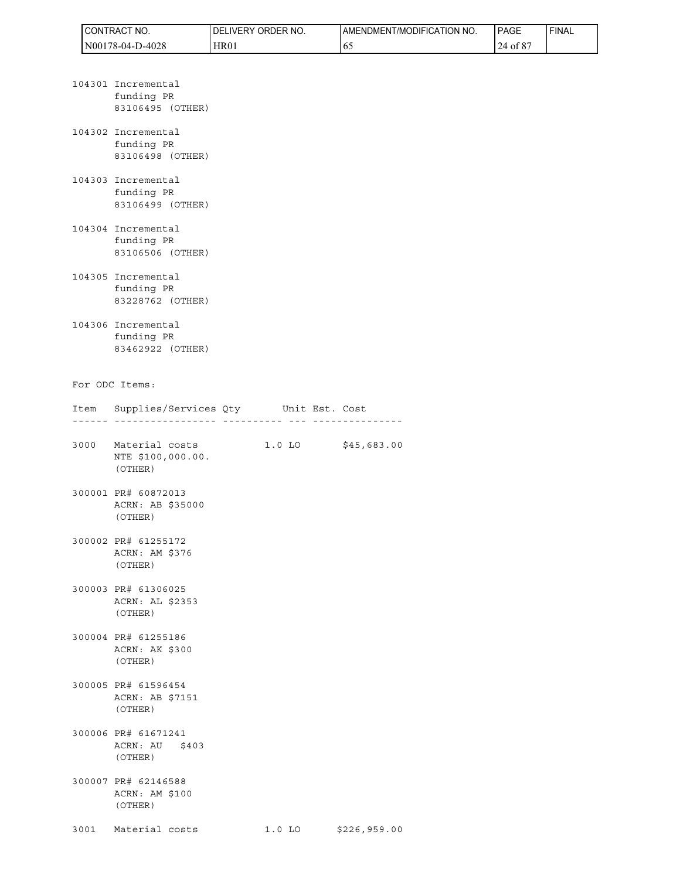| CT NO.<br><b>ICONTRACT</b>         | ORDER NO.<br><b>DELIVERY</b> | AMENDMENT/MODIFICATION NO. | <b>PAGE</b>                  | ' FINAL |
|------------------------------------|------------------------------|----------------------------|------------------------------|---------|
| 178-04-D-4028<br>1N00 <sub>1</sub> | HR01                         | υJ                         | $\sim$ $\sim$ $\sim$<br>ot 8 |         |

|  | 104301 Incremental<br>funding PR<br>83106495 (OTHER) |          |                     |  |
|--|------------------------------------------------------|----------|---------------------|--|
|  | 104302 Incremental<br>funding PR<br>83106498 (OTHER) |          |                     |  |
|  | 104303 Incremental<br>funding PR<br>83106499 (OTHER) |          |                     |  |
|  | 104304 Incremental<br>funding PR<br>83106506 (OTHER) |          |                     |  |
|  | 104305 Incremental<br>funding PR<br>83228762 (OTHER) |          |                     |  |
|  | 104306 Incremental<br>funding PR<br>83462922 (OTHER) |          |                     |  |
|  | For ODC Items:                                       |          |                     |  |
|  | Item Supplies/Services Qty Unit Est. Cost<br>        |          | ___________________ |  |
|  | 3000 Material costs<br>NTE \$100,000.00.<br>(OTHER)  | $1.0$ LO | \$45,683.00         |  |
|  | 300001 PR# 60872013<br>ACRN: AB \$35000<br>(OTHER)   |          |                     |  |
|  | 300002 PR# 61255172<br>ACRN: AM \$376<br>(OTHER)     |          |                     |  |
|  | 300003 PR# 61306025<br>ACRN: AL \$2353<br>(OTHER)    |          |                     |  |
|  |                                                      |          |                     |  |

- 300004 PR# 61255186 ACRN: AK \$300 (OTHER)
- 300005 PR# 61596454 ACRN: AB \$7151 (OTHER)
- 300006 PR# 61671241 ACRN: AU \$403 (OTHER)
- 300007 PR# 62146588 ACRN: AM \$100 (OTHER)
- 3001 Material costs 1.0 LO \$226,959.00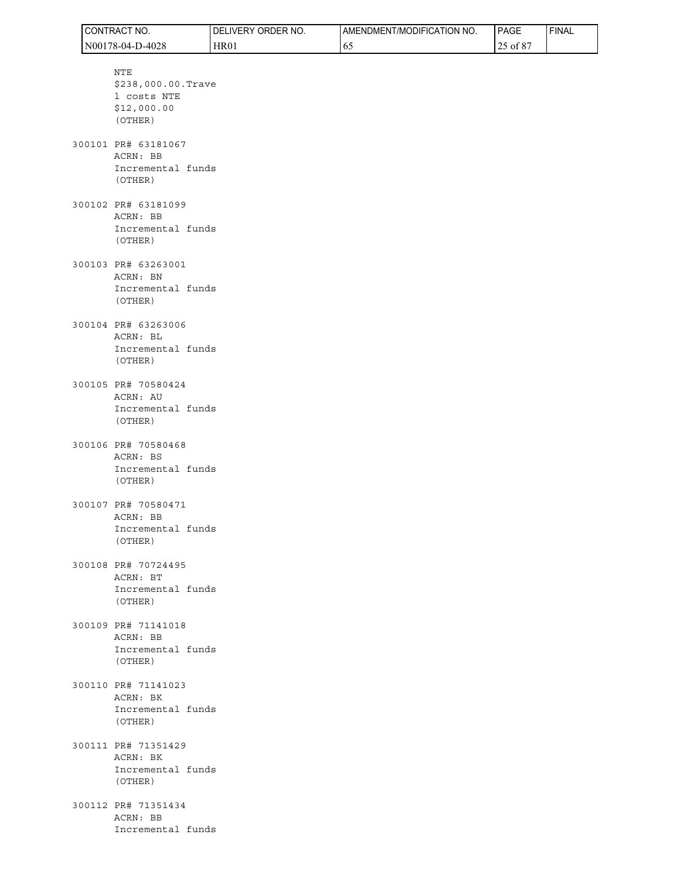|  | CONTRACT NO.                                                       | DELIVERY ORDER NO. | AMENDMENT/MODIFICATION NO. | PAGE     | <b>FINAL</b> |
|--|--------------------------------------------------------------------|--------------------|----------------------------|----------|--------------|
|  | N00178-04-D-4028                                                   | <b>HR01</b>        | 65                         | 25 of 87 |              |
|  | NTE<br>\$238,000.00.Trave<br>1 costs NTE<br>\$12,000.00<br>(OTHER) |                    |                            |          |              |
|  | 300101 PR# 63181067<br>ACRN: BB<br>Incremental funds<br>(OTHER)    |                    |                            |          |              |
|  | 300102 PR# 63181099<br>ACRN: BB<br>Incremental funds<br>(OTHER)    |                    |                            |          |              |
|  | 300103 PR# 63263001<br>ACRN: BN<br>Incremental funds<br>(OTHER)    |                    |                            |          |              |
|  | 300104 PR# 63263006<br>ACRN: BL<br>Incremental funds<br>(OTHER)    |                    |                            |          |              |
|  | 300105 PR# 70580424<br>ACRN: AU<br>Incremental funds<br>(OTHER)    |                    |                            |          |              |
|  | 300106 PR# 70580468<br>ACRN: BS<br>Incremental funds<br>(OTHER)    |                    |                            |          |              |
|  | 300107 PR# 70580471<br>ACRN: BB<br>Incremental funds<br>(OTHER)    |                    |                            |          |              |
|  | 300108 PR# 70724495<br>ACRN: BT<br>Incremental funds<br>(OTHER)    |                    |                            |          |              |
|  | 300109 PR# 71141018<br>ACRN: BB<br>Incremental funds<br>(OTHER)    |                    |                            |          |              |
|  | 300110 PR# 71141023<br>ACRN: BK<br>Incremental funds<br>(OTHER)    |                    |                            |          |              |
|  | 300111 PR# 71351429<br>ACRN: BK<br>Incremental funds<br>(OTHER)    |                    |                            |          |              |
|  | 300112 PR# 71351434<br>ACRN: BB<br>Incremental funds               |                    |                            |          |              |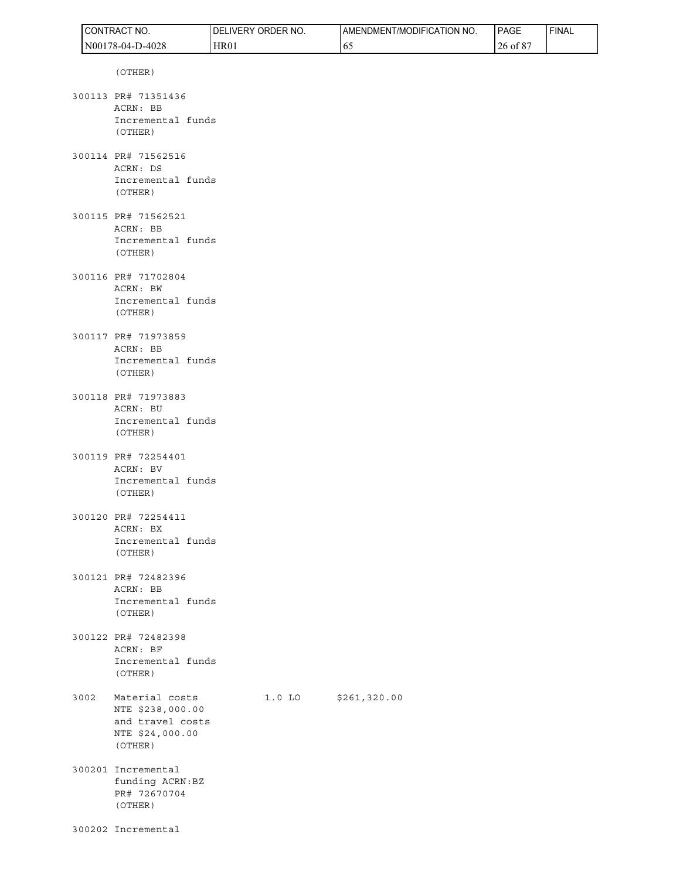|      | CONTRACT NO.                                                                         | DELIVERY ORDER NO. | AMENDMENT/MODIFICATION NO. | PAGE     | <b>FINAL</b> |
|------|--------------------------------------------------------------------------------------|--------------------|----------------------------|----------|--------------|
|      | N00178-04-D-4028                                                                     | HR01               | 65                         | 26 of 87 |              |
|      | (OTHER)                                                                              |                    |                            |          |              |
|      | 300113 PR# 71351436<br>ACRN: BB<br>Incremental funds<br>(OTHER)                      |                    |                            |          |              |
|      | 300114 PR# 71562516<br>ACRN: DS<br>Incremental funds<br>(OTHER)                      |                    |                            |          |              |
|      | 300115 PR# 71562521<br>ACRN: BB<br>Incremental funds<br>(OTHER)                      |                    |                            |          |              |
|      | 300116 PR# 71702804<br>ACRN: BW<br>Incremental funds<br>(OTHER)                      |                    |                            |          |              |
|      | 300117 PR# 71973859<br>ACRN: BB<br>Incremental funds<br>(OTHER)                      |                    |                            |          |              |
|      | 300118 PR# 71973883<br>ACRN: BU<br>Incremental funds<br>(OTHER)                      |                    |                            |          |              |
|      | 300119 PR# 72254401<br>ACRN: BV<br>Incremental funds<br>(OTHER)                      |                    |                            |          |              |
|      | 300120 PR# 72254411<br>ACRN: BX<br>Incremental funds<br>(OTHER)                      |                    |                            |          |              |
|      | 300121 PR# 72482396<br>ACRN: BB<br>Incremental funds<br>(OTHER)                      |                    |                            |          |              |
|      | 300122 PR# 72482398<br>ACRN: BF<br>Incremental funds<br>(OTHER)                      |                    |                            |          |              |
| 3002 | Material costs<br>NTE \$238,000.00<br>and travel costs<br>NTE \$24,000.00<br>(OTHER) | $1.0$ LO           | \$261,320.00               |          |              |
|      | 300201 Incremental<br>funding ACRN:BZ<br>PR# 72670704<br>(OTHER)                     |                    |                            |          |              |
|      | 300202 Incremental                                                                   |                    |                            |          |              |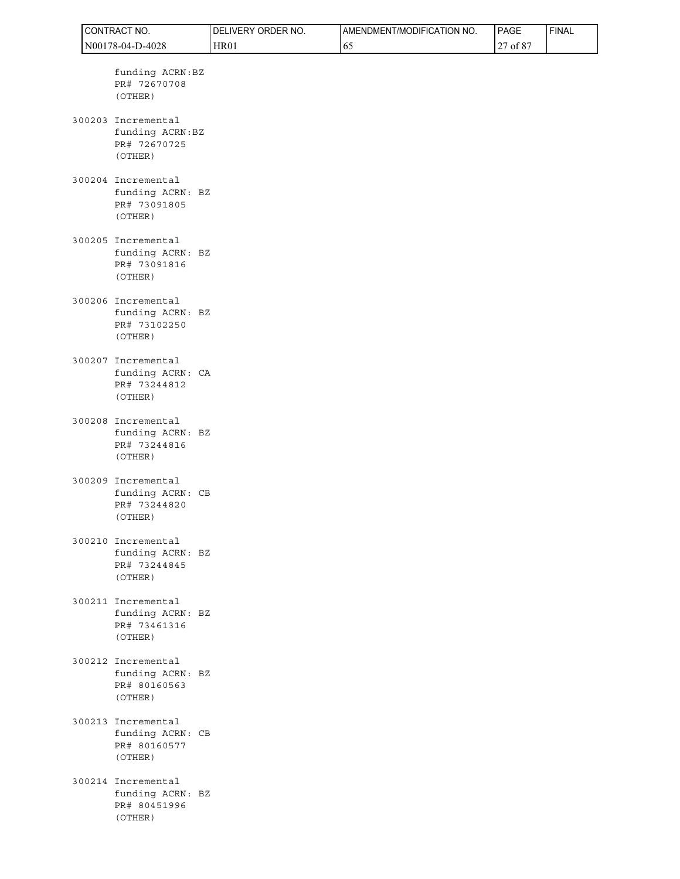| CONTRACT NO. |                                                                   | DELIVERY ORDER NO. | AMENDMENT/MODIFICATION NO. | PAGE     | <b>FINAL</b> |
|--------------|-------------------------------------------------------------------|--------------------|----------------------------|----------|--------------|
|              | N00178-04-D-4028                                                  | <b>HR01</b>        | 65                         | 27 of 87 |              |
|              | funding ACRN: BZ<br>PR# 72670708<br>(OTHER)                       |                    |                            |          |              |
|              | 300203 Incremental<br>funding ACRN:BZ<br>PR# 72670725<br>(OTHER)  |                    |                            |          |              |
|              | 300204 Incremental<br>funding ACRN: BZ<br>PR# 73091805<br>(OTHER) |                    |                            |          |              |
|              | 300205 Incremental<br>funding ACRN: BZ<br>PR# 73091816<br>(OTHER) |                    |                            |          |              |
|              | 300206 Incremental<br>funding ACRN: BZ<br>PR# 73102250<br>(OTHER) |                    |                            |          |              |
|              | 300207 Incremental<br>funding ACRN: CA<br>PR# 73244812<br>(OTHER) |                    |                            |          |              |
|              | 300208 Incremental<br>funding ACRN: BZ<br>PR# 73244816<br>(OTHER) |                    |                            |          |              |
|              | 300209 Incremental<br>funding ACRN: CB<br>PR# 73244820<br>(OTHER) |                    |                            |          |              |
|              | 300210 Incremental<br>funding ACRN: BZ<br>PR# 73244845<br>(OTHER) |                    |                            |          |              |
|              | 300211 Incremental<br>funding ACRN: BZ<br>PR# 73461316<br>(OTHER) |                    |                            |          |              |
|              | 300212 Incremental<br>funding ACRN: BZ<br>PR# 80160563<br>(OTHER) |                    |                            |          |              |
|              | 300213 Incremental<br>funding ACRN: CB<br>PR# 80160577<br>(OTHER) |                    |                            |          |              |
|              | 300214 Incremental<br>funding ACRN: BZ<br>PR# 80451996<br>(OTHER) |                    |                            |          |              |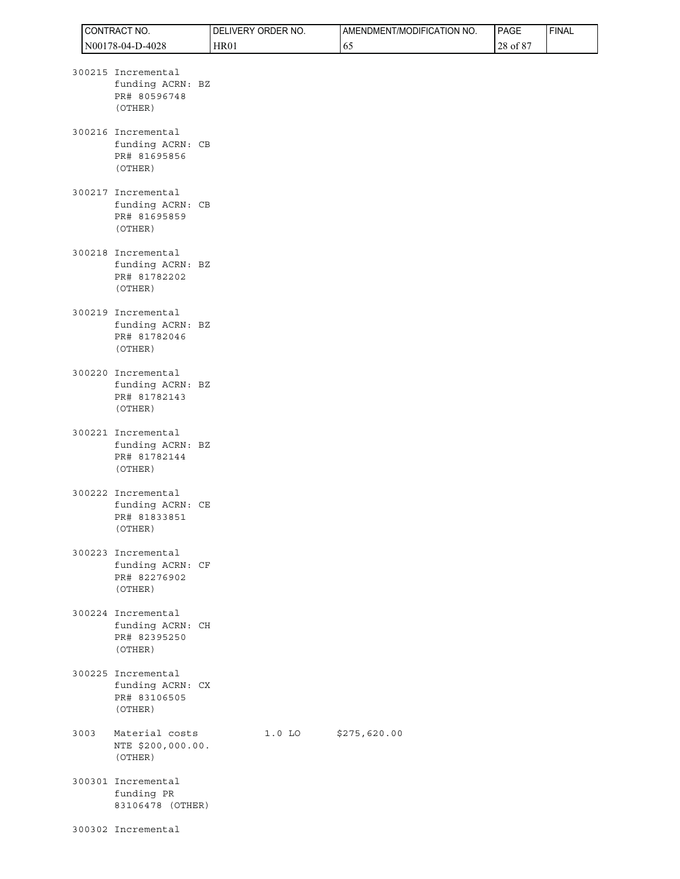|      | CONTRACT NO.                                                      | DELIVERY ORDER NO. |          | AMENDMENT/MODIFICATION NO. | PAGE     | <b>FINAL</b> |
|------|-------------------------------------------------------------------|--------------------|----------|----------------------------|----------|--------------|
|      | N00178-04-D-4028                                                  | <b>HR01</b>        |          | 65                         | 28 of 87 |              |
|      | 300215 Incremental<br>funding ACRN: BZ<br>PR# 80596748<br>(OTHER) |                    |          |                            |          |              |
|      | 300216 Incremental<br>funding ACRN: CB<br>PR# 81695856<br>(OTHER) |                    |          |                            |          |              |
|      | 300217 Incremental<br>funding ACRN: CB<br>PR# 81695859<br>(OTHER) |                    |          |                            |          |              |
|      | 300218 Incremental<br>funding ACRN: BZ<br>PR# 81782202<br>(OTHER) |                    |          |                            |          |              |
|      | 300219 Incremental<br>funding ACRN: BZ<br>PR# 81782046<br>(OTHER) |                    |          |                            |          |              |
|      | 300220 Incremental<br>funding ACRN: BZ<br>PR# 81782143<br>(OTHER) |                    |          |                            |          |              |
|      | 300221 Incremental<br>funding ACRN: BZ<br>PR# 81782144<br>(OTHER) |                    |          |                            |          |              |
|      | 300222 Incremental<br>funding ACRN: CE<br>PR# 81833851<br>(OTHER) |                    |          |                            |          |              |
|      | 300223 Incremental<br>funding ACRN: CF<br>PR# 82276902<br>(OTHER) |                    |          |                            |          |              |
|      | 300224 Incremental<br>funding ACRN: CH<br>PR# 82395250<br>(OTHER) |                    |          |                            |          |              |
|      | 300225 Incremental<br>funding ACRN: CX<br>PR# 83106505<br>(OTHER) |                    |          |                            |          |              |
| 3003 | Material costs<br>NTE \$200,000.00.<br>(OTHER)                    |                    | $1.0$ LO | \$275,620.00               |          |              |
|      | 300301 Incremental<br>funding PR<br>83106478 (OTHER)              |                    |          |                            |          |              |
|      | 300302 Incremental                                                |                    |          |                            |          |              |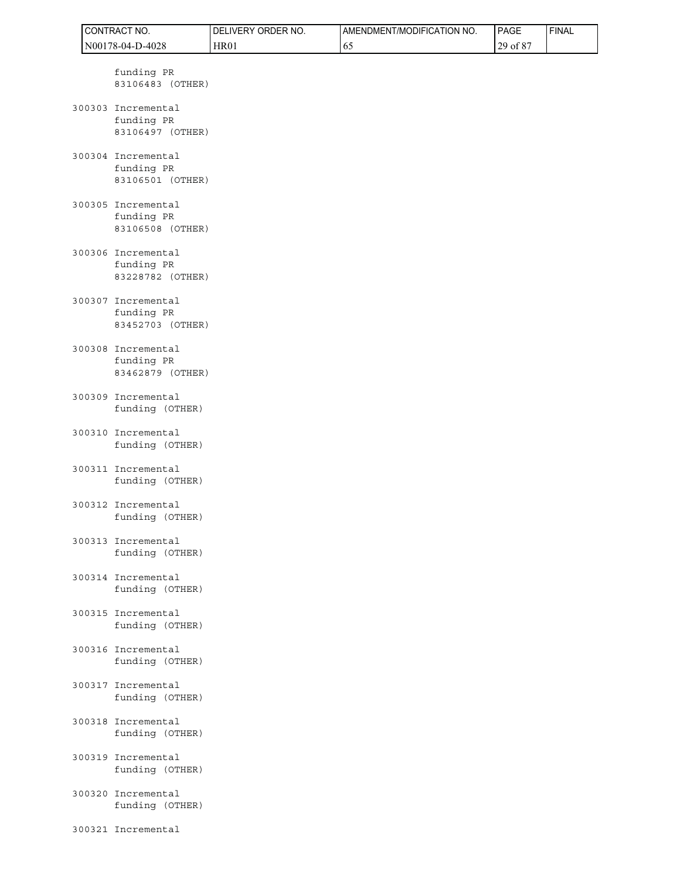|  | CONTRACT NO.                                         | DELIVERY ORDER NO. | AMENDMENT/MODIFICATION NO. | PAGE     | <b>FINAL</b> |
|--|------------------------------------------------------|--------------------|----------------------------|----------|--------------|
|  | N00178-04-D-4028                                     | <b>HR01</b>        | 65                         | 29 of 87 |              |
|  | funding PR<br>83106483 (OTHER)                       |                    |                            |          |              |
|  | 300303 Incremental<br>funding PR<br>83106497 (OTHER) |                    |                            |          |              |
|  | 300304 Incremental<br>funding PR<br>83106501 (OTHER) |                    |                            |          |              |
|  | 300305 Incremental<br>funding PR<br>83106508 (OTHER) |                    |                            |          |              |
|  | 300306 Incremental<br>funding PR<br>83228782 (OTHER) |                    |                            |          |              |
|  | 300307 Incremental<br>funding PR<br>83452703 (OTHER) |                    |                            |          |              |
|  | 300308 Incremental<br>funding PR<br>83462879 (OTHER) |                    |                            |          |              |
|  | 300309 Incremental<br>funding (OTHER)                |                    |                            |          |              |
|  | 300310 Incremental<br>funding (OTHER)                |                    |                            |          |              |
|  | 300311 Incremental<br>funding (OTHER)                |                    |                            |          |              |
|  | 300312 Incremental<br>funding (OTHER)                |                    |                            |          |              |
|  | 300313 Incremental<br>funding (OTHER)                |                    |                            |          |              |
|  | 300314 Incremental<br>funding (OTHER)                |                    |                            |          |              |
|  | 300315 Incremental<br>funding (OTHER)                |                    |                            |          |              |
|  | 300316 Incremental<br>funding (OTHER)                |                    |                            |          |              |
|  | 300317 Incremental<br>funding (OTHER)                |                    |                            |          |              |
|  | 300318 Incremental<br>funding (OTHER)                |                    |                            |          |              |
|  | 300319 Incremental<br>funding (OTHER)                |                    |                            |          |              |
|  | 300320 Incremental<br>funding (OTHER)                |                    |                            |          |              |
|  | 300321 Incremental                                   |                    |                            |          |              |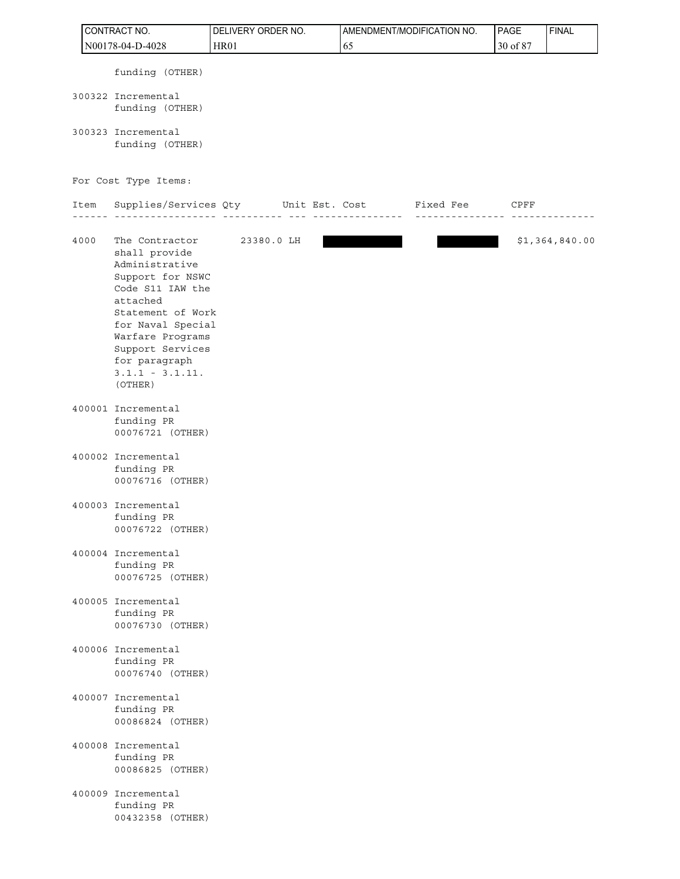| CONTRACT NO. |      |                                                                                                                                                                                                                                          | DELIVERY ORDER NO. |         | AMENDMENT/MODIFICATION NO. | PAGE     | <b>FINAL</b>   |
|--------------|------|------------------------------------------------------------------------------------------------------------------------------------------------------------------------------------------------------------------------------------------|--------------------|---------|----------------------------|----------|----------------|
|              |      | N00178-04-D-4028                                                                                                                                                                                                                         | <b>HR01</b>        | 65      |                            | 30 of 87 |                |
|              |      | funding (OTHER)                                                                                                                                                                                                                          |                    |         |                            |          |                |
|              |      | 300322 Incremental<br>funding (OTHER)                                                                                                                                                                                                    |                    |         |                            |          |                |
|              |      | 300323 Incremental<br>funding (OTHER)                                                                                                                                                                                                    |                    |         |                            |          |                |
|              |      | For Cost Type Items:                                                                                                                                                                                                                     |                    |         |                            |          |                |
|              | Item | Supplies/Services Qty Unit Est. Cost Fixed Fee                                                                                                                                                                                           |                    | ------- |                            | CPFF     |                |
|              | 4000 | The Contractor<br>shall provide<br>Administrative<br>Support for NSWC<br>Code S11 IAW the<br>attached<br>Statement of Work<br>for Naval Special<br>Warfare Programs<br>Support Services<br>for paragraph<br>$3.1.1 - 3.1.11.$<br>(OTHER) | 23380.0 LH         |         |                            |          | \$1,364,840.00 |
|              |      | 400001 Incremental<br>funding PR<br>00076721 (OTHER)                                                                                                                                                                                     |                    |         |                            |          |                |
|              |      | 400002 Incremental<br>funding PR<br>00076716 (OTHER)                                                                                                                                                                                     |                    |         |                            |          |                |
|              |      | 400003 Incremental<br>funding PR<br>00076722 (OTHER)                                                                                                                                                                                     |                    |         |                            |          |                |
|              |      | 400004 Incremental<br>funding PR<br>00076725 (OTHER)                                                                                                                                                                                     |                    |         |                            |          |                |
|              |      | 400005 Incremental<br>funding PR<br>00076730 (OTHER)                                                                                                                                                                                     |                    |         |                            |          |                |
|              |      | 400006 Incremental<br>funding PR<br>00076740 (OTHER)                                                                                                                                                                                     |                    |         |                            |          |                |
|              |      | 400007 Incremental<br>funding PR<br>00086824 (OTHER)                                                                                                                                                                                     |                    |         |                            |          |                |
|              |      | 400008 Incremental<br>funding PR<br>00086825 (OTHER)                                                                                                                                                                                     |                    |         |                            |          |                |
|              |      | 400009 Incremental<br>funding PR<br>00432358 (OTHER)                                                                                                                                                                                     |                    |         |                            |          |                |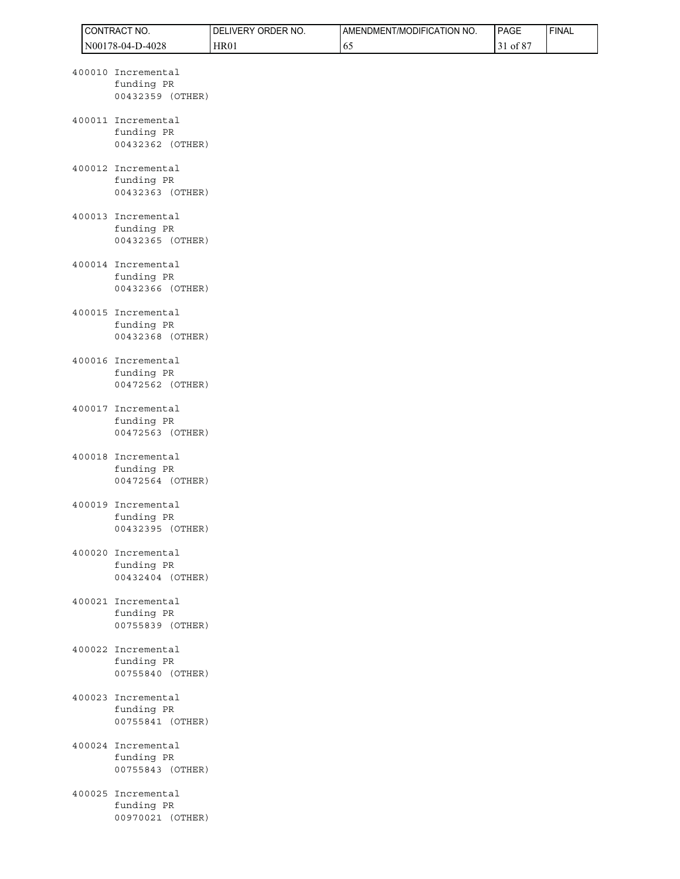|  | CONTRACT NO.                                         | DELIVERY ORDER NO. | AMENDMENT/MODIFICATION NO. | PAGE     | <b>FINAL</b> |
|--|------------------------------------------------------|--------------------|----------------------------|----------|--------------|
|  | N00178-04-D-4028                                     | <b>HR01</b>        | 65                         | 31 of 87 |              |
|  | 400010 Incremental<br>funding PR<br>00432359 (OTHER) |                    |                            |          |              |
|  | 400011 Incremental<br>funding PR<br>00432362 (OTHER) |                    |                            |          |              |
|  | 400012 Incremental<br>funding PR<br>00432363 (OTHER) |                    |                            |          |              |
|  | 400013 Incremental<br>funding PR<br>00432365 (OTHER) |                    |                            |          |              |
|  | 400014 Incremental<br>funding PR<br>00432366 (OTHER) |                    |                            |          |              |
|  | 400015 Incremental<br>funding PR<br>00432368 (OTHER) |                    |                            |          |              |
|  | 400016 Incremental<br>funding PR<br>00472562 (OTHER) |                    |                            |          |              |
|  | 400017 Incremental<br>funding PR<br>00472563 (OTHER) |                    |                            |          |              |
|  | 400018 Incremental<br>funding PR<br>00472564 (OTHER) |                    |                            |          |              |
|  | 400019 Incremental<br>funding PR<br>00432395 (OTHER) |                    |                            |          |              |
|  | 400020 Incremental<br>funding PR<br>00432404 (OTHER) |                    |                            |          |              |
|  | 400021 Incremental<br>funding PR<br>00755839 (OTHER) |                    |                            |          |              |
|  | 400022 Incremental<br>funding PR<br>00755840 (OTHER) |                    |                            |          |              |
|  | 400023 Incremental<br>funding PR<br>00755841 (OTHER) |                    |                            |          |              |
|  | 400024 Incremental<br>funding PR<br>00755843 (OTHER) |                    |                            |          |              |
|  | 400025 Incremental<br>funding PR<br>00970021 (OTHER) |                    |                            |          |              |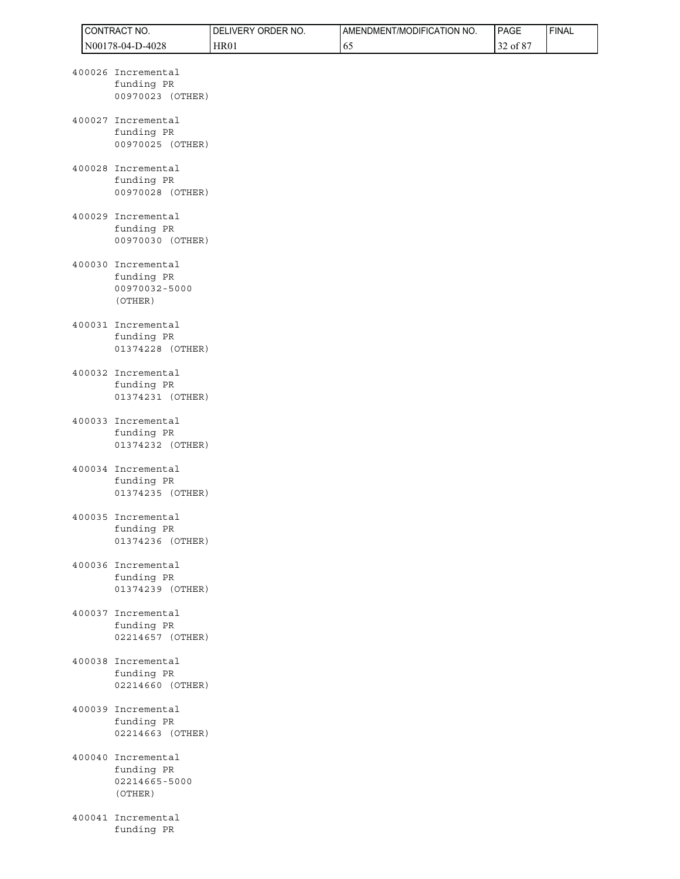|  | CONTRACT NO.                                                 | DELIVERY ORDER NO. | AMENDMENT/MODIFICATION NO. | PAGE     | <b>FINAL</b> |
|--|--------------------------------------------------------------|--------------------|----------------------------|----------|--------------|
|  | N00178-04-D-4028                                             | <b>HR01</b>        | 65                         | 32 of 87 |              |
|  | 400026 Incremental<br>funding PR<br>00970023 (OTHER)         |                    |                            |          |              |
|  | 400027 Incremental<br>funding PR<br>00970025 (OTHER)         |                    |                            |          |              |
|  | 400028 Incremental<br>funding PR<br>00970028 (OTHER)         |                    |                            |          |              |
|  | 400029 Incremental<br>funding PR<br>00970030 (OTHER)         |                    |                            |          |              |
|  | 400030 Incremental<br>funding PR<br>00970032-5000<br>(OTHER) |                    |                            |          |              |
|  | 400031 Incremental<br>funding PR<br>01374228 (OTHER)         |                    |                            |          |              |
|  | 400032 Incremental<br>funding PR<br>01374231 (OTHER)         |                    |                            |          |              |
|  | 400033 Incremental<br>funding PR<br>01374232 (OTHER)         |                    |                            |          |              |
|  | 400034 Incremental<br>funding PR<br>01374235 (OTHER)         |                    |                            |          |              |
|  | 400035 Incremental<br>funding PR<br>01374236 (OTHER)         |                    |                            |          |              |
|  | 400036 Incremental<br>funding PR<br>01374239 (OTHER)         |                    |                            |          |              |
|  | 400037 Incremental<br>funding PR<br>02214657 (OTHER)         |                    |                            |          |              |
|  | 400038 Incremental<br>funding PR<br>02214660 (OTHER)         |                    |                            |          |              |
|  | 400039 Incremental<br>funding PR<br>02214663 (OTHER)         |                    |                            |          |              |
|  | 400040 Incremental<br>funding PR<br>02214665-5000<br>(OTHER) |                    |                            |          |              |
|  | 400041 Incremental<br>funding PR                             |                    |                            |          |              |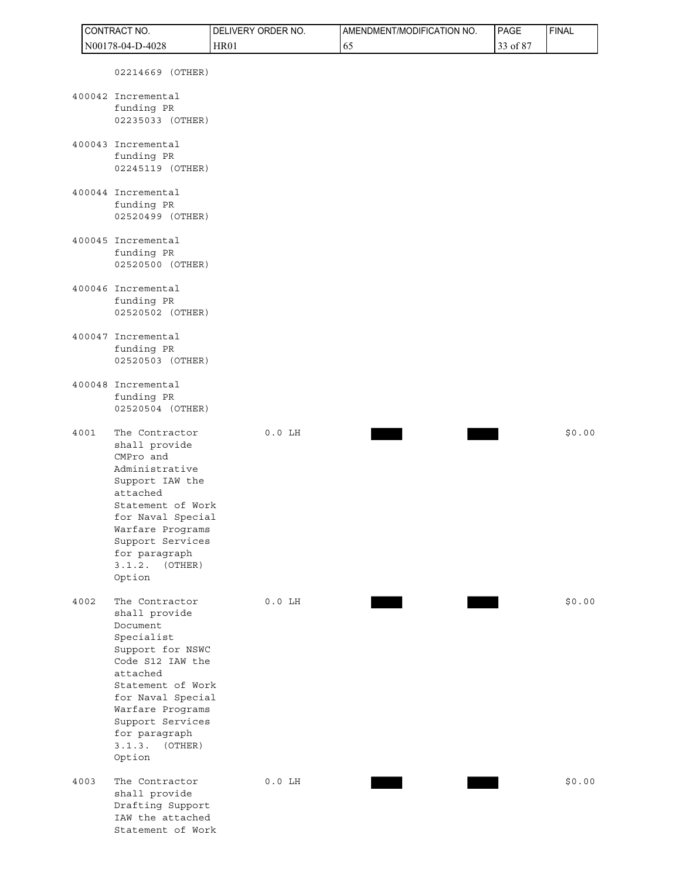| CONTRACT NO. |                                                                                                                                                                                                                                                 | DELIVERY ORDER NO. | AMENDMENT/MODIFICATION NO. | <b>PAGE</b> | <b>FINAL</b> |
|--------------|-------------------------------------------------------------------------------------------------------------------------------------------------------------------------------------------------------------------------------------------------|--------------------|----------------------------|-------------|--------------|
|              | N00178-04-D-4028                                                                                                                                                                                                                                | <b>HR01</b>        | 65                         | 33 of 87    |              |
|              | 02214669 (OTHER)                                                                                                                                                                                                                                |                    |                            |             |              |
|              | 400042 Incremental<br>funding PR<br>02235033 (OTHER)                                                                                                                                                                                            |                    |                            |             |              |
|              | 400043 Incremental<br>funding PR<br>02245119 (OTHER)                                                                                                                                                                                            |                    |                            |             |              |
|              | 400044 Incremental<br>funding PR<br>02520499 (OTHER)                                                                                                                                                                                            |                    |                            |             |              |
|              | 400045 Incremental<br>funding PR<br>02520500 (OTHER)                                                                                                                                                                                            |                    |                            |             |              |
|              | 400046 Incremental<br>funding PR<br>02520502 (OTHER)                                                                                                                                                                                            |                    |                            |             |              |
|              | 400047 Incremental<br>funding PR<br>02520503 (OTHER)                                                                                                                                                                                            |                    |                            |             |              |
|              | 400048 Incremental<br>funding PR<br>02520504 (OTHER)                                                                                                                                                                                            |                    |                            |             |              |
| 4001         | The Contractor<br>shall provide<br>CMPro and<br>Administrative<br>Support IAW the<br>attached<br>Statement of Work<br>for Naval Special<br>Warfare Programs<br>Support Services<br>for paragraph<br>3.1.2.<br>(OTHER)<br>Option                 | $0.0$ LH           |                            |             | \$0.00       |
| 4002         | The Contractor<br>shall provide<br>Document<br>Specialist<br>Support for NSWC<br>Code S12 IAW the<br>attached<br>Statement of Work<br>for Naval Special<br>Warfare Programs<br>Support Services<br>for paragraph<br>3.1.3.<br>(OTHER)<br>Option | $0.0$ LH           |                            |             | \$0.00       |
| 4003         | The Contractor<br>shall provide<br>Drafting Support<br>IAW the attached<br>Statement of Work                                                                                                                                                    | $0.0$ LH           |                            |             | \$0.00       |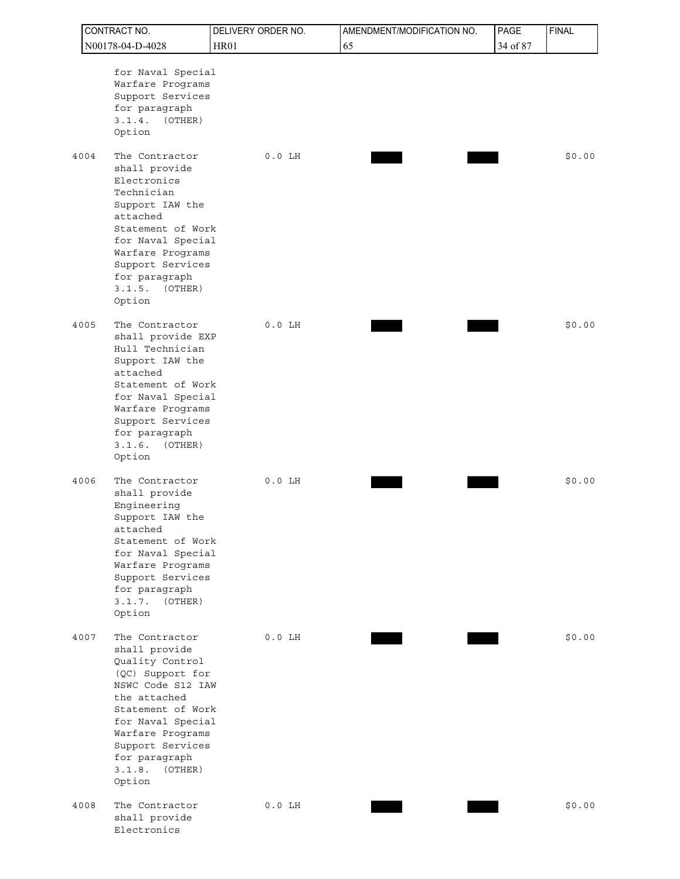| CONTRACT NO.                                                                                                                                                                                                                                         |             | DELIVERY ORDER NO. | AMENDMENT/MODIFICATION NO. | PAGE     | <b>FINAL</b> |
|------------------------------------------------------------------------------------------------------------------------------------------------------------------------------------------------------------------------------------------------------|-------------|--------------------|----------------------------|----------|--------------|
| N00178-04-D-4028                                                                                                                                                                                                                                     | <b>HR01</b> |                    | 65                         | 34 of 87 |              |
| for Naval Special<br>Warfare Programs<br>Support Services<br>for paragraph<br>3.1.4.<br>(OTHER)<br>Option                                                                                                                                            |             |                    |                            |          |              |
| The Contractor<br>4004<br>shall provide<br>Electronics<br>Technician<br>Support IAW the<br>attached<br>Statement of Work<br>for Naval Special<br>Warfare Programs<br>Support Services<br>for paragraph<br>3.1.5.<br>(OTHER)<br>Option                |             | $0.0$ LH           |                            |          | \$0.00       |
| The Contractor<br>4005<br>shall provide EXP<br>Hull Technician<br>Support IAW the<br>attached<br>Statement of Work<br>for Naval Special<br>Warfare Programs<br>Support Services<br>for paragraph<br>3.1.6.<br>(OTHER)<br>Option                      |             | $0.0$ LH           |                            |          | \$0.00       |
| The Contractor<br>4006<br>shall provide<br>Engineering<br>Support IAW the<br>attached<br>Statement of Work<br>for Naval Special<br>Warfare Programs<br>Support Services<br>for paragraph<br>3.1.7.<br>(OTHER)<br>Option                              |             | $0.0$ LH           |                            |          | \$0.00       |
| The Contractor<br>4007<br>shall provide<br>Quality Control<br>(QC) Support for<br>NSWC Code S12 IAW<br>the attached<br>Statement of Work<br>for Naval Special<br>Warfare Programs<br>Support Services<br>for paragraph<br>$3.1.8.$ (OTHER)<br>Option |             | $0.0$ LH           |                            |          | \$0.00       |
| 4008<br>The Contractor<br>shall provide<br>Electronics                                                                                                                                                                                               |             | $0.0$ LH           |                            |          | \$0.00       |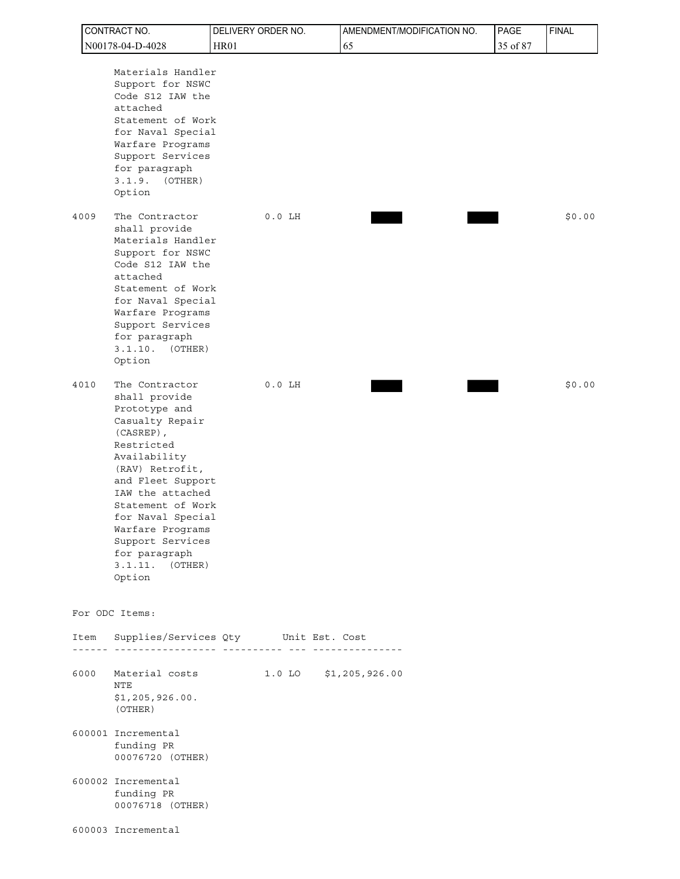| CONTRACT NO.                                                                                                                                                                                                                                                                                                          | DELIVERY ORDER NO.                                                      |                       | AMENDMENT/MODIFICATION NO. | PAGE     | <b>FINAL</b> |
|-----------------------------------------------------------------------------------------------------------------------------------------------------------------------------------------------------------------------------------------------------------------------------------------------------------------------|-------------------------------------------------------------------------|-----------------------|----------------------------|----------|--------------|
| N00178-04-D-4028                                                                                                                                                                                                                                                                                                      | <b>HR01</b>                                                             | 65                    |                            | 35 of 87 |              |
| Materials Handler<br>Support for NSWC<br>Code S12 IAW the<br>attached<br>Statement of Work<br>for Naval Special<br>Warfare Programs<br>Support Services<br>for paragraph<br>3.1.9.<br>(OTHER)<br>Option                                                                                                               |                                                                         |                       |                            |          |              |
| 4009<br>The Contractor<br>shall provide<br>Materials Handler<br>Support for NSWC<br>Code S12 IAW the<br>attached<br>Statement of Work<br>for Naval Special<br>Warfare Programs<br>Support Services<br>for paragraph<br>3.1.10.<br>(OTHER)<br>Option                                                                   | $0.0$ LH                                                                |                       |                            |          | \$0.00       |
| The Contractor<br>4010<br>shall provide<br>Prototype and<br>Casualty Repair<br>(CASREP),<br>Restricted<br>Availability<br>(RAV) Retrofit,<br>and Fleet Support<br>IAW the attached<br>Statement of Work<br>for Naval Special<br>Warfare Programs<br>Support Services<br>for paragraph<br>3.1.11.<br>(OTHER)<br>Option | $0.0$ LH                                                                |                       |                            |          | \$0.00       |
| For ODC Items:                                                                                                                                                                                                                                                                                                        |                                                                         |                       |                            |          |              |
| Item                                                                                                                                                                                                                                                                                                                  | Supplies/Services Qty Unit Est. Cost<br><u> - - - - - - - - - - - .</u> |                       |                            |          |              |
| 6000<br>Material costs<br>NTE<br>\$1,205,926.00.<br>(OTHER)                                                                                                                                                                                                                                                           |                                                                         | 1.0 LO \$1,205,926.00 |                            |          |              |
| 600001 Incremental<br>funding PR<br>00076720 (OTHER)                                                                                                                                                                                                                                                                  |                                                                         |                       |                            |          |              |
| 600002 Incremental<br>funding PR<br>00076718 (OTHER)                                                                                                                                                                                                                                                                  |                                                                         |                       |                            |          |              |
| 600003 Incremental                                                                                                                                                                                                                                                                                                    |                                                                         |                       |                            |          |              |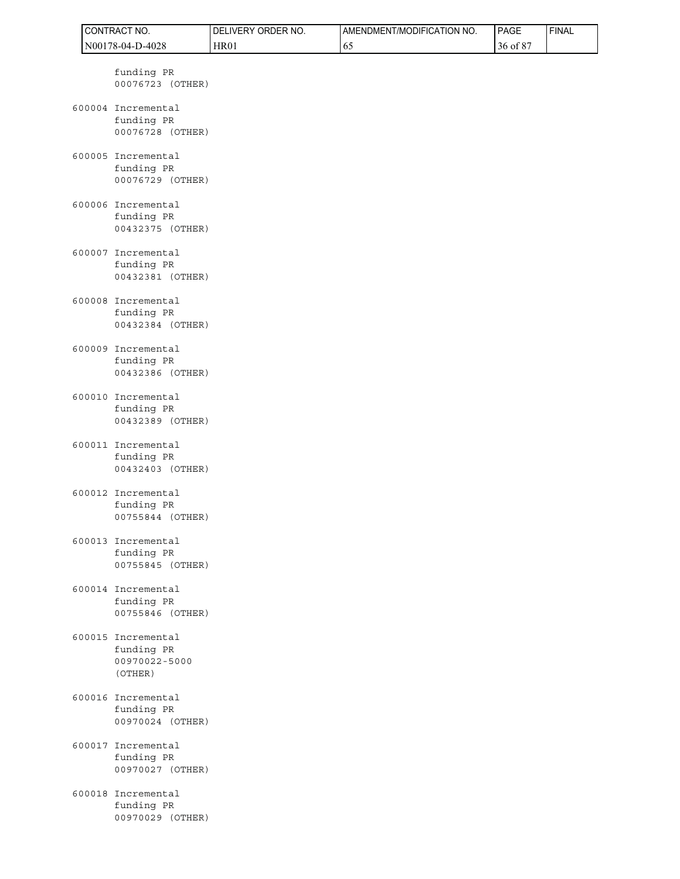|  | CONTRACT NO.                                                 | DELIVERY ORDER NO. | AMENDMENT/MODIFICATION NO. | PAGE     | <b>FINAL</b> |
|--|--------------------------------------------------------------|--------------------|----------------------------|----------|--------------|
|  | N00178-04-D-4028                                             | HR01               | 65                         | 36 of 87 |              |
|  | funding PR<br>00076723 (OTHER)                               |                    |                            |          |              |
|  | 600004 Incremental<br>funding PR<br>00076728 (OTHER)         |                    |                            |          |              |
|  | 600005 Incremental<br>funding PR<br>00076729 (OTHER)         |                    |                            |          |              |
|  | 600006 Incremental<br>funding PR<br>00432375 (OTHER)         |                    |                            |          |              |
|  | 600007 Incremental<br>funding PR<br>00432381 (OTHER)         |                    |                            |          |              |
|  | 600008 Incremental<br>funding PR<br>00432384 (OTHER)         |                    |                            |          |              |
|  | 600009 Incremental<br>funding PR<br>00432386 (OTHER)         |                    |                            |          |              |
|  | 600010 Incremental<br>funding PR<br>00432389 (OTHER)         |                    |                            |          |              |
|  | 600011 Incremental<br>funding PR<br>00432403 (OTHER)         |                    |                            |          |              |
|  | 600012 Incremental<br>funding PR<br>00755844 (OTHER)         |                    |                            |          |              |
|  | 600013 Incremental<br>funding PR<br>00755845 (OTHER)         |                    |                            |          |              |
|  | 600014 Incremental<br>funding PR<br>00755846 (OTHER)         |                    |                            |          |              |
|  | 600015 Incremental<br>funding PR<br>00970022-5000<br>(OTHER) |                    |                            |          |              |
|  | 600016 Incremental<br>funding PR<br>00970024 (OTHER)         |                    |                            |          |              |
|  | 600017 Incremental<br>funding PR<br>00970027 (OTHER)         |                    |                            |          |              |
|  | 600018 Incremental<br>funding PR<br>00970029 (OTHER)         |                    |                            |          |              |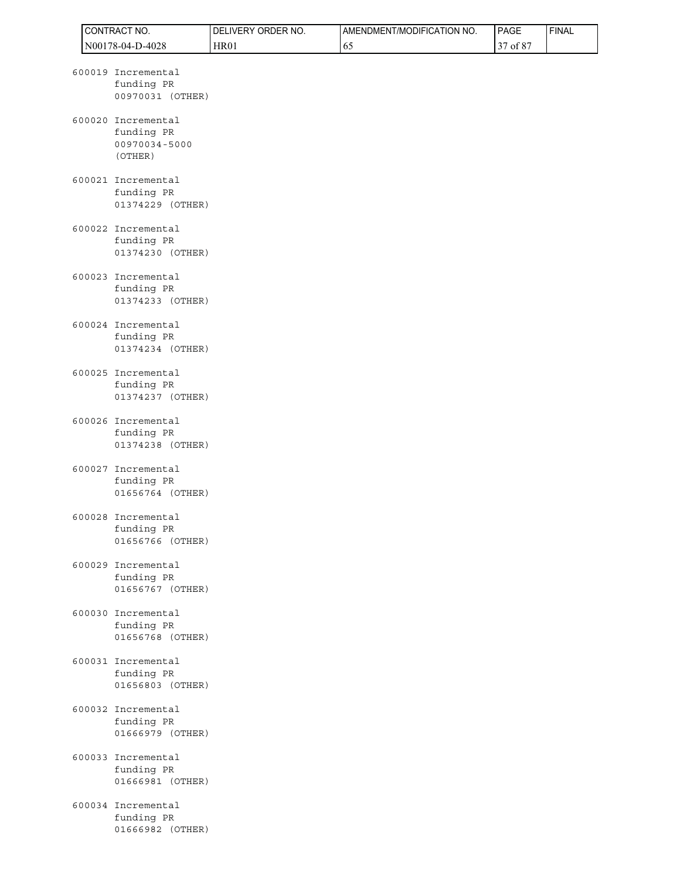|  | CONTRACT NO.                                                 | DELIVERY ORDER NO. | AMENDMENT/MODIFICATION NO. | PAGE     | <b>FINAL</b> |
|--|--------------------------------------------------------------|--------------------|----------------------------|----------|--------------|
|  | N00178-04-D-4028                                             | <b>HR01</b>        | 65                         | 37 of 87 |              |
|  | 600019 Incremental<br>funding PR<br>00970031 (OTHER)         |                    |                            |          |              |
|  | 600020 Incremental<br>funding PR<br>00970034-5000<br>(OTHER) |                    |                            |          |              |
|  | 600021 Incremental<br>funding PR<br>01374229 (OTHER)         |                    |                            |          |              |
|  | 600022 Incremental<br>funding PR<br>01374230 (OTHER)         |                    |                            |          |              |
|  | 600023 Incremental<br>funding PR<br>01374233 (OTHER)         |                    |                            |          |              |
|  | 600024 Incremental<br>funding PR<br>01374234 (OTHER)         |                    |                            |          |              |
|  | 600025 Incremental<br>funding PR<br>01374237 (OTHER)         |                    |                            |          |              |
|  | 600026 Incremental<br>funding PR<br>01374238 (OTHER)         |                    |                            |          |              |
|  | 600027 Incremental<br>funding PR<br>01656764 (OTHER)         |                    |                            |          |              |
|  | 600028 Incremental<br>funding PR<br>01656766 (OTHER)         |                    |                            |          |              |
|  | 600029 Incremental<br>funding PR<br>01656767 (OTHER)         |                    |                            |          |              |
|  | 600030 Incremental<br>funding PR<br>01656768 (OTHER)         |                    |                            |          |              |
|  | 600031 Incremental<br>funding PR<br>01656803 (OTHER)         |                    |                            |          |              |
|  | 600032 Incremental<br>funding PR<br>01666979 (OTHER)         |                    |                            |          |              |
|  | 600033 Incremental<br>funding PR<br>01666981 (OTHER)         |                    |                            |          |              |
|  | 600034 Incremental<br>funding PR<br>01666982 (OTHER)         |                    |                            |          |              |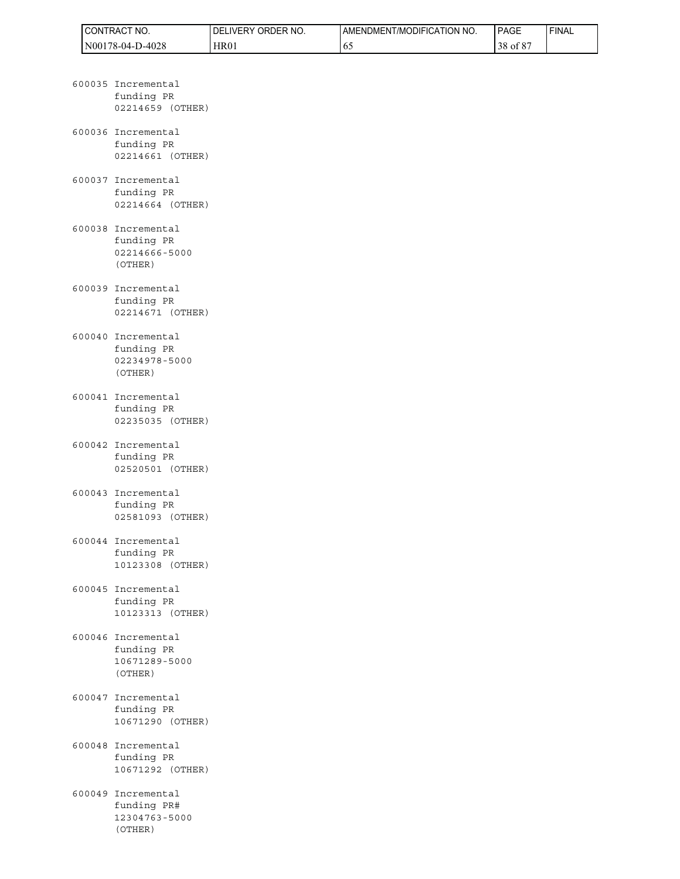| <b>ICONTRACT NO.</b> | LIVERY ORDER<br>NO.<br>DEI | <b>I AMENDMENT/MODIFICATION NO.</b> | <b>PAGE</b>        | 'FINAL |
|----------------------|----------------------------|-------------------------------------|--------------------|--------|
| N00178-04-D-4028     | HR01                       | 02                                  | າດ<br>of $8$<br>38 |        |

- 600035 Incremental funding PR 02214659 (OTHER) 600036 Incremental funding PR 02214661 (OTHER)
- 600037 Incremental funding PR 02214664 (OTHER)
- 600038 Incremental funding PR 02214666-5000 (OTHER)
- 600039 Incremental funding PR 02214671 (OTHER)
- 600040 Incremental funding PR 02234978-5000 (OTHER)
- 600041 Incremental funding PR 02235035 (OTHER)
- 600042 Incremental funding PR 02520501 (OTHER)
- 600043 Incremental funding PR 02581093 (OTHER)
- 600044 Incremental funding PR 10123308 (OTHER)
- 600045 Incremental funding PR 10123313 (OTHER)
- 600046 Incremental funding PR 10671289-5000 (OTHER)
- 600047 Incremental funding PR 10671290 (OTHER)
- 600048 Incremental funding PR 10671292 (OTHER)
- 600049 Incremental funding PR# 12304763-5000 (OTHER)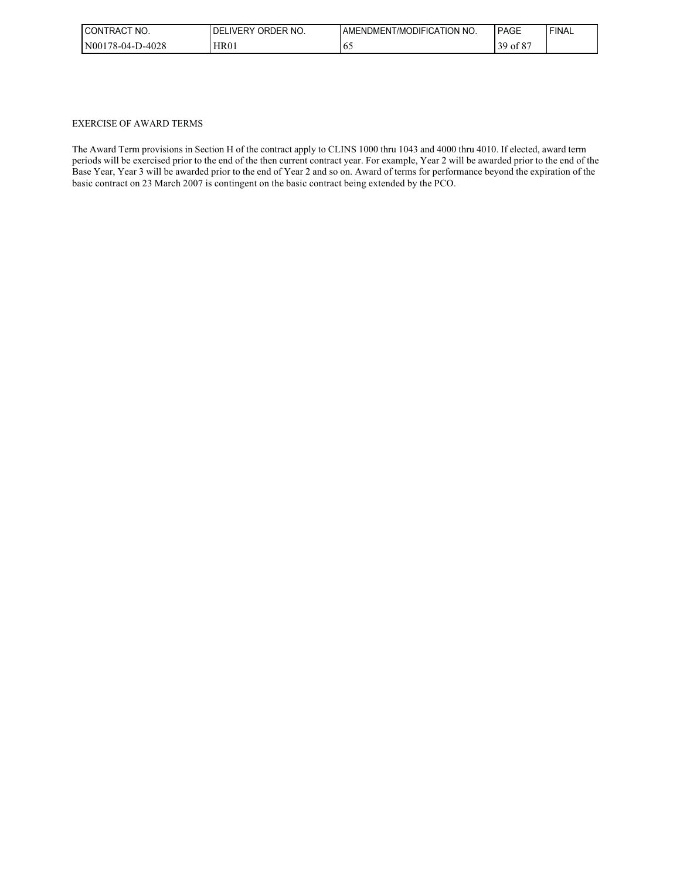| I CONTRACT<br>NO. | <b>DELIVERY</b><br>ORDER NO. | AMENDMENT/MODIFICATION NO. | PAGE                          | 'FINAL |
|-------------------|------------------------------|----------------------------|-------------------------------|--------|
| N00178-04-D-4028  | HR01                         | 02                         | 00 <sup>2</sup><br>39<br>ot 8 |        |

#### EXERCISE OF AWARD TERMS

The Award Term provisions in Section H of the contract apply to CLINS 1000 thru 1043 and 4000 thru 4010. If elected, award term periods will be exercised prior to the end of the then current contract year. For example, Year 2 will be awarded prior to the end of the Base Year, Year 3 will be awarded prior to the end of Year 2 and so on. Award of terms for performance beyond the expiration of the basic contract on 23 March 2007 is contingent on the basic contract being extended by the PCO.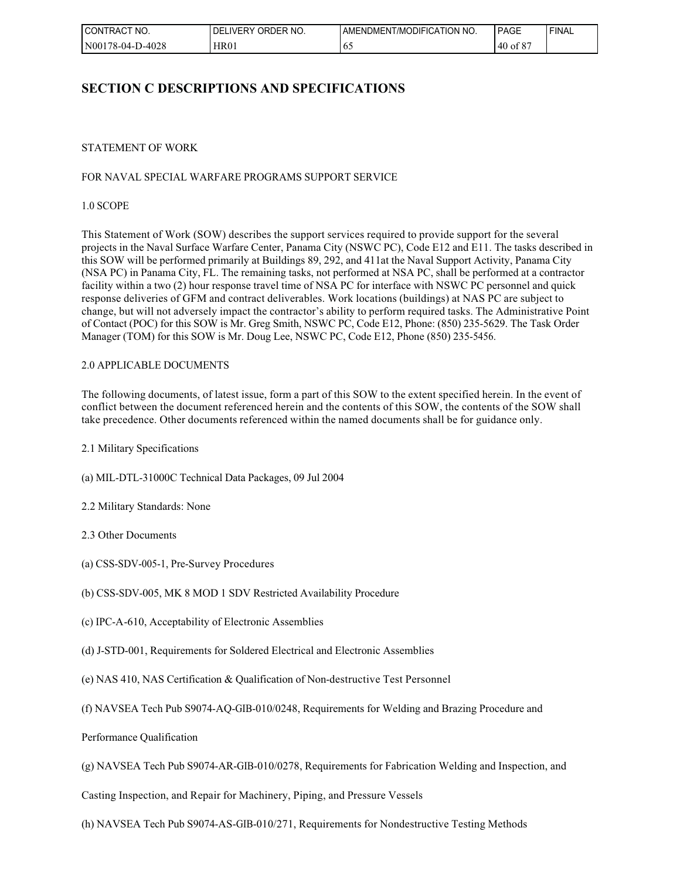| NO.<br>I CONTRACT | ORDER NO.<br>DEL<br>∟IVERY | AMENDMENT/MODIFICATION NO. | <b>PAGE</b>   | ' FINAL |
|-------------------|----------------------------|----------------------------|---------------|---------|
| N00178-04-D-4028  | <b>HR01</b>                | - 61                       | of $87$<br>40 |         |

# **SECTION C DESCRIPTIONS AND SPECIFICATIONS**

# STATEMENT OF WORK

# FOR NAVAL SPECIAL WARFARE PROGRAMS SUPPORT SERVICE

1.0 SCOPE

This Statement of Work (SOW) describes the support services required to provide support for the several projects in the Naval Surface Warfare Center, Panama City (NSWC PC), Code E12 and E11. The tasks described in this SOW will be performed primarily at Buildings 89, 292, and 411at the Naval Support Activity, Panama City (NSA PC) in Panama City, FL. The remaining tasks, not performed at NSA PC, shall be performed at a contractor facility within a two (2) hour response travel time of NSA PC for interface with NSWC PC personnel and quick response deliveries of GFM and contract deliverables. Work locations (buildings) at NAS PC are subject to change, but will not adversely impact the contractor's ability to perform required tasks. The Administrative Point of Contact (POC) for this SOW is Mr. Greg Smith, NSWC PC, Code E12, Phone: (850) 235-5629. The Task Order Manager (TOM) for this SOW is Mr. Doug Lee, NSWC PC, Code E12, Phone (850) 235-5456.

# 2.0 APPLICABLE DOCUMENTS

The following documents, of latest issue, form a part of this SOW to the extent specified herein. In the event of conflict between the document referenced herein and the contents of this SOW, the contents of the SOW shall take precedence. Other documents referenced within the named documents shall be for guidance only.

2.1 Military Specifications

(a) MIL-DTL-31000C Technical Data Packages, 09 Jul 2004

2.2 Military Standards: None

2.3 Other Documents

(a) CSS-SDV-005-1, Pre-Survey Procedures

(b) CSS-SDV-005, MK 8 MOD 1 SDV Restricted Availability Procedure

- (c) IPC-A-610, Acceptability of Electronic Assemblies
- (d) J-STD-001, Requirements for Soldered Electrical and Electronic Assemblies
- (e) NAS 410, NAS Certification & Qualification of Non-destructive Test Personnel
- (f) NAVSEA Tech Pub S9074-AQ-GIB-010/0248, Requirements for Welding and Brazing Procedure and
- Performance Qualification

(g) NAVSEA Tech Pub S9074-AR-GIB-010/0278, Requirements for Fabrication Welding and Inspection, and

Casting Inspection, and Repair for Machinery, Piping, and Pressure Vessels

(h) NAVSEA Tech Pub S9074-AS-GIB-010/271, Requirements for Nondestructive Testing Methods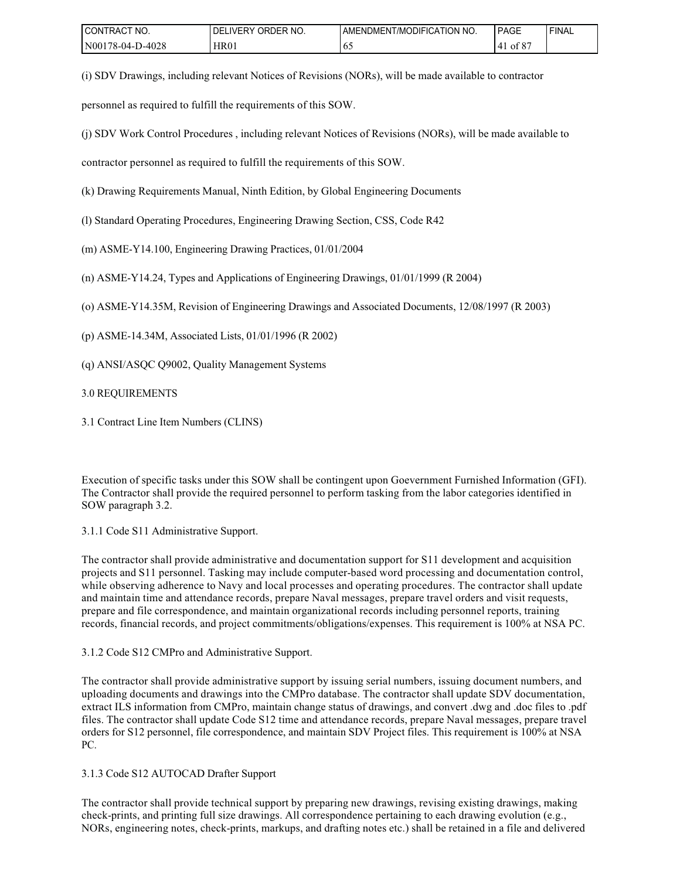| I CONTRACT<br>'NO. | ' ORDER NO.<br>DELI<br>_IVERY | AMENDMENT/MODIFICATION NO. | <b>PAGE</b>  | ' FINAL |
|--------------------|-------------------------------|----------------------------|--------------|---------|
| N00178-04-D-4028   | HR01                          | 02                         | ot 8<br>'4 I |         |

(i) SDV Drawings, including relevant Notices of Revisions (NORs), will be made available to contractor

personnel as required to fulfill the requirements of this SOW.

(j) SDV Work Control Procedures , including relevant Notices of Revisions (NORs), will be made available to

contractor personnel as required to fulfill the requirements of this SOW.

(k) Drawing Requirements Manual, Ninth Edition, by Global Engineering Documents

(l) Standard Operating Procedures, Engineering Drawing Section, CSS, Code R42

(m) ASME-Y14.100, Engineering Drawing Practices, 01/01/2004

(n) ASME-Y14.24, Types and Applications of Engineering Drawings, 01/01/1999 (R 2004)

(o) ASME-Y14.35M, Revision of Engineering Drawings and Associated Documents, 12/08/1997 (R 2003)

(p) ASME-14.34M, Associated Lists, 01/01/1996 (R 2002)

(q) ANSI/ASQC Q9002, Quality Management Systems

3.0 REQUIREMENTS

3.1 Contract Line Item Numbers (CLINS)

Execution of specific tasks under this SOW shall be contingent upon Goevernment Furnished Information (GFI). The Contractor shall provide the required personnel to perform tasking from the labor categories identified in SOW paragraph 3.2.

3.1.1 Code S11 Administrative Support.

The contractor shall provide administrative and documentation support for S11 development and acquisition projects and S11 personnel. Tasking may include computer-based word processing and documentation control, while observing adherence to Navy and local processes and operating procedures. The contractor shall update and maintain time and attendance records, prepare Naval messages, prepare travel orders and visit requests, prepare and file correspondence, and maintain organizational records including personnel reports, training records, financial records, and project commitments/obligations/expenses. This requirement is 100% at NSA PC.

3.1.2 Code S12 CMPro and Administrative Support.

The contractor shall provide administrative support by issuing serial numbers, issuing document numbers, and uploading documents and drawings into the CMPro database. The contractor shall update SDV documentation, extract ILS information from CMPro, maintain change status of drawings, and convert .dwg and .doc files to .pdf files. The contractor shall update Code S12 time and attendance records, prepare Naval messages, prepare travel orders for S12 personnel, file correspondence, and maintain SDV Project files. This requirement is 100% at NSA PC.

3.1.3 Code S12 AUTOCAD Drafter Support

The contractor shall provide technical support by preparing new drawings, revising existing drawings, making check-prints, and printing full size drawings. All correspondence pertaining to each drawing evolution (e.g., NORs, engineering notes, check-prints, markups, and drafting notes etc.) shall be retained in a file and delivered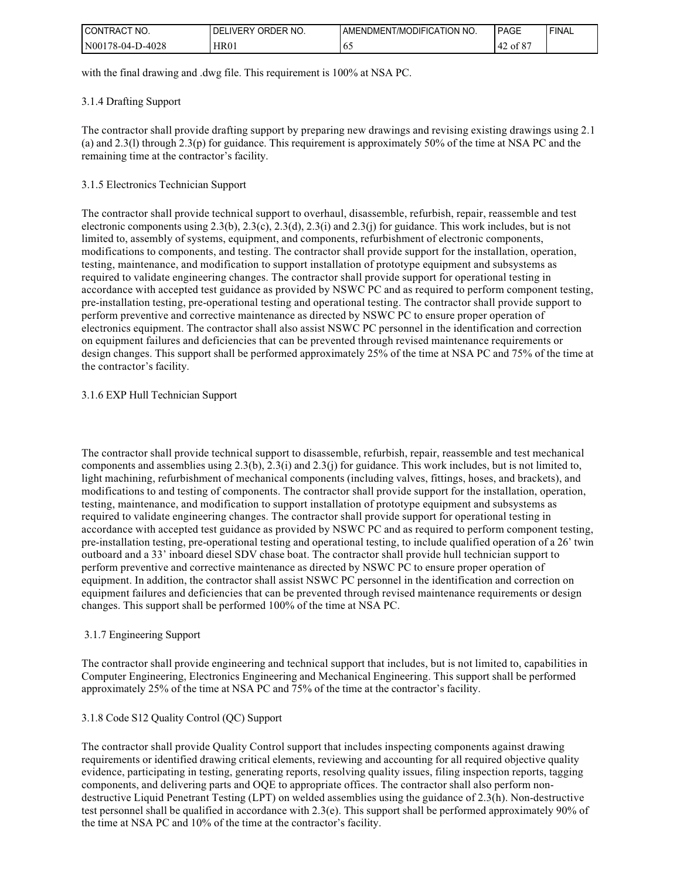| <b>CONTRACT</b><br>'NO. | ORDER NO.<br>DELI<br><b>IVERY</b> | AMENDMENT/MODIFICATION NO. | PAGE                | ' FINAL |
|-------------------------|-----------------------------------|----------------------------|---------------------|---------|
| D-4028<br>N00178-04-D   | HR01                              | v.                         | c or<br>ot 8<br>142 |         |

with the final drawing and .dwg file. This requirement is 100% at NSA PC.

# 3.1.4 Drafting Support

The contractor shall provide drafting support by preparing new drawings and revising existing drawings using 2.1 (a) and 2.3(l) through 2.3(p) for guidance. This requirement is approximately 50% of the time at NSA PC and the remaining time at the contractor's facility.

# 3.1.5 Electronics Technician Support

The contractor shall provide technical support to overhaul, disassemble, refurbish, repair, reassemble and test electronic components using  $2.3(b)$ ,  $2.3(c)$ ,  $2.3(d)$ ,  $2.3(i)$  and  $2.3(j)$  for guidance. This work includes, but is not limited to, assembly of systems, equipment, and components, refurbishment of electronic components, modifications to components, and testing. The contractor shall provide support for the installation, operation, testing, maintenance, and modification to support installation of prototype equipment and subsystems as required to validate engineering changes. The contractor shall provide support for operational testing in accordance with accepted test guidance as provided by NSWC PC and as required to perform component testing, pre-installation testing, pre-operational testing and operational testing. The contractor shall provide support to perform preventive and corrective maintenance as directed by NSWC PC to ensure proper operation of electronics equipment. The contractor shall also assist NSWC PC personnel in the identification and correction on equipment failures and deficiencies that can be prevented through revised maintenance requirements or design changes. This support shall be performed approximately 25% of the time at NSA PC and 75% of the time at the contractor's facility.

# 3.1.6 EXP Hull Technician Support

The contractor shall provide technical support to disassemble, refurbish, repair, reassemble and test mechanical components and assemblies using  $2.3(b)$ ,  $2.3(i)$  and  $2.3(i)$  for guidance. This work includes, but is not limited to, light machining, refurbishment of mechanical components (including valves, fittings, hoses, and brackets), and modifications to and testing of components. The contractor shall provide support for the installation, operation, testing, maintenance, and modification to support installation of prototype equipment and subsystems as required to validate engineering changes. The contractor shall provide support for operational testing in accordance with accepted test guidance as provided by NSWC PC and as required to perform component testing, pre-installation testing, pre-operational testing and operational testing, to include qualified operation of a 26' twin outboard and a 33' inboard diesel SDV chase boat. The contractor shall provide hull technician support to perform preventive and corrective maintenance as directed by NSWC PC to ensure proper operation of equipment. In addition, the contractor shall assist NSWC PC personnel in the identification and correction on equipment failures and deficiencies that can be prevented through revised maintenance requirements or design changes. This support shall be performed 100% of the time at NSA PC.

# 3.1.7 Engineering Support

The contractor shall provide engineering and technical support that includes, but is not limited to, capabilities in Computer Engineering, Electronics Engineering and Mechanical Engineering. This support shall be performed approximately 25% of the time at NSA PC and 75% of the time at the contractor's facility.

# 3.1.8 Code S12 Quality Control (QC) Support

The contractor shall provide Quality Control support that includes inspecting components against drawing requirements or identified drawing critical elements, reviewing and accounting for all required objective quality evidence, participating in testing, generating reports, resolving quality issues, filing inspection reports, tagging components, and delivering parts and OQE to appropriate offices. The contractor shall also perform nondestructive Liquid Penetrant Testing (LPT) on welded assemblies using the guidance of 2.3(h). Non-destructive test personnel shall be qualified in accordance with  $2.3(e)$ . This support shall be performed approximately 90% of the time at NSA PC and 10% of the time at the contractor's facility.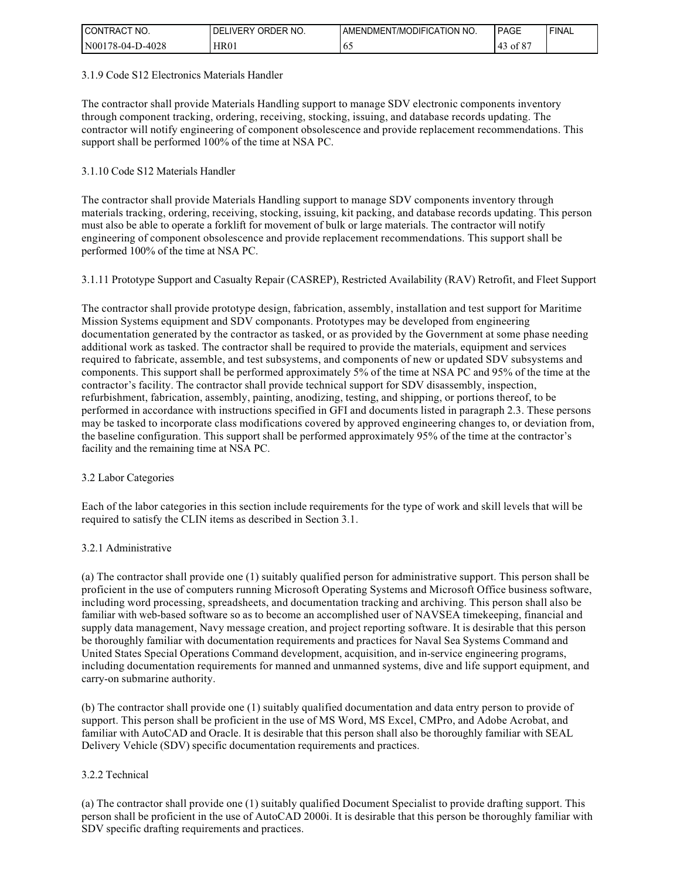| I CONTRACT NO.        | ORDER NO.<br><b>DELIVERY</b> | AMENDMENT/MODIFICATION NO. | PAGE          | ' FINAL |
|-----------------------|------------------------------|----------------------------|---------------|---------|
| 0-4028<br>N00178-04-L | HR01                         | ν.                         | co.<br>' of ծ |         |

#### 3.1.9 Code S12 Electronics Materials Handler

The contractor shall provide Materials Handling support to manage SDV electronic components inventory through component tracking, ordering, receiving, stocking, issuing, and database records updating. The contractor will notify engineering of component obsolescence and provide replacement recommendations. This support shall be performed 100% of the time at NSA PC.

# 3.1.10 Code S12 Materials Handler

The contractor shall provide Materials Handling support to manage SDV components inventory through materials tracking, ordering, receiving, stocking, issuing, kit packing, and database records updating. This person must also be able to operate a forklift for movement of bulk or large materials. The contractor will notify engineering of component obsolescence and provide replacement recommendations. This support shall be performed 100% of the time at NSA PC.

# 3.1.11 Prototype Support and Casualty Repair (CASREP), Restricted Availability (RAV) Retrofit, and Fleet Support

The contractor shall provide prototype design, fabrication, assembly, installation and test support for Maritime Mission Systems equipment and SDV componants. Prototypes may be developed from engineering documentation generated by the contractor as tasked, or as provided by the Government at some phase needing additional work as tasked. The contractor shall be required to provide the materials, equipment and services required to fabricate, assemble, and test subsystems, and components of new or updated SDV subsystems and components. This support shall be performed approximately 5% of the time at NSA PC and 95% of the time at the contractor's facility. The contractor shall provide technical support for SDV disassembly, inspection, refurbishment, fabrication, assembly, painting, anodizing, testing, and shipping, or portions thereof, to be performed in accordance with instructions specified in GFI and documents listed in paragraph 2.3. These persons may be tasked to incorporate class modifications covered by approved engineering changes to, or deviation from, the baseline configuration. This support shall be performed approximately 95% of the time at the contractor's facility and the remaining time at NSA PC.

# 3.2 Labor Categories

Each of the labor categories in this section include requirements for the type of work and skill levels that will be required to satisfy the CLIN items as described in Section 3.1.

# 3.2.1 Administrative

(a) The contractor shall provide one (1) suitably qualified person for administrative support. This person shall be proficient in the use of computers running Microsoft Operating Systems and Microsoft Office business software, including word processing, spreadsheets, and documentation tracking and archiving. This person shall also be familiar with web-based software so as to become an accomplished user of NAVSEA timekeeping, financial and supply data management, Navy message creation, and project reporting software. It is desirable that this person be thoroughly familiar with documentation requirements and practices for Naval Sea Systems Command and United States Special Operations Command development, acquisition, and in-service engineering programs, including documentation requirements for manned and unmanned systems, dive and life support equipment, and carry-on submarine authority.

(b) The contractor shall provide one (1) suitably qualified documentation and data entry person to provide of support. This person shall be proficient in the use of MS Word, MS Excel, CMPro, and Adobe Acrobat, and familiar with AutoCAD and Oracle. It is desirable that this person shall also be thoroughly familiar with SEAL Delivery Vehicle (SDV) specific documentation requirements and practices.

# 3.2.2 Technical

(a) The contractor shall provide one (1) suitably qualified Document Specialist to provide drafting support. This person shall be proficient in the use of AutoCAD 2000i. It is desirable that this person be thoroughly familiar with SDV specific drafting requirements and practices.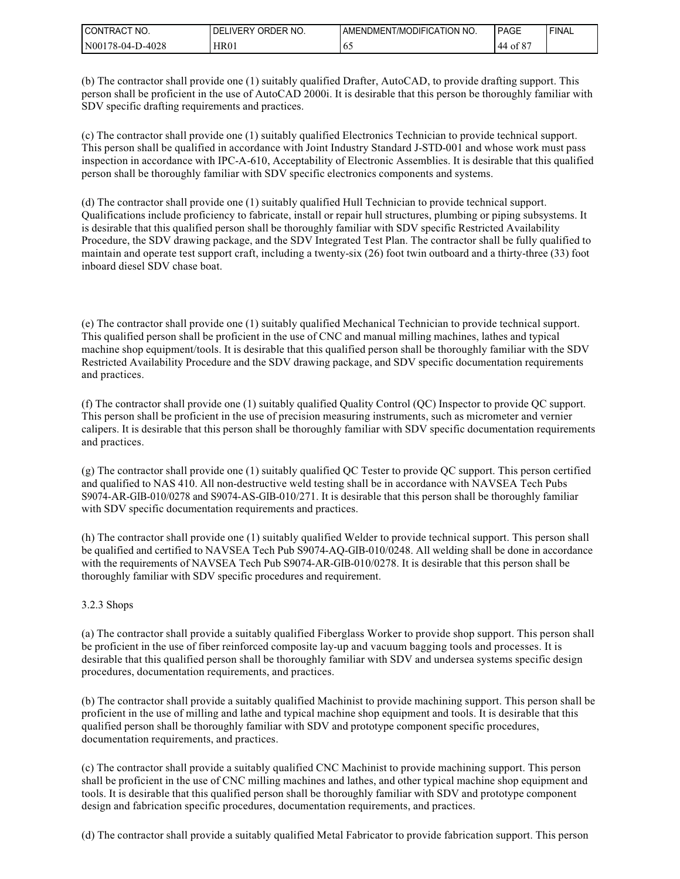| <b>CONTRACT</b><br>NO. | DELIVERY<br>ORDER NO. | I AMENDMENT/MODIFICATION NO. | PAGE       | <b>FINAL</b> |
|------------------------|-----------------------|------------------------------|------------|--------------|
| N00178-04-D-4028       | HR01                  | 0.5                          | ot 8<br>44 |              |

(b) The contractor shall provide one (1) suitably qualified Drafter, AutoCAD, to provide drafting support. This person shall be proficient in the use of AutoCAD 2000i. It is desirable that this person be thoroughly familiar with SDV specific drafting requirements and practices.

(c) The contractor shall provide one (1) suitably qualified Electronics Technician to provide technical support. This person shall be qualified in accordance with Joint Industry Standard J-STD-001 and whose work must pass inspection in accordance with IPC-A-610, Acceptability of Electronic Assemblies. It is desirable that this qualified person shall be thoroughly familiar with SDV specific electronics components and systems.

(d) The contractor shall provide one (1) suitably qualified Hull Technician to provide technical support. Qualifications include proficiency to fabricate, install or repair hull structures, plumbing or piping subsystems. It is desirable that this qualified person shall be thoroughly familiar with SDV specific Restricted Availability Procedure, the SDV drawing package, and the SDV Integrated Test Plan. The contractor shall be fully qualified to maintain and operate test support craft, including a twenty-six (26) foot twin outboard and a thirty-three (33) foot inboard diesel SDV chase boat.

(e) The contractor shall provide one (1) suitably qualified Mechanical Technician to provide technical support. This qualified person shall be proficient in the use of CNC and manual milling machines, lathes and typical machine shop equipment/tools. It is desirable that this qualified person shall be thoroughly familiar with the SDV Restricted Availability Procedure and the SDV drawing package, and SDV specific documentation requirements and practices.

(f) The contractor shall provide one (1) suitably qualified Quality Control (QC) Inspector to provide QC support. This person shall be proficient in the use of precision measuring instruments, such as micrometer and vernier calipers. It is desirable that this person shall be thoroughly familiar with SDV specific documentation requirements and practices.

(g) The contractor shall provide one (1) suitably qualified QC Tester to provide QC support. This person certified and qualified to NAS 410. All non-destructive weld testing shall be in accordance with NAVSEA Tech Pubs S9074-AR-GIB-010/0278 and S9074-AS-GIB-010/271. It is desirable that this person shall be thoroughly familiar with SDV specific documentation requirements and practices.

(h) The contractor shall provide one (1) suitably qualified Welder to provide technical support. This person shall be qualified and certified to NAVSEA Tech Pub S9074-AQ-GIB-010/0248. All welding shall be done in accordance with the requirements of NAVSEA Tech Pub S9074-AR-GIB-010/0278. It is desirable that this person shall be thoroughly familiar with SDV specific procedures and requirement.

# 3.2.3 Shops

(a) The contractor shall provide a suitably qualified Fiberglass Worker to provide shop support. This person shall be proficient in the use of fiber reinforced composite lay-up and vacuum bagging tools and processes. It is desirable that this qualified person shall be thoroughly familiar with SDV and undersea systems specific design procedures, documentation requirements, and practices.

(b) The contractor shall provide a suitably qualified Machinist to provide machining support. This person shall be proficient in the use of milling and lathe and typical machine shop equipment and tools. It is desirable that this qualified person shall be thoroughly familiar with SDV and prototype component specific procedures, documentation requirements, and practices.

(c) The contractor shall provide a suitably qualified CNC Machinist to provide machining support. This person shall be proficient in the use of CNC milling machines and lathes, and other typical machine shop equipment and tools. It is desirable that this qualified person shall be thoroughly familiar with SDV and prototype component design and fabrication specific procedures, documentation requirements, and practices.

(d) The contractor shall provide a suitably qualified Metal Fabricator to provide fabrication support. This person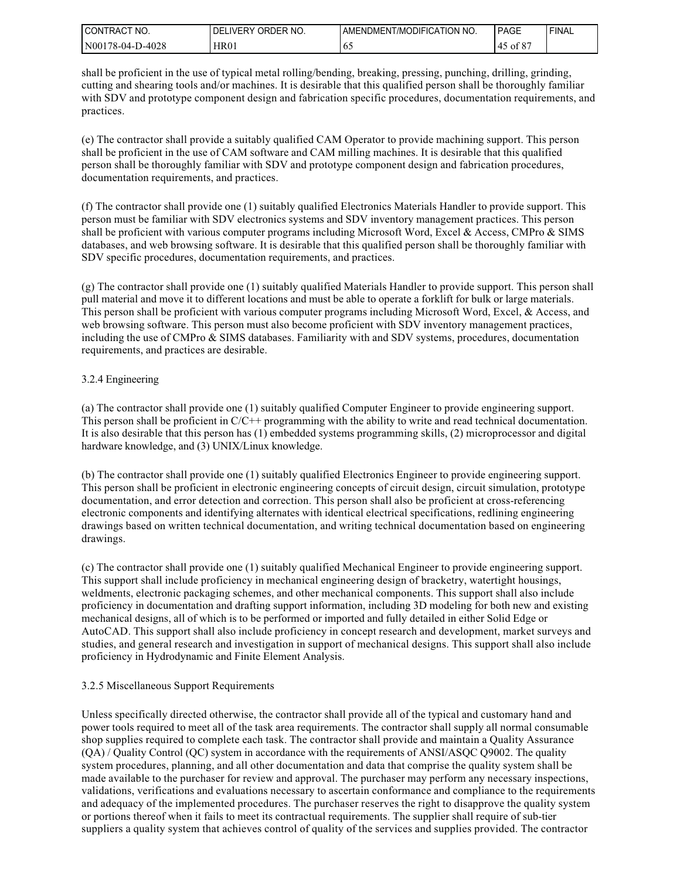| I CONTRACT<br>'NO. | ORDER NO.<br><b>DELIVERY</b> | AMENDMENT/MODIFICATION NO. | PAGE       | 'FINAL |
|--------------------|------------------------------|----------------------------|------------|--------|
| N00178-04-D-4028   | HR01                         | 0.                         | ot 8<br>`` |        |

shall be proficient in the use of typical metal rolling/bending, breaking, pressing, punching, drilling, grinding, cutting and shearing tools and/or machines. It is desirable that this qualified person shall be thoroughly familiar with SDV and prototype component design and fabrication specific procedures, documentation requirements, and practices.

(e) The contractor shall provide a suitably qualified CAM Operator to provide machining support. This person shall be proficient in the use of CAM software and CAM milling machines. It is desirable that this qualified person shall be thoroughly familiar with SDV and prototype component design and fabrication procedures, documentation requirements, and practices.

(f) The contractor shall provide one (1) suitably qualified Electronics Materials Handler to provide support. This person must be familiar with SDV electronics systems and SDV inventory management practices. This person shall be proficient with various computer programs including Microsoft Word, Excel & Access, CMPro & SIMS databases, and web browsing software. It is desirable that this qualified person shall be thoroughly familiar with SDV specific procedures, documentation requirements, and practices.

(g) The contractor shall provide one (1) suitably qualified Materials Handler to provide support. This person shall pull material and move it to different locations and must be able to operate a forklift for bulk or large materials. This person shall be proficient with various computer programs including Microsoft Word, Excel, & Access, and web browsing software. This person must also become proficient with SDV inventory management practices, including the use of CMPro & SIMS databases. Familiarity with and SDV systems, procedures, documentation requirements, and practices are desirable.

#### 3.2.4 Engineering

(a) The contractor shall provide one (1) suitably qualified Computer Engineer to provide engineering support. This person shall be proficient in C/C++ programming with the ability to write and read technical documentation. It is also desirable that this person has (1) embedded systems programming skills, (2) microprocessor and digital hardware knowledge, and (3) UNIX/Linux knowledge.

(b) The contractor shall provide one (1) suitably qualified Electronics Engineer to provide engineering support. This person shall be proficient in electronic engineering concepts of circuit design, circuit simulation, prototype documentation, and error detection and correction. This person shall also be proficient at cross-referencing electronic components and identifying alternates with identical electrical specifications, redlining engineering drawings based on written technical documentation, and writing technical documentation based on engineering drawings.

(c) The contractor shall provide one (1) suitably qualified Mechanical Engineer to provide engineering support. This support shall include proficiency in mechanical engineering design of bracketry, watertight housings, weldments, electronic packaging schemes, and other mechanical components. This support shall also include proficiency in documentation and drafting support information, including 3D modeling for both new and existing mechanical designs, all of which is to be performed or imported and fully detailed in either Solid Edge or AutoCAD. This support shall also include proficiency in concept research and development, market surveys and studies, and general research and investigation in support of mechanical designs. This support shall also include proficiency in Hydrodynamic and Finite Element Analysis.

#### 3.2.5 Miscellaneous Support Requirements

Unless specifically directed otherwise, the contractor shall provide all of the typical and customary hand and power tools required to meet all of the task area requirements. The contractor shall supply all normal consumable shop supplies required to complete each task. The contractor shall provide and maintain a Quality Assurance (QA) / Quality Control (QC) system in accordance with the requirements of ANSI/ASQC Q9002. The quality system procedures, planning, and all other documentation and data that comprise the quality system shall be made available to the purchaser for review and approval. The purchaser may perform any necessary inspections, validations, verifications and evaluations necessary to ascertain conformance and compliance to the requirements and adequacy of the implemented procedures. The purchaser reserves the right to disapprove the quality system or portions thereof when it fails to meet its contractual requirements. The supplier shall require of sub-tier suppliers a quality system that achieves control of quality of the services and supplies provided. The contractor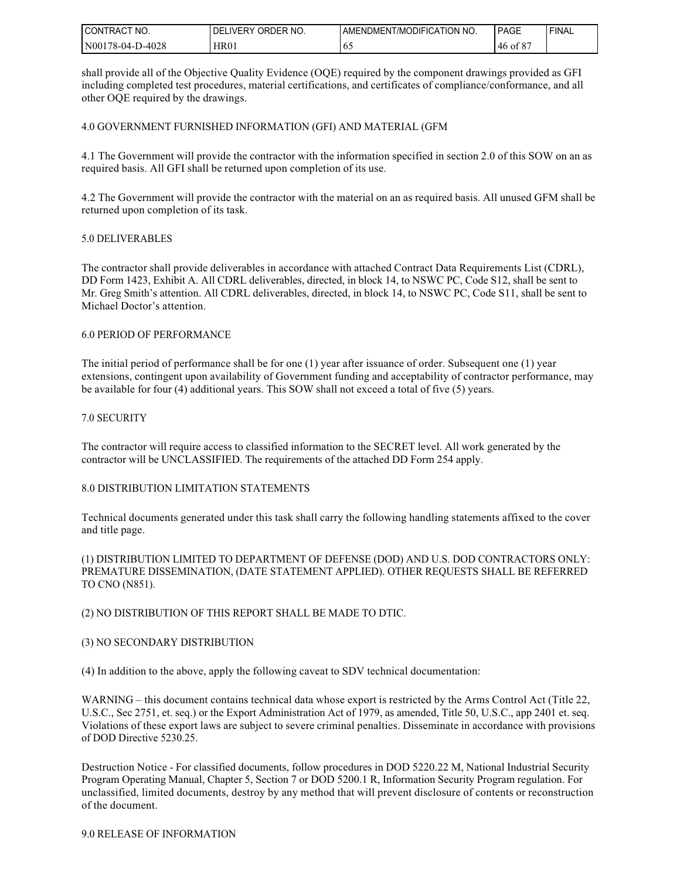| I CONTRACT NO.   | ' ORDER NO.<br><b>DELIVERY</b> | AMENDMENT/MODIFICATION NO. | <b>PAGE</b> | <b>FINAL</b> |
|------------------|--------------------------------|----------------------------|-------------|--------------|
| N00178-04-D-4028 | HR01                           | 0:                         | 46 of 8     |              |

shall provide all of the Objective Quality Evidence (OQE) required by the component drawings provided as GFI including completed test procedures, material certifications, and certificates of compliance/conformance, and all other OQE required by the drawings.

4.0 GOVERNMENT FURNISHED INFORMATION (GFI) AND MATERIAL (GFM

4.1 The Government will provide the contractor with the information specified in section 2.0 of this SOW on an as required basis. All GFI shall be returned upon completion of its use.

4.2 The Government will provide the contractor with the material on an as required basis. All unused GFM shall be returned upon completion of its task.

#### 5.0 DELIVERABLES

The contractor shall provide deliverables in accordance with attached Contract Data Requirements List (CDRL), DD Form 1423, Exhibit A. All CDRL deliverables, directed, in block 14, to NSWC PC, Code S12, shall be sent to Mr. Greg Smith's attention. All CDRL deliverables, directed, in block 14, to NSWC PC, Code S11, shall be sent to Michael Doctor's attention.

#### 6.0 PERIOD OF PERFORMANCE

The initial period of performance shall be for one (1) year after issuance of order. Subsequent one (1) year extensions, contingent upon availability of Government funding and acceptability of contractor performance, may be available for four (4) additional years. This SOW shall not exceed a total of five (5) years.

#### 7.0 SECURITY

The contractor will require access to classified information to the SECRET level. All work generated by the contractor will be UNCLASSIFIED. The requirements of the attached DD Form 254 apply.

# 8.0 DISTRIBUTION LIMITATION STATEMENTS

Technical documents generated under this task shall carry the following handling statements affixed to the cover and title page.

(1) DISTRIBUTION LIMITED TO DEPARTMENT OF DEFENSE (DOD) AND U.S. DOD CONTRACTORS ONLY: PREMATURE DISSEMINATION, (DATE STATEMENT APPLIED). OTHER REQUESTS SHALL BE REFERRED TO CNO (N851).

# (2) NO DISTRIBUTION OF THIS REPORT SHALL BE MADE TO DTIC.

#### (3) NO SECONDARY DISTRIBUTION

(4) In addition to the above, apply the following caveat to SDV technical documentation:

WARNING – this document contains technical data whose export is restricted by the Arms Control Act (Title 22, U.S.C., Sec 2751, et. seq.) or the Export Administration Act of 1979, as amended, Title 50, U.S.C., app 2401 et. seq. Violations of these export laws are subject to severe criminal penalties. Disseminate in accordance with provisions of DOD Directive 5230.25.

Destruction Notice - For classified documents, follow procedures in DOD 5220.22 M, National Industrial Security Program Operating Manual, Chapter 5, Section 7 or DOD 5200.1 R, Information Security Program regulation. For unclassified, limited documents, destroy by any method that will prevent disclosure of contents or reconstruction of the document.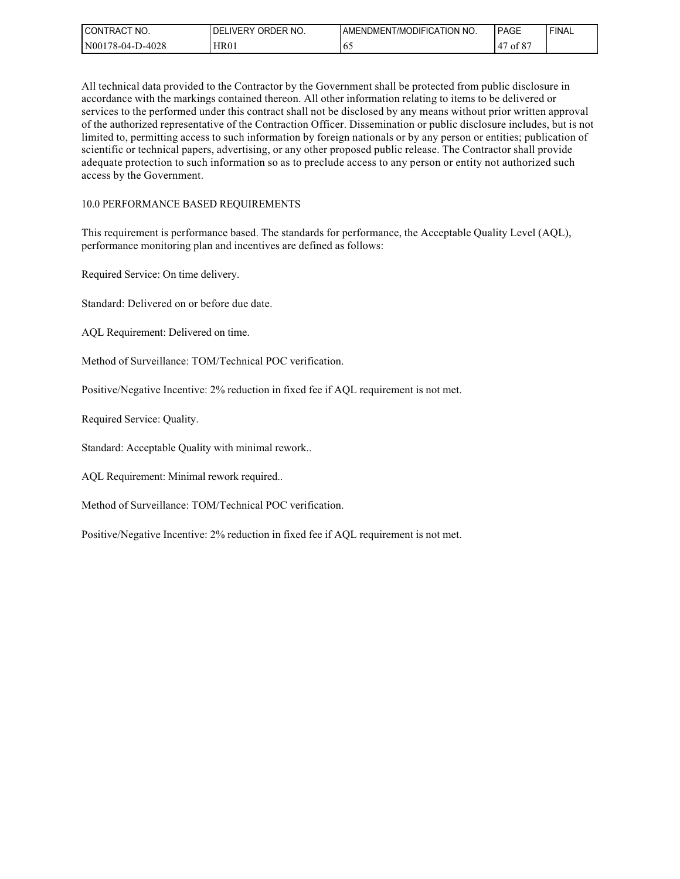| I CONTRACT<br>'NO. | ORDER NO.<br>DEL<br>LIVERY | AMENDMENT/MODIFICATION NO. | PAGE                    | 'FINAL |
|--------------------|----------------------------|----------------------------|-------------------------|--------|
| N00178-04-D-4028   | HR01                       | 0.                         | 00 <sup>2</sup><br>ot 8 |        |

All technical data provided to the Contractor by the Government shall be protected from public disclosure in accordance with the markings contained thereon. All other information relating to items to be delivered or services to the performed under this contract shall not be disclosed by any means without prior written approval of the authorized representative of the Contraction Officer. Dissemination or public disclosure includes, but is not limited to, permitting access to such information by foreign nationals or by any person or entities; publication of scientific or technical papers, advertising, or any other proposed public release. The Contractor shall provide adequate protection to such information so as to preclude access to any person or entity not authorized such access by the Government.

# 10.0 PERFORMANCE BASED REQUIREMENTS

This requirement is performance based. The standards for performance, the Acceptable Quality Level (AQL), performance monitoring plan and incentives are defined as follows:

Required Service: On time delivery.

Standard: Delivered on or before due date.

AQL Requirement: Delivered on time.

Method of Surveillance: TOM/Technical POC verification.

Positive/Negative Incentive: 2% reduction in fixed fee if AQL requirement is not met.

Required Service: Quality.

Standard: Acceptable Quality with minimal rework..

AQL Requirement: Minimal rework required..

Method of Surveillance: TOM/Technical POC verification.

Positive/Negative Incentive: 2% reduction in fixed fee if AQL requirement is not met.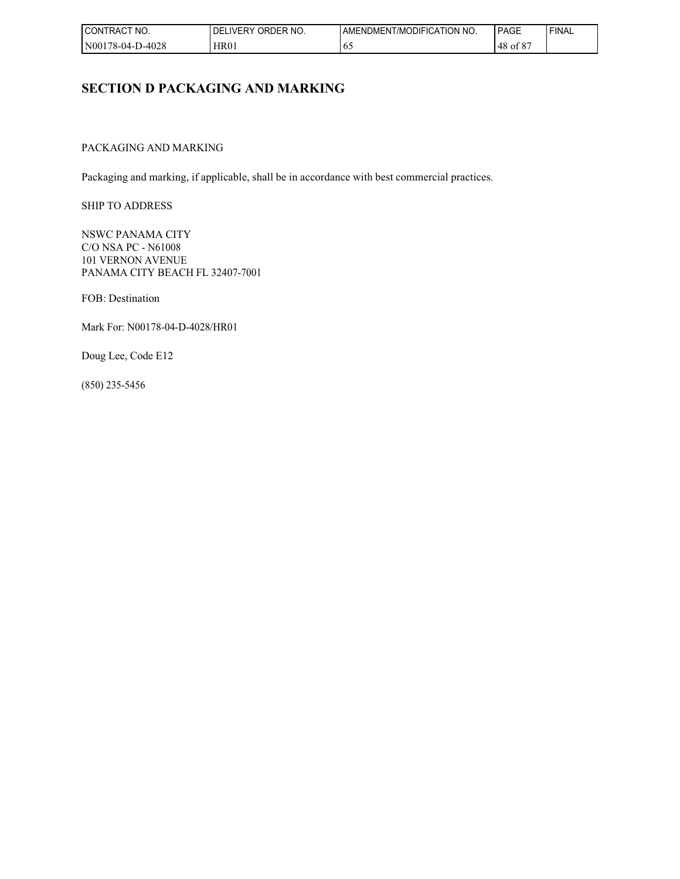| NO.<br>I CONTRACT | ORDER NO.<br><b>DELIVERY</b> | AMENDMENT/MODIFICATION NO. | PAGE                          | 'FINAL |
|-------------------|------------------------------|----------------------------|-------------------------------|--------|
| N00178-04-D-4028  | HR01                         | 02                         | 00 <sup>2</sup><br>48<br>ot 8 |        |

# **SECTION D PACKAGING AND MARKING**

# PACKAGING AND MARKING

Packaging and marking, if applicable, shall be in accordance with best commercial practices.

SHIP TO ADDRESS

NSWC PANAMA CITY C/O NSA PC - N61008 101 VERNON AVENUE PANAMA CITY BEACH FL 32407-7001

FOB: Destination

Mark For: N00178-04-D-4028/HR01

Doug Lee, Code E12

(850) 235-5456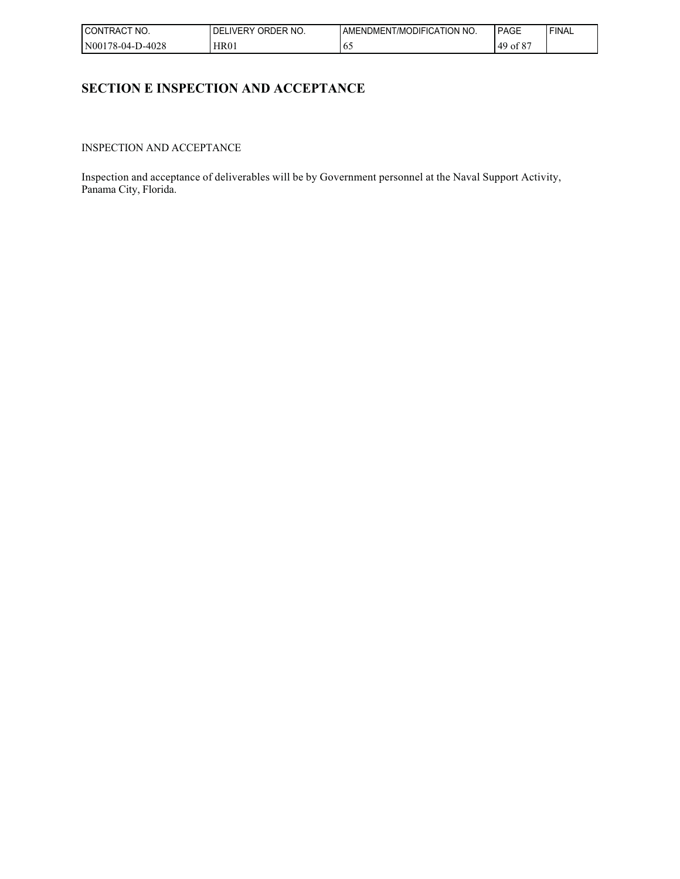| NO.<br><b>CONTRAC</b> | <b>LIVERY</b><br>ORDER NO.<br>. DEL | AMENDMENT/MODIFICATION NO. | <b>PAGE</b>                   | 'FINAL |
|-----------------------|-------------------------------------|----------------------------|-------------------------------|--------|
| N00178-04-D-4028      | HR01                                | 02                         | 00 <sup>2</sup><br>49<br>ot 8 |        |

# **SECTION E INSPECTION AND ACCEPTANCE**

INSPECTION AND ACCEPTANCE

Inspection and acceptance of deliverables will be by Government personnel at the Naval Support Activity, Panama City, Florida.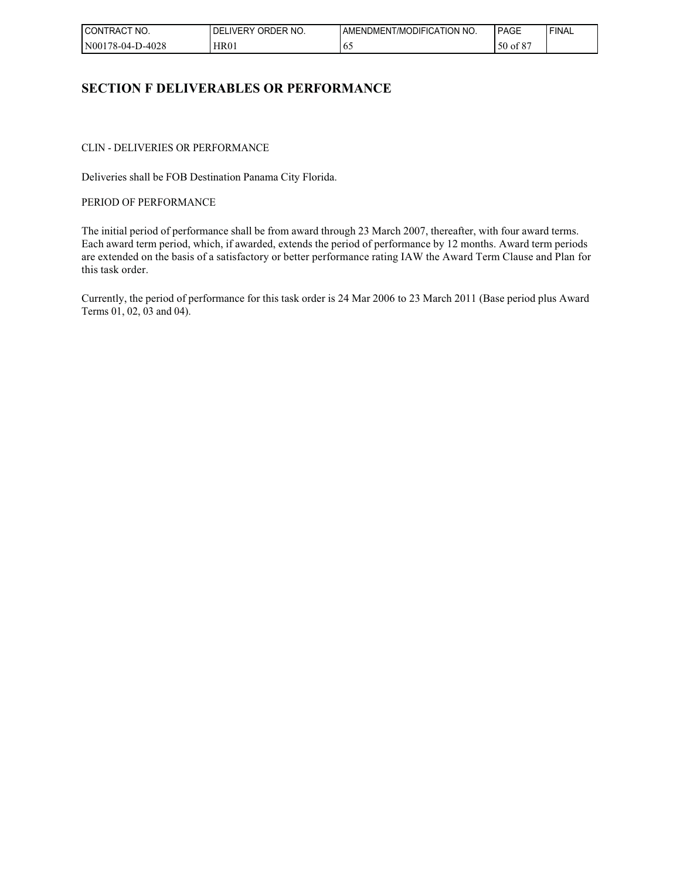| $\sim$<br>'NO.<br><b>CONTRACT</b> | ORDER NO.<br><b>LIVERY</b><br>DFI | AMENDMENT/MODIFICATION NO. | PAGE               | ' FINAL |
|-----------------------------------|-----------------------------------|----------------------------|--------------------|---------|
| N00178-04-D-4028                  | <b>HR01</b>                       | ν.                         | .co.<br>50<br>ot 8 |         |

# **SECTION F DELIVERABLES OR PERFORMANCE**

CLIN - DELIVERIES OR PERFORMANCE

Deliveries shall be FOB Destination Panama City Florida.

PERIOD OF PERFORMANCE

The initial period of performance shall be from award through 23 March 2007, thereafter, with four award terms. Each award term period, which, if awarded, extends the period of performance by 12 months. Award term periods are extended on the basis of a satisfactory or better performance rating IAW the Award Term Clause and Plan for this task order.

Currently, the period of performance for this task order is 24 Mar 2006 to 23 March 2011 (Base period plus Award Terms 01, 02, 03 and 04).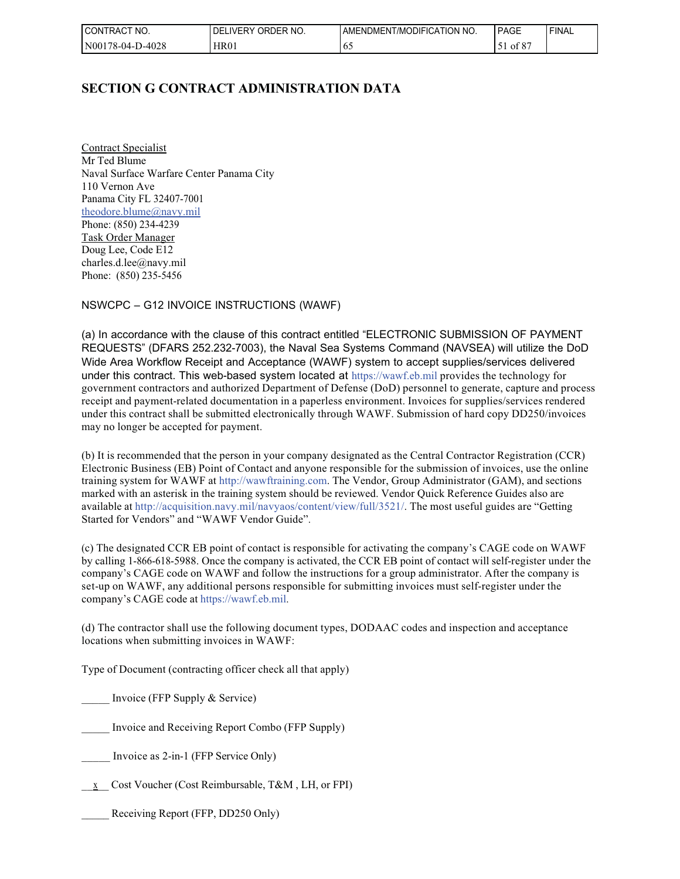| NO.<br>$\sim$<br>CONTRACT | ORDER NO.<br><b>LIVERY</b><br>DFI | AMENDMENT/MODIFICATION NO. | PAGE                    | 'FINAL |
|---------------------------|-----------------------------------|----------------------------|-------------------------|--------|
| N00178-04-D-4028          | HR01                              | O.                         | 00 <sup>2</sup><br>ot 8 |        |

# **SECTION G CONTRACT ADMINISTRATION DATA**

Contract Specialist Mr Ted Blume Naval Surface Warfare Center Panama City 110 Vernon Ave Panama City FL 32407-7001 theodore.blume@navy.mil Phone: (850) 234-4239 Task Order Manager Doug Lee, Code E12 charles.d.lee@navy.mil Phone: (850) 235-5456

NSWCPC – G12 INVOICE INSTRUCTIONS (WAWF)

(a) In accordance with the clause of this contract entitled "ELECTRONIC SUBMISSION OF PAYMENT REQUESTS" (DFARS 252.232-7003), the Naval Sea Systems Command (NAVSEA) will utilize the DoD Wide Area Workflow Receipt and Acceptance (WAWF) system to accept supplies/services delivered under this contract. This web-based system located at https://wawf.eb.mil provides the technology for government contractors and authorized Department of Defense (DoD) personnel to generate, capture and process receipt and payment-related documentation in a paperless environment. Invoices for supplies/services rendered under this contract shall be submitted electronically through WAWF. Submission of hard copy DD250/invoices may no longer be accepted for payment.

(b) It is recommended that the person in your company designated as the Central Contractor Registration (CCR) Electronic Business (EB) Point of Contact and anyone responsible for the submission of invoices, use the online training system for WAWF at http://wawftraining.com. The Vendor, Group Administrator (GAM), and sections marked with an asterisk in the training system should be reviewed. Vendor Quick Reference Guides also are available at http://acquisition.navy.mil/navyaos/content/view/full/3521/. The most useful guides are "Getting Started for Vendors" and "WAWF Vendor Guide".

(c) The designated CCR EB point of contact is responsible for activating the company's CAGE code on WAWF by calling 1-866-618-5988. Once the company is activated, the CCR EB point of contact will self-register under the company's CAGE code on WAWF and follow the instructions for a group administrator. After the company is set-up on WAWF, any additional persons responsible for submitting invoices must self-register under the company's CAGE code at https://wawf.eb.mil.

(d) The contractor shall use the following document types, DODAAC codes and inspection and acceptance locations when submitting invoices in WAWF:

Type of Document (contracting officer check all that apply)

Invoice (FFP Supply & Service)

\_\_\_\_\_ Invoice and Receiving Report Combo (FFP Supply)

- Invoice as 2-in-1 (FFP Service Only)
- \_\_x\_\_ Cost Voucher (Cost Reimbursable, T&M , LH, or FPI)

Receiving Report (FFP, DD250 Only)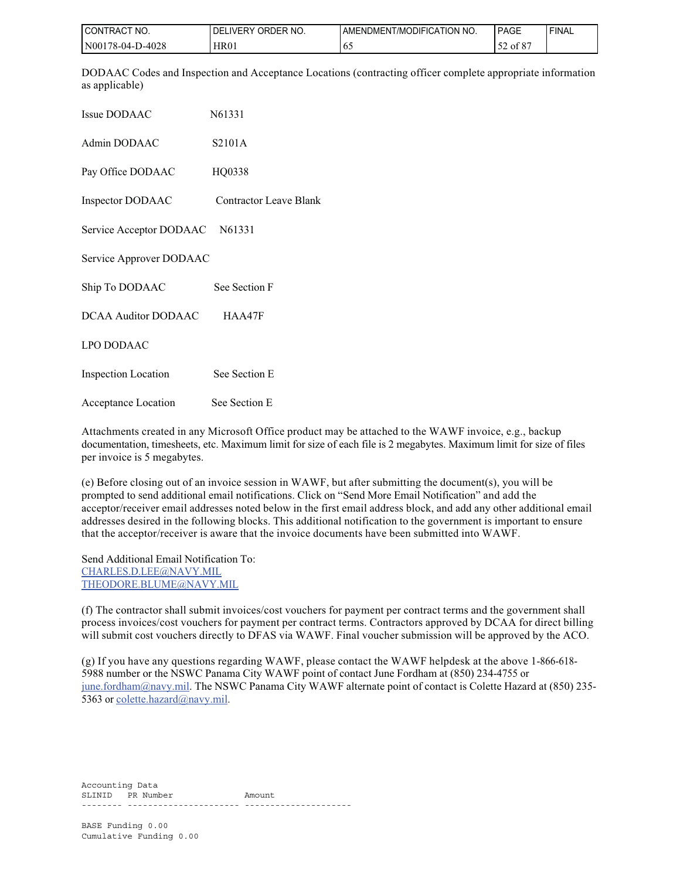| I CONTRACT NO.   | ORDER NO.<br><b>DELIVERY</b> | I AMENDMENT/MODIFICATION NO. | PAGE     | ' FINAL |
|------------------|------------------------------|------------------------------|----------|---------|
| N00178-04-D-4028 | HR01                         | 6.                           | 52 of 87 |         |

DODAAC Codes and Inspection and Acceptance Locations (contracting officer complete appropriate information as applicable)

| Issue DODAAC                   | N61331                        |
|--------------------------------|-------------------------------|
| Admin DODAAC                   | S2101A                        |
| Pay Office DODAAC              | HQ0338                        |
| Inspector DODAAC               | <b>Contractor Leave Blank</b> |
| Service Acceptor DODAAC N61331 |                               |
| Service Approver DODAAC        |                               |
| Ship To DODAAC                 | See Section F                 |
| <b>DCAA Auditor DODAAC</b>     | HAA47F                        |
| <b>LPO DODAAC</b>              |                               |
| <b>Inspection Location</b>     | See Section E                 |
| Acceptance Location            | See Section E                 |

Attachments created in any Microsoft Office product may be attached to the WAWF invoice, e.g., backup documentation, timesheets, etc. Maximum limit for size of each file is 2 megabytes. Maximum limit for size of files per invoice is 5 megabytes.

(e) Before closing out of an invoice session in WAWF, but after submitting the document(s), you will be prompted to send additional email notifications. Click on "Send More Email Notification" and add the acceptor/receiver email addresses noted below in the first email address block, and add any other additional email addresses desired in the following blocks. This additional notification to the government is important to ensure that the acceptor/receiver is aware that the invoice documents have been submitted into WAWF.

Send Additional Email Notification To: CHARLES.D.LEE@NAVY.MIL THEODORE.BLUME@NAVY.MIL

(f) The contractor shall submit invoices/cost vouchers for payment per contract terms and the government shall process invoices/cost vouchers for payment per contract terms. Contractors approved by DCAA for direct billing will submit cost vouchers directly to DFAS via WAWF. Final voucher submission will be approved by the ACO.

(g) If you have any questions regarding WAWF, please contact the WAWF helpdesk at the above 1-866-618- 5988 number or the NSWC Panama City WAWF point of contact June Fordham at (850) 234-4755 or june.fordham@navy.mil. The NSWC Panama City WAWF alternate point of contact is Colette Hazard at (850) 235-5363 or colette.hazard@navy.mil.

Accounting Data SLINID PR Number Amount -------- ---------------------- ---------------------

BASE Funding 0.00 Cumulative Funding 0.00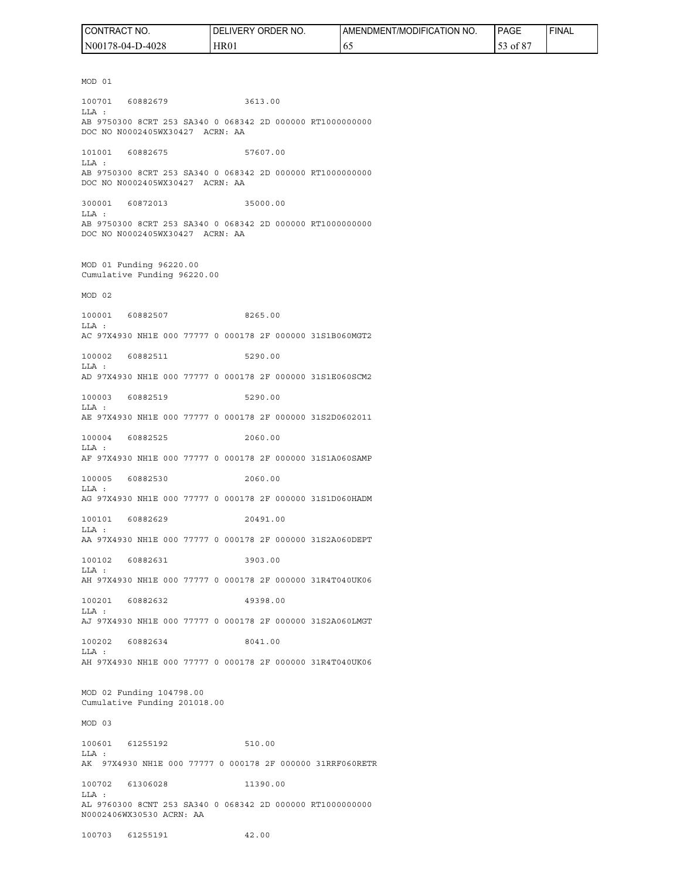| CONTRACT<br>'NO. | ORDER NO.<br><b>DELIVERY</b> | AMENDMENT/MODIFICATION NO. | <b>PAGE</b>           | 'FINAL |
|------------------|------------------------------|----------------------------|-----------------------|--------|
| N00178-04-D-4028 | HR01                         | 02                         | $\sim$ $\sim$<br>` 01 |        |

MOD 01 100701 60882679 3613.00 LLA : AB 9750300 8CRT 253 SA340 0 068342 2D 000000 RT1000000000 DOC NO N0002405WX30427 ACRN: AA 101001 60882675 57607.00 LLA : AB 9750300 8CRT 253 SA340 0 068342 2D 000000 RT1000000000 DOC NO N0002405WX30427 ACRN: AA 300001 60872013 35000.00 LLA : AB 9750300 8CRT 253 SA340 0 068342 2D 000000 RT1000000000 DOC NO N0002405WX30427 ACRN: AA MOD 01 Funding 96220.00 Cumulative Funding 96220.00 MOD 02 100001 60882507 8265.00 LLA : AC 97X4930 NH1E 000 77777 0 000178 2F 000000 31S1B060MGT2 100002 60882511 5290.00 LLA : AD 97X4930 NH1E 000 77777 0 000178 2F 000000 31S1E060SCM2 100003 60882519 5290.00 LLA : AE 97X4930 NH1E 000 77777 0 000178 2F 000000 31S2D0602011 100004 60882525 2060.00 LLA : AF 97X4930 NH1E 000 77777 0 000178 2F 000000 31S1A060SAMP 100005 60882530 2060.00 LLA : AG 97X4930 NH1E 000 77777 0 000178 2F 000000 31S1D060HADM 100101 60882629 20491.00 LLA : AA 97X4930 NH1E 000 77777 0 000178 2F 000000 31S2A060DEPT 100102 60882631 3903.00 LLA : AH 97X4930 NH1E 000 77777 0 000178 2F 000000 31R4T040UK06 100201 60882632 49398.00 LLA : AJ 97X4930 NH1E 000 77777 0 000178 2F 000000 31S2A060LMGT 100202 60882634 8041.00  $T.T.A$  : AH 97X4930 NH1E 000 77777 0 000178 2F 000000 31R4T040UK06 MOD 02 Funding 104798.00 Cumulative Funding 201018.00 MOD 03 100601 61255192 510.00 LLA : AK 97X4930 NH1E 000 77777 0 000178 2F 000000 31RRF060RETR 100702 61306028 11390.00 LLA : AL 9760300 8CNT 253 SA340 0 068342 2D 000000 RT1000000000 N0002406WX30530 ACRN: AA

100703 61255191 42.00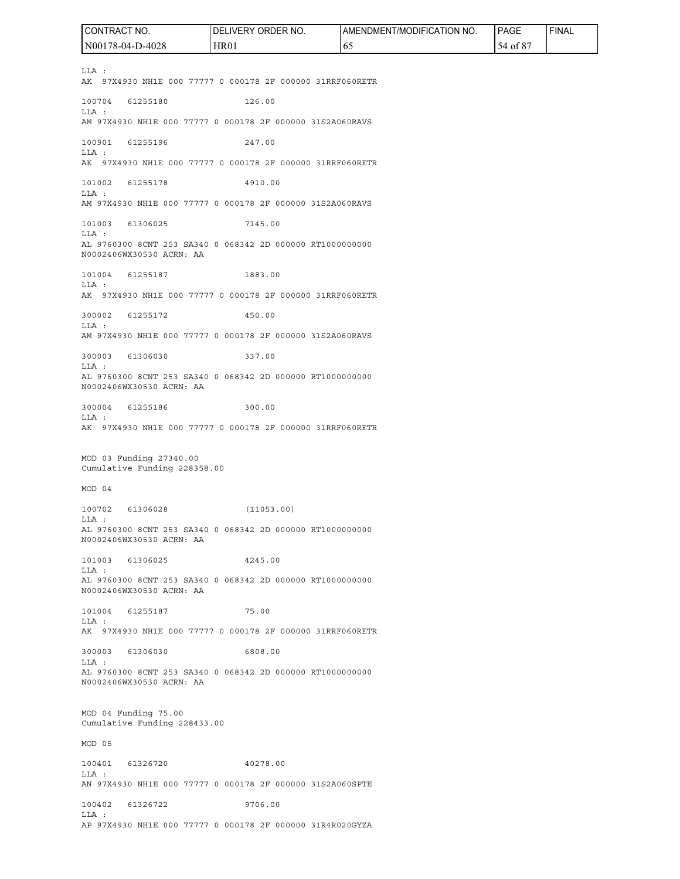LLA : AK 97X4930 NH1E 000 77777 0 000178 2F 000000 31RRF060RETR 100704 61255180 126.00 LLA : AM 97X4930 NH1E 000 77777 0 000178 2F 000000 31S2A060RAVS 100901 61255196 247.00 LLA : AK 97X4930 NH1E 000 77777 0 000178 2F 000000 31RRF060RETR 101002 61255178 4910.00 LLA : AM 97X4930 NH1E 000 77777 0 000178 2F 000000 31S2A060RAVS 101003 61306025 7145.00 LLA : AL 9760300 8CNT 253 SA340 0 068342 2D 000000 RT1000000000 N0002406WX30530 ACRN: AA 101004 61255187 1883.00 LLA : AK 97X4930 NH1E 000 77777 0 000178 2F 000000 31RRF060RETR 300002 61255172 450.00 LLA : AM 97X4930 NH1E 000 77777 0 000178 2F 000000 31S2A060RAVS 300003 61306030 337.00 LLA : AL 9760300 8CNT 253 SA340 0 068342 2D 000000 RT1000000000 N0002406WX30530 ACRN: AA 300004 61255186 300.00 LLA : AK 97X4930 NH1E 000 77777 0 000178 2F 000000 31RRF060RETR MOD 03 Funding 27340.00 Cumulative Funding 228358.00 MOD 04 100702 61306028 (11053.00) LLA : AL 9760300 8CNT 253 SA340 0 068342 2D 000000 RT1000000000 N0002406WX30530 ACRN: AA 101003 61306025 4245.00 LLA : AL 9760300 8CNT 253 SA340 0 068342 2D 000000 RT1000000000 N0002406WX30530 ACRN: AA 101004 61255187 75.00 LLA : AK 97X4930 NH1E 000 77777 0 000178 2F 000000 31RRF060RETR 300003 61306030 6808.00 LLA : AL 9760300 8CNT 253 SA340 0 068342 2D 000000 RT1000000000 N0002406WX30530 ACRN: AA MOD 04 Funding 75.00 Cumulative Funding 228433.00 MOD 05 100401 61326720 40278.00 LLA : AN 97X4930 NH1E 000 77777 0 000178 2F 000000 31S2A060SPTE 100402 61326722 9706.00 LLA : CONTRACT NO. N00178-04-D-4028 DELIVERY ORDER NO. HR01 AMENDMENT/MODIFICATION NO. 65 PAGE 54 of 87 FINAL

AP 97X4930 NH1E 000 77777 0 000178 2F 000000 31R4R020GYZA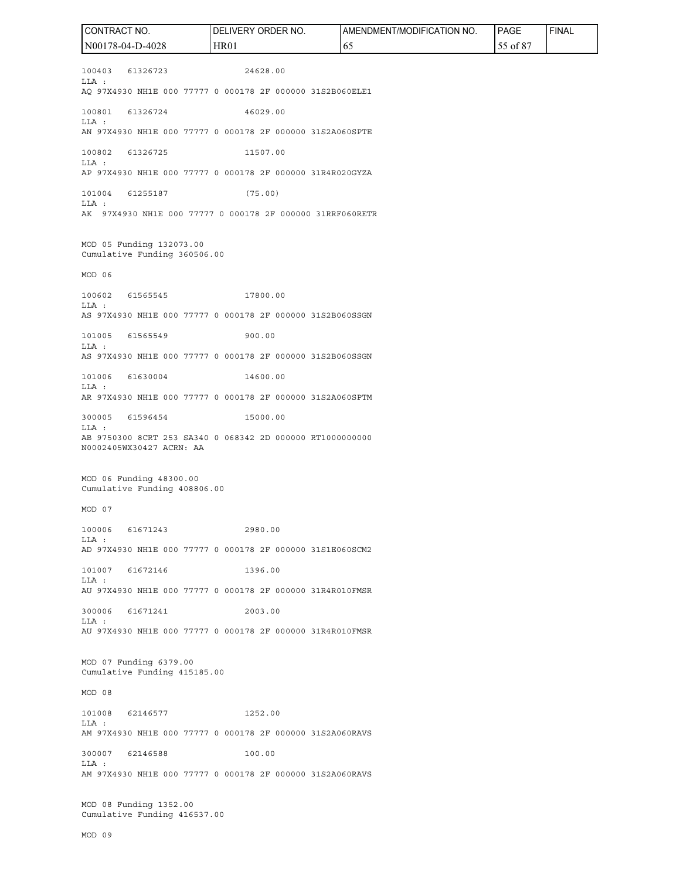100403 61326723 24628.00 LLA : AQ 97X4930 NH1E 000 77777 0 000178 2F 000000 31S2B060ELE1 100801 61326724 46029.00 LLA : AN 97X4930 NH1E 000 77777 0 000178 2F 000000 31S2A060SPTE 100802 61326725 11507.00 LLA : AP 97X4930 NH1E 000 77777 0 000178 2F 000000 31R4R020GYZA 101004 61255187 (75.00) LLA : AK 97X4930 NH1E 000 77777 0 000178 2F 000000 31RRF060RETR MOD 05 Funding 132073.00 Cumulative Funding 360506.00 MOD 06 100602 61565545 17800.00 LLA : AS 97X4930 NH1E 000 77777 0 000178 2F 000000 31S2B060SSGN 101005 61565549 900.00 LLA : AS 97X4930 NH1E 000 77777 0 000178 2F 000000 31S2B060SSGN 101006 61630004 14600.00 LLA : AR 97X4930 NH1E 000 77777 0 000178 2F 000000 31S2A060SPTM 300005 61596454 15000.00 LLA : AB 9750300 8CRT 253 SA340 0 068342 2D 000000 RT1000000000 N0002405WX30427 ACRN: AA MOD 06 Funding 48300.00 Cumulative Funding 408806.00 MOD 07 100006 61671243 2980.00 LLA : AD 97X4930 NH1E 000 77777 0 000178 2F 000000 31S1E060SCM2 101007 61672146 1396.00 LLA : AU 97X4930 NH1E 000 77777 0 000178 2F 000000 31R4R010FMSR 300006 61671241 2003.00 LLA : AU 97X4930 NH1E 000 77777 0 000178 2F 000000 31R4R010FMSR MOD 07 Funding 6379.00 Cumulative Funding 415185.00 MOD 08 101008 62146577 1252.00 LLA : AM 97X4930 NH1E 000 77777 0 000178 2F 000000 31S2A060RAVS 300007 62146588 100.00 LLA : AM 97X4930 NH1E 000 77777 0 000178 2F 000000 31S2A060RAVS MOD 08 Funding 1352.00 Cumulative Funding 416537.00 CONTRACT NO. N00178-04-D-4028 DELIVERY ORDER NO. HR01 AMENDMENT/MODIFICATION NO. 65 PAGE 55 of 87 FINAL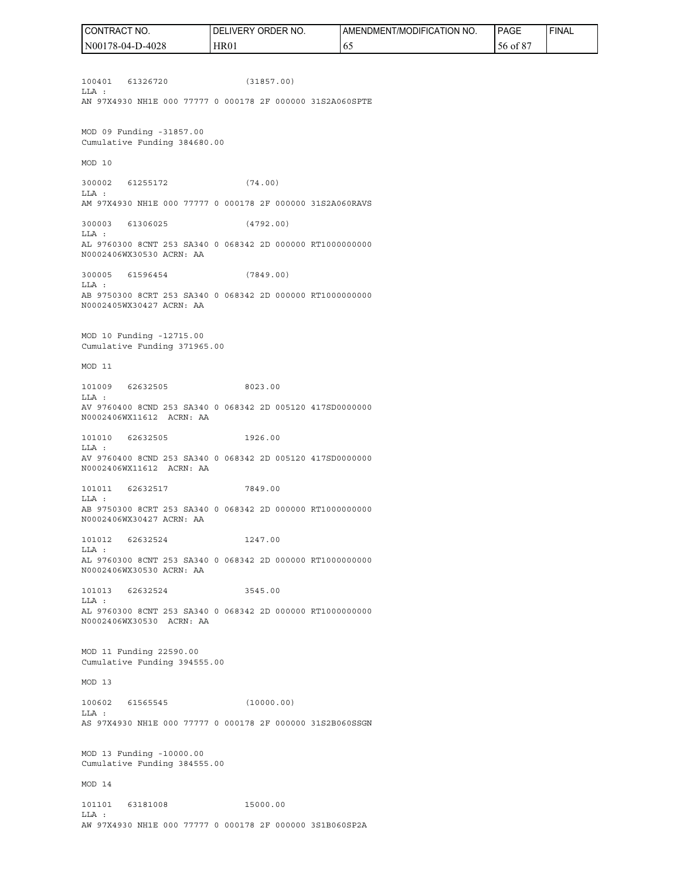100401 61326720 (31857.00) LLA : AN 97X4930 NH1E 000 77777 0 000178 2F 000000 31S2A060SPTE MOD 09 Funding -31857.00 Cumulative Funding 384680.00 MOD 10 300002 61255172 (74.00) LLA : AM 97X4930 NH1E 000 77777 0 000178 2F 000000 31S2A060RAVS 300003 61306025 (4792.00) LLA : AL 9760300 8CNT 253 SA340 0 068342 2D 000000 RT1000000000 N0002406WX30530 ACRN: AA 300005 61596454 (7849.00) LLA : AB 9750300 8CRT 253 SA340 0 068342 2D 000000 RT1000000000 N0002405WX30427 ACRN: AA MOD 10 Funding -12715.00 Cumulative Funding 371965.00 MOD 11 101009 62632505 8023.00 LLA : AV 9760400 8CND 253 SA340 0 068342 2D 005120 417SD0000000 N0002406WX11612 ACRN: AA 101010 62632505 1926.00 LLA : AV 9760400 8CND 253 SA340 0 068342 2D 005120 417SD0000000 N0002406WX11612 ACRN: AA 101011 62632517 7849.00 LLA : AB 9750300 8CRT 253 SA340 0 068342 2D 000000 RT1000000000 N0002406WX30427 ACRN: AA 101012 62632524 1247.00 LLA : AL 9760300 8CNT 253 SA340 0 068342 2D 000000 RT1000000000 N0002406WX30530 ACRN: AA 101013 62632524 3545.00 LLA : AL 9760300 8CNT 253 SA340 0 068342 2D 000000 RT1000000000 N0002406WX30530 ACRN: AA MOD 11 Funding 22590.00 Cumulative Funding 394555.00 MOD 13 100602 61565545 (10000.00) LLA : AS 97X4930 NH1E 000 77777 0 000178 2F 000000 31S2B060SSGN MOD 13 Funding -10000.00 Cumulative Funding 384555.00 MOD 14 101101 63181008 15000.00 LLA : AW 97X4930 NH1E 000 77777 0 000178 2F 000000 3S1B060SP2A CONTRACT NO. N00178-04-D-4028 DELIVERY ORDER NO. HR01 AMENDMENT/MODIFICATION NO. 65 PAGE 56 of 87 FINAL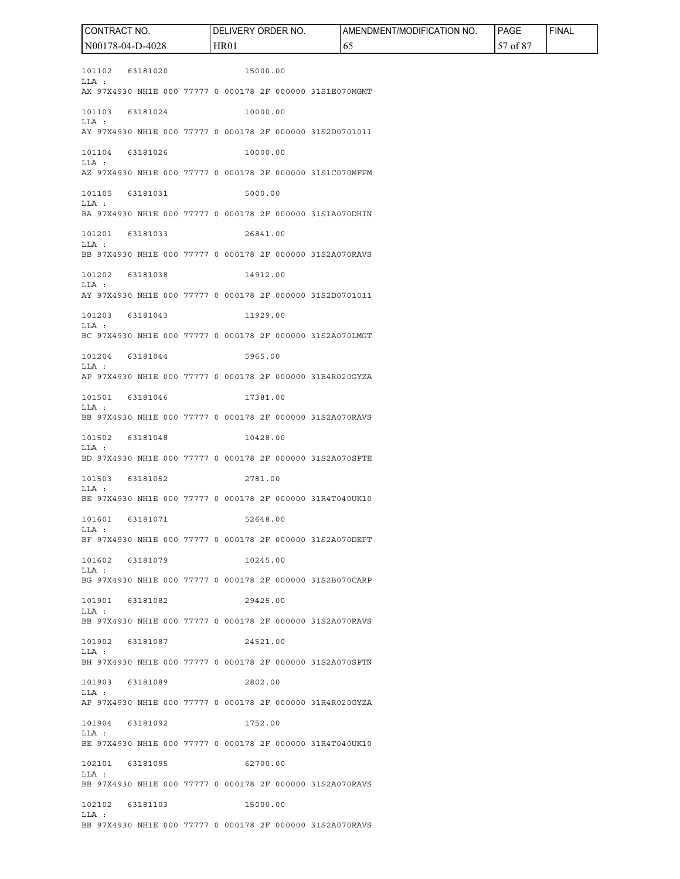101102 63181020 15000.00 LLA : AX 97X4930 NH1E 000 77777 0 000178 2F 000000 31S1E070MGMT 101103 63181024 10000.00 LLA : AY 97X4930 NH1E 000 77777 0 000178 2F 000000 31S2D0701011 101104 63181026 10000.00 LLA : AZ 97X4930 NH1E 000 77777 0 000178 2F 000000 31S1C070MFPM 101105 63181031 5000.00 LLA : BA 97X4930 NH1E 000 77777 0 000178 2F 000000 31S1A070DHIN 101201 63181033 26841.00 LLA : BB 97X4930 NH1E 000 77777 0 000178 2F 000000 31S2A070RAVS 101202 63181038 14912.00 LLA : AY 97X4930 NH1E 000 77777 0 000178 2F 000000 31S2D0701011 101203 63181043 11929.00 LLA : BC 97X4930 NH1E 000 77777 0 000178 2F 000000 31S2A070LMGT 101204 63181044 5965.00 LLA : AP 97X4930 NH1E 000 77777 0 000178 2F 000000 31R4R020GYZA 101501 63181046 17381.00 LLA : BB 97X4930 NH1E 000 77777 0 000178 2F 000000 31S2A070RAVS 101502 63181048 10428.00 LLA : BD 97X4930 NH1E 000 77777 0 000178 2F 000000 31S2A070SPTE 101503 63181052 2781.00 LLA : BE 97X4930 NH1E 000 77777 0 000178 2F 000000 31R4T040UK10 101601 63181071 52648.00 LLA : BF 97X4930 NH1E 000 77777 0 000178 2F 000000 31S2A070DEPT 101602 63181079 10245.00 LLA : BG 97X4930 NH1E 000 77777 0 000178 2F 000000 31S2B070CARP 101901 63181082 29425.00 LLA : BB 97X4930 NH1E 000 77777 0 000178 2F 000000 31S2A070RAVS 101902 63181087 24521.00  $T.T.A$   $\cdot$ BH 97X4930 NH1E 000 77777 0 000178 2F 000000 31S2A070SPTN 101903 63181089 2802.00 LLA : AP 97X4930 NH1E 000 77777 0 000178 2F 000000 31R4R020GYZA 101904 63181092 1752.00 LLA : BE 97X4930 NH1E 000 77777 0 000178 2F 000000 31R4T040UK10 102101 63181095 62700.00 LLA : BB 97X4930 NH1E 000 77777 0 000178 2F 000000 31S2A070RAVS 102102 63181103 15000.00 LLA : BB 97X4930 NH1E 000 77777 0 000178 2F 000000 31S2A070RAVS CONTRACT NO. N00178-04-D-4028 DELIVERY ORDER NO. HR01 AMENDMENT/MODIFICATION NO. 65 PAGE 57 of 87 FINAL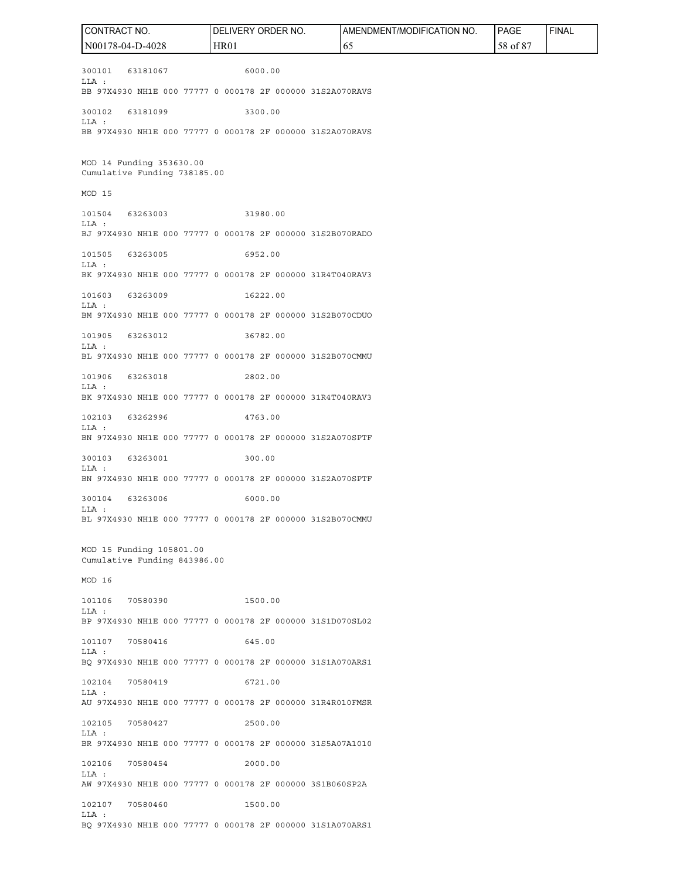300101 63181067 6000.00 LLA : BB 97X4930 NH1E 000 77777 0 000178 2F 000000 31S2A070RAVS 300102 63181099 3300.00 LLA : BB 97X4930 NH1E 000 77777 0 000178 2F 000000 31S2A070RAVS MOD 14 Funding 353630.00 Cumulative Funding 738185.00 MOD 15 101504 63263003 31980.00  $T.T.A$   $\cdot$ BJ 97X4930 NH1E 000 77777 0 000178 2F 000000 31S2B070RADO 101505 63263005 6952.00 LLA : BK 97X4930 NH1E 000 77777 0 000178 2F 000000 31R4T040RAV3 101603 63263009 16222.00 LLA : BM 97X4930 NH1E 000 77777 0 000178 2F 000000 31S2B070CDUO 101905 63263012 36782.00 LLA : BL 97X4930 NH1E 000 77777 0 000178 2F 000000 31S2B070CMMU 101906 63263018 2802.00 LLA : BK 97X4930 NH1E 000 77777 0 000178 2F 000000 31R4T040RAV3 102103 63262996 4763.00 LLA : BN 97X4930 NH1E 000 77777 0 000178 2F 000000 31S2A070SPTF 300103 63263001 300.00 LLA : BN 97X4930 NH1E 000 77777 0 000178 2F 000000 31S2A070SPTF 300104 63263006 6000.00 LLA : BL 97X4930 NH1E 000 77777 0 000178 2F 000000 31S2B070CMMU MOD 15 Funding 105801.00 Cumulative Funding 843986.00 MOD 16 101106 70580390 1500.00 LLA : BP 97X4930 NH1E 000 77777 0 000178 2F 000000 31S1D070SL02 101107 70580416 645.00  $T.T.A$   $\cdot$ BQ 97X4930 NH1E 000 77777 0 000178 2F 000000 31S1A070ARS1 102104 70580419 6721.00 LLA : AU 97X4930 NH1E 000 77777 0 000178 2F 000000 31R4R010FMSR 102105 70580427 2500.00 LLA : BR 97X4930 NH1E 000 77777 0 000178 2F 000000 31S5A07A1010 102106 70580454 2000.00 LLA : AW 97X4930 NH1E 000 77777 0 000178 2F 000000 3S1B060SP2A 102107 70580460 1500.00 LLA : BQ 97X4930 NH1E 000 77777 0 000178 2F 000000 31S1A070ARS1 CONTRACT NO. N00178-04-D-4028 DELIVERY ORDER NO. HR01 AMENDMENT/MODIFICATION NO. 65 PAGE 58 of 87 FINAL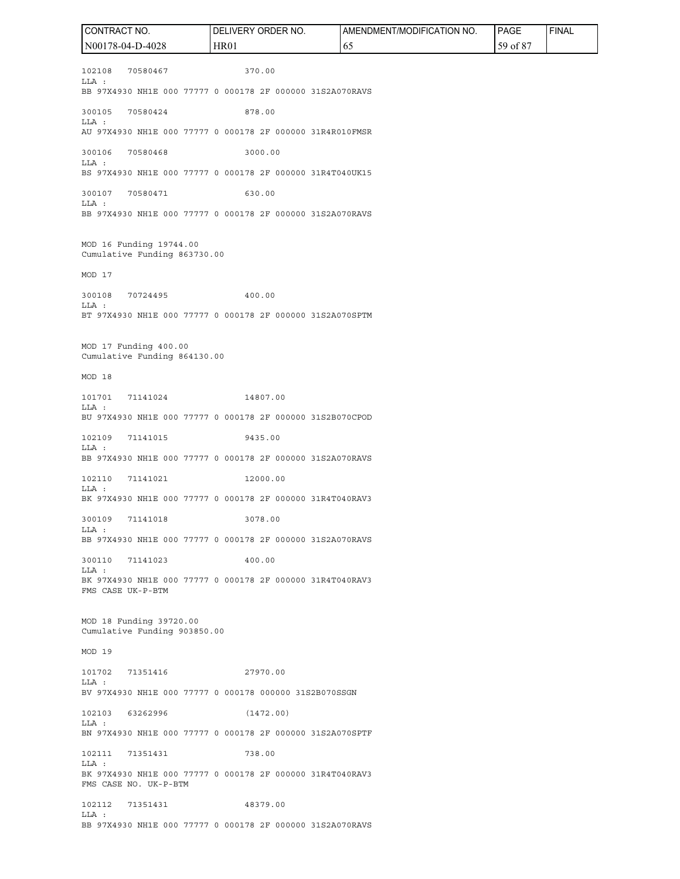102108 70580467 370.00 LLA : BB 97X4930 NH1E 000 77777 0 000178 2F 000000 31S2A070RAVS 300105 70580424 878.00 LLA : AU 97X4930 NH1E 000 77777 0 000178 2F 000000 31R4R010FMSR 300106 70580468 3000.00 LLA : BS 97X4930 NH1E 000 77777 0 000178 2F 000000 31R4T040UK15 300107 70580471 630.00 LLA : BB 97X4930 NH1E 000 77777 0 000178 2F 000000 31S2A070RAVS MOD 16 Funding 19744.00 Cumulative Funding 863730.00 MOD 17 300108 70724495 400.00 LLA : BT 97X4930 NH1E 000 77777 0 000178 2F 000000 31S2A070SPTM MOD 17 Funding 400.00 Cumulative Funding 864130.00 MOD 18 101701 71141024 14807.00 LLA : BU 97X4930 NH1E 000 77777 0 000178 2F 000000 31S2B070CPOD 102109 71141015 9435.00 LLA : BB 97X4930 NH1E 000 77777 0 000178 2F 000000 31S2A070RAVS 102110 71141021 12000.00 LLA : BK 97X4930 NH1E 000 77777 0 000178 2F 000000 31R4T040RAV3 300109 71141018 3078.00 LLA : BB 97X4930 NH1E 000 77777 0 000178 2F 000000 31S2A070RAVS 300110 71141023 400.00 LLA : BK 97X4930 NH1E 000 77777 0 000178 2F 000000 31R4T040RAV3 FMS CASE UK-P-BTM MOD 18 Funding 39720.00 Cumulative Funding 903850.00 MOD 19 101702 71351416 27970.00 LLA : BV 97X4930 NH1E 000 77777 0 000178 000000 31S2B070SSGN 102103 63262996 (1472.00) LLA : BN 97X4930 NH1E 000 77777 0 000178 2F 000000 31S2A070SPTF 102111 71351431 738.00 LLA : BK 97X4930 NH1E 000 77777 0 000178 2F 000000 31R4T040RAV3 FMS CASE NO. UK-P-BTM 102112 71351431 48379.00 LLA : BB 97X4930 NH1E 000 77777 0 000178 2F 000000 31S2A070RAVS CONTRACT NO. N00178-04-D-4028 DELIVERY ORDER NO. HR01 AMENDMENT/MODIFICATION NO. 65 PAGE 59 of 87 FINAL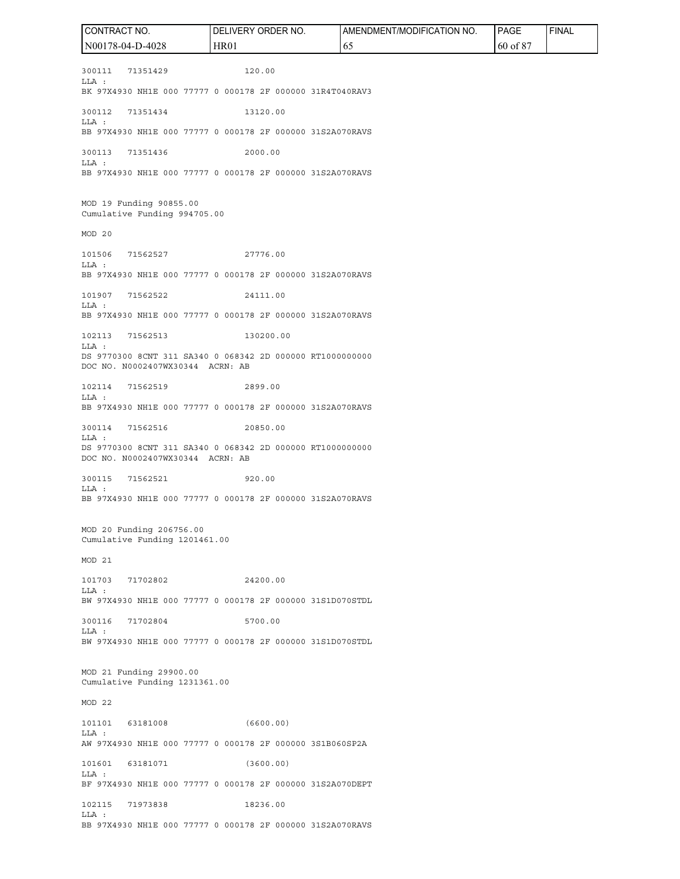300111 71351429 120.00 LLA : BK 97X4930 NH1E 000 77777 0 000178 2F 000000 31R4T040RAV3 300112 71351434 13120.00 LLA : BB 97X4930 NH1E 000 77777 0 000178 2F 000000 31S2A070RAVS 300113 71351436 2000.00 LLA : BB 97X4930 NH1E 000 77777 0 000178 2F 000000 31S2A070RAVS MOD 19 Funding 90855.00 Cumulative Funding 994705.00 MOD 20 101506 71562527 27776.00 LLA : BB 97X4930 NH1E 000 77777 0 000178 2F 000000 31S2A070RAVS 101907 71562522 24111.00 LLA : BB 97X4930 NH1E 000 77777 0 000178 2F 000000 31S2A070RAVS 102113 71562513 130200.00 LLA : DS 9770300 8CNT 311 SA340 0 068342 2D 000000 RT1000000000 DOC NO. N0002407WX30344 ACRN: AB 102114 71562519 2899.00  $T.T.A$   $\cdot$ BB 97X4930 NH1E 000 77777 0 000178 2F 000000 31S2A070RAVS 300114 71562516 20850.00  $T.T.A$   $\cdot$ DS 9770300 8CNT 311 SA340 0 068342 2D 000000 RT1000000000 DOC NO. N0002407WX30344 ACRN: AB 300115 71562521 920.00 LLA : BB 97X4930 NH1E 000 77777 0 000178 2F 000000 31S2A070RAVS MOD 20 Funding 206756.00 Cumulative Funding 1201461.00 MOD 21 101703 71702802 24200.00 LLA : BW 97X4930 NH1E 000 77777 0 000178 2F 000000 31S1D070STDL 300116 71702804 5700.00 LLA : BW 97X4930 NH1E 000 77777 0 000178 2F 000000 31S1D070STDL MOD 21 Funding 29900.00 Cumulative Funding 1231361.00 MOD 22 101101 63181008 (6600.00) LLA : AW 97X4930 NH1E 000 77777 0 000178 2F 000000 3S1B060SP2A 101601 63181071 (3600.00) LLA : BF 97X4930 NH1E 000 77777 0 000178 2F 000000 31S2A070DEPT 102115 71973838 18236.00 LLA : BB 97X4930 NH1E 000 77777 0 000178 2F 000000 31S2A070RAVS CONTRACT NO. N00178-04-D-4028 DELIVERY ORDER NO. HR01 AMENDMENT/MODIFICATION NO. 65 PAGE 60 of 87 FINAL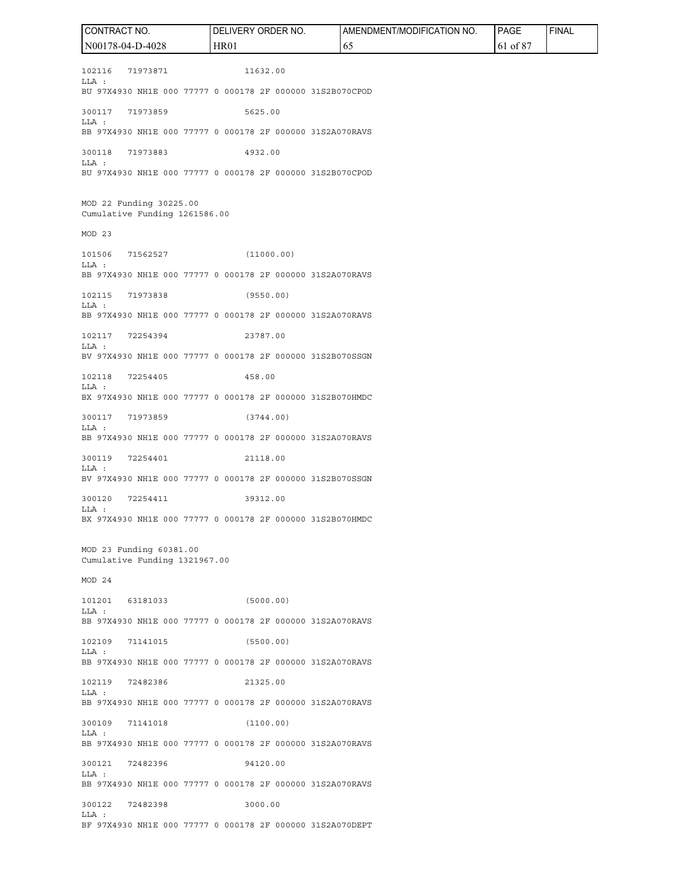102116 71973871 11632.00 LLA : BU 97X4930 NH1E 000 77777 0 000178 2F 000000 31S2B070CPOD 300117 71973859 5625.00 LLA : BB 97X4930 NH1E 000 77777 0 000178 2F 000000 31S2A070RAVS 300118 71973883 4932.00 LLA : BU 97X4930 NH1E 000 77777 0 000178 2F 000000 31S2B070CPOD MOD 22 Funding 30225.00 Cumulative Funding 1261586.00 MOD 23 101506 71562527 (11000.00) LLA : BB 97X4930 NH1E 000 77777 0 000178 2F 000000 31S2A070RAVS 102115 71973838 (9550.00) LLA : BB 97X4930 NH1E 000 77777 0 000178 2F 000000 31S2A070RAVS 102117 72254394 23787.00 LLA : BV 97X4930 NH1E 000 77777 0 000178 2F 000000 31S2B070SSGN 102118 72254405 458.00 LLA : BX 97X4930 NH1E 000 77777 0 000178 2F 000000 31S2B070HMDC 300117 71973859 (3744.00) LLA : BB 97X4930 NH1E 000 77777 0 000178 2F 000000 31S2A070RAVS 300119 72254401 21118.00 LLA : BV 97X4930 NH1E 000 77777 0 000178 2F 000000 31S2B070SSGN 300120 72254411 39312.00 LLA : BX 97X4930 NH1E 000 77777 0 000178 2F 000000 31S2B070HMDC MOD 23 Funding 60381.00 Cumulative Funding 1321967.00 MOD 24 101201 63181033 (5000.00) LLA : BB 97X4930 NH1E 000 77777 0 000178 2F 000000 31S2A070RAVS 102109 71141015 (5500.00)  $T.T.A$   $\cdot$ BB 97X4930 NH1E 000 77777 0 000178 2F 000000 31S2A070RAVS 102119 72482386 21325.00 LLA : BB 97X4930 NH1E 000 77777 0 000178 2F 000000 31S2A070RAVS 300109 71141018 (1100.00) LLA : BB 97X4930 NH1E 000 77777 0 000178 2F 000000 31S2A070RAVS 300121 72482396 94120.00 LLA : BB 97X4930 NH1E 000 77777 0 000178 2F 000000 31S2A070RAVS 300122 72482398 3000.00 LLA : BF 97X4930 NH1E 000 77777 0 000178 2F 000000 31S2A070DEPT CONTRACT NO. N00178-04-D-4028 DELIVERY ORDER NO. HR01 AMENDMENT/MODIFICATION NO. 65 PAGE 61 of 87 FINAL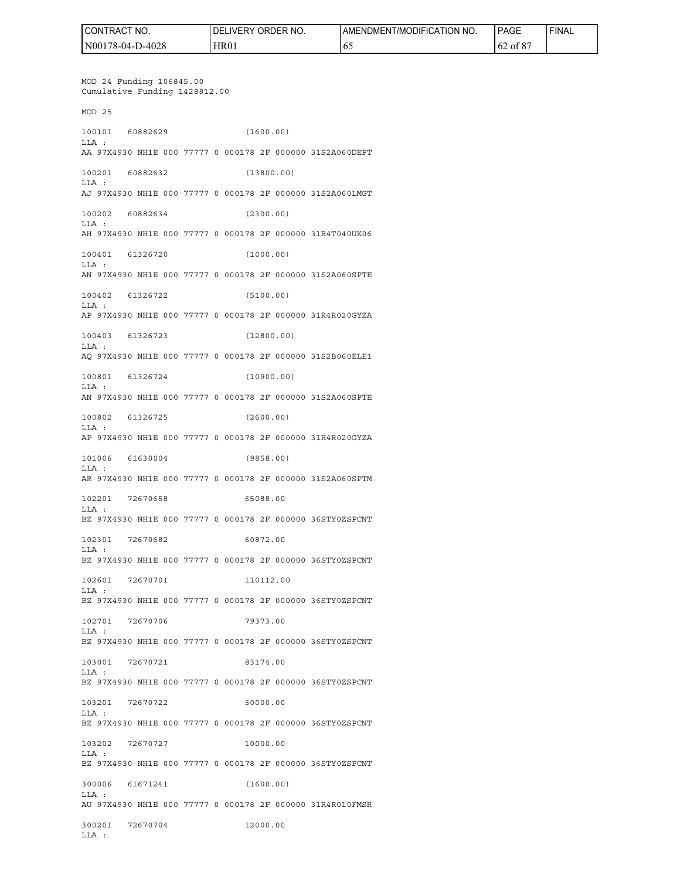| CONTRACT<br>" NO. | ORDER NO.<br><b>DELIVERY</b> | AMENDMENT/MODIFICATION NO. | <b>PAGE</b>        | 'FINAL |
|-------------------|------------------------------|----------------------------|--------------------|--------|
| N00178-04-D-4028  | HR01                         | 02                         | of $8^\circ$<br>62 |        |

MOD 24 Funding 106845.00 Cumulative Funding 1428812.00 MOD 25 100101 60882629 (1600.00) LLA : AA 97X4930 NH1E 000 77777 0 000178 2F 000000 31S2A060DEPT 100201 60882632 (13800.00) LLA : AJ 97X4930 NH1E 000 77777 0 000178 2F 000000 31S2A060LMGT 100202 60882634 (2300.00)  $T.T.A$   $\cdot$ AH 97X4930 NH1E 000 77777 0 000178 2F 000000 31R4T040UK06 100401 61326720 (1000.00) LLA : AN 97X4930 NH1E 000 77777 0 000178 2F 000000 31S2A060SPTE 100402 61326722 (5100.00) LLA : AP 97X4930 NH1E 000 77777 0 000178 2F 000000 31R4R020GYZA 100403 61326723 (12800.00) LLA : AQ 97X4930 NH1E 000 77777 0 000178 2F 000000 31S2B060ELE1 100801 61326724 (10900.00) LLA : AN 97X4930 NH1E 000 77777 0 000178 2F 000000 31S2A060SPTE 100802 61326725 (2600.00) LLA : AP 97X4930 NH1E 000 77777 0 000178 2F 000000 31R4R020GYZA 101006 61630004 (9858.00) LLA : AR 97X4930 NH1E 000 77777 0 000178 2F 000000 31S2A060SPTM 102201 72670658 65088.00 LLA : BZ 97X4930 NH1E 000 77777 0 000178 2F 000000 36STY0ZSPCNT 102301 72670682 60872.00 LLA : BZ 97X4930 NH1E 000 77777 0 000178 2F 000000 36STY0ZSPCNT 102601 72670701 110112.00 LLA : BZ 97X4930 NH1E 000 77777 0 000178 2F 000000 36STY0ZSPCNT 102701 72670706 79373.00 LLA : BZ 97X4930 NH1E 000 77777 0 000178 2F 000000 36STY0ZSPCNT 103001 72670721 83174.00 LLA : BZ 97X4930 NH1E 000 77777 0 000178 2F 000000 36STY0ZSPCNT 103201 72670722 50000.00 LLA : BZ 97X4930 NH1E 000 77777 0 000178 2F 000000 36STY0ZSPCNT 103202 72670727 10000.00 LLA : BZ 97X4930 NH1E 000 77777 0 000178 2F 000000 36STY0ZSPCNT 300006 61671241 (1600.00) LLA : AU 97X4930 NH1E 000 77777 0 000178 2F 000000 31R4R010FMSR

300201 72670704 12000.00 LLA :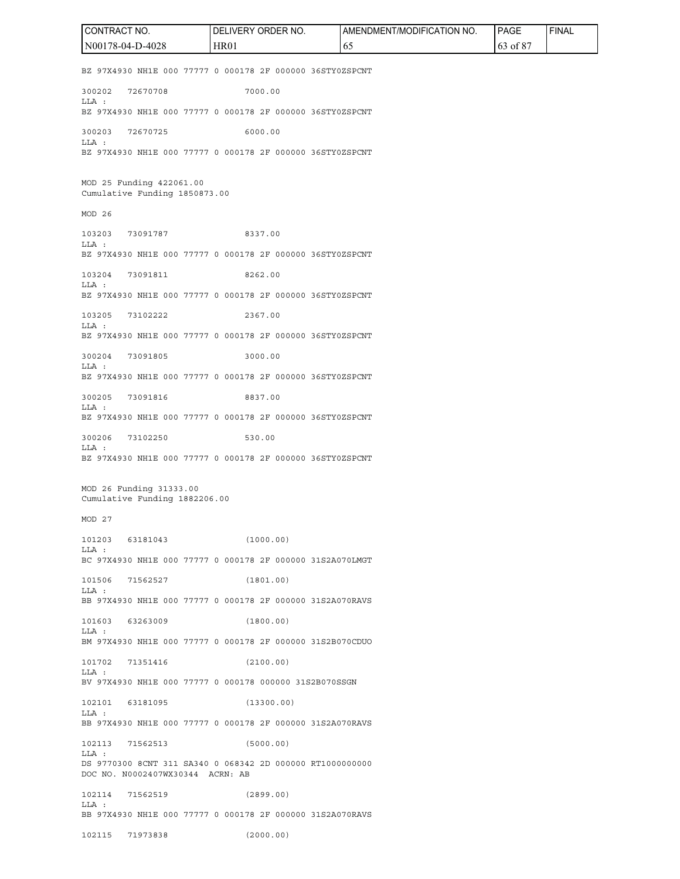BZ 97X4930 NH1E 000 77777 0 000178 2F 000000 36STY0ZSPCNT 300202 72670708 7000.00 LLA : BZ 97X4930 NH1E 000 77777 0 000178 2F 000000 36STY0ZSPCNT 300203 72670725 6000.00 LLA : BZ 97X4930 NH1E 000 77777 0 000178 2F 000000 36STY0ZSPCNT MOD 25 Funding 422061.00 Cumulative Funding 1850873.00 MOD 26 103203 73091787 8337.00 LLA : BZ 97X4930 NH1E 000 77777 0 000178 2F 000000 36STY0ZSPCNT 103204 73091811 8262.00 LLA : BZ 97X4930 NH1E 000 77777 0 000178 2F 000000 36STY0ZSPCNT 103205 73102222 2367.00 LLA : BZ 97X4930 NH1E 000 77777 0 000178 2F 000000 36STY0ZSPCNT 300204 73091805 3000.00 LLA : BZ 97X4930 NH1E 000 77777 0 000178 2F 000000 36STY0ZSPCNT 300205 73091816 8837.00 LLA : BZ 97X4930 NH1E 000 77777 0 000178 2F 000000 36STY0ZSPCNT 300206 73102250 530.00 LLA : BZ 97X4930 NH1E 000 77777 0 000178 2F 000000 36STY0ZSPCNT MOD 26 Funding 31333.00 Cumulative Funding 1882206.00 MOD 27 101203 63181043 (1000.00) LLA : BC 97X4930 NH1E 000 77777 0 000178 2F 000000 31S2A070LMGT 101506 71562527 (1801.00) LLA : BB 97X4930 NH1E 000 77777 0 000178 2F 000000 31S2A070RAVS 101603 63263009 (1800.00) LLA : BM 97X4930 NH1E 000 77777 0 000178 2F 000000 31S2B070CDUO 101702 71351416 (2100.00) LLA : BV 97X4930 NH1E 000 77777 0 000178 000000 31S2B070SSGN 102101 63181095 (13300.00) LLA : BB 97X4930 NH1E 000 77777 0 000178 2F 000000 31S2A070RAVS 102113 71562513 (5000.00) LLA : DS 9770300 8CNT 311 SA340 0 068342 2D 000000 RT1000000000 DOC NO. N0002407WX30344 ACRN: AB 102114 71562519 (2899.00) LLA : BB 97X4930 NH1E 000 77777 0 000178 2F 000000 31S2A070RAVS 102115 71973838 (2000.00) CONTRACT NO. N00178-04-D-4028 DELIVERY ORDER NO. HR01 AMENDMENT/MODIFICATION NO. 65 PAGE 63 of 87 FINAL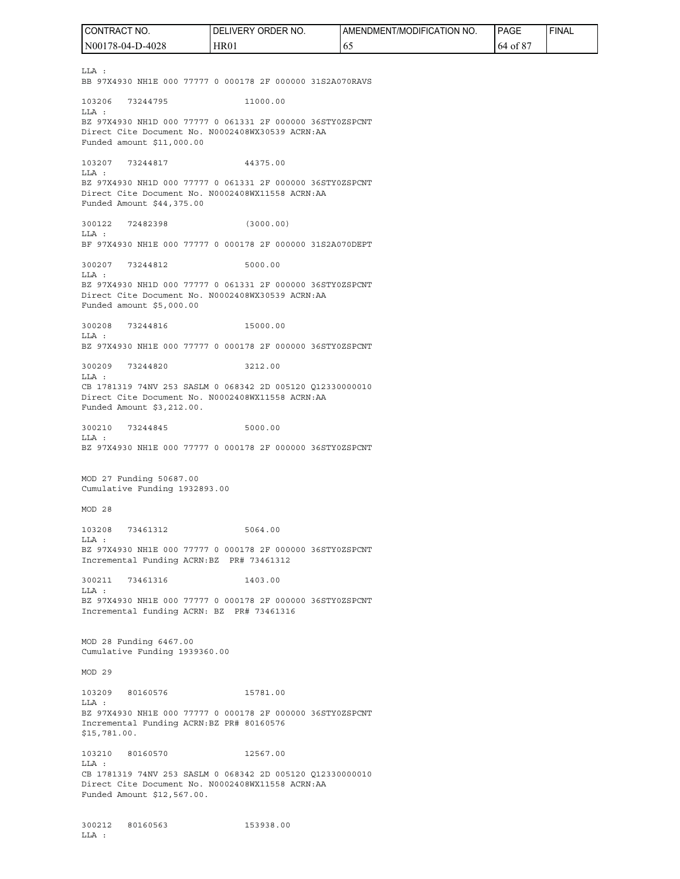LLA : BB 97X4930 NH1E 000 77777 0 000178 2F 000000 31S2A070RAVS 103206 73244795 11000.00 LLA : BZ 97X4930 NH1D 000 77777 0 061331 2F 000000 36STY0ZSPCNT Direct Cite Document No. N0002408WX30539 ACRN:AA Funded amount \$11,000.00 103207 73244817 44375.00 LLA : BZ 97X4930 NH1D 000 77777 0 061331 2F 000000 36STY0ZSPCNT Direct Cite Document No. N0002408WX11558 ACRN:AA Funded Amount \$44,375.00 300122 72482398 (3000.00) LLA : BF 97X4930 NH1E 000 77777 0 000178 2F 000000 31S2A070DEPT 300207 73244812 5000.00 LLA : BZ 97X4930 NH1D 000 77777 0 061331 2F 000000 36STY0ZSPCNT Direct Cite Document No. N0002408WX30539 ACRN:AA Funded amount \$5,000.00 300208 73244816 15000.00 LLA : BZ 97X4930 NH1E 000 77777 0 000178 2F 000000 36STY0ZSPCNT 300209 73244820 3212.00 LLA : CB 1781319 74NV 253 SASLM 0 068342 2D 005120 Q12330000010 Direct Cite Document No. N0002408WX11558 ACRN:AA Funded Amount \$3,212.00. 300210 73244845 5000.00  $T.T.A$  : BZ 97X4930 NH1E 000 77777 0 000178 2F 000000 36STY0ZSPCNT MOD 27 Funding 50687.00 Cumulative Funding 1932893.00 MOD 28 103208 73461312 5064.00 LLA : BZ 97X4930 NH1E 000 77777 0 000178 2F 000000 36STY0ZSPCNT Incremental Funding ACRN:BZ PR# 73461312 300211 73461316 1403.00 LLA : BZ 97X4930 NH1E 000 77777 0 000178 2F 000000 36STY0ZSPCNT Incremental funding ACRN: BZ PR# 73461316 MOD 28 Funding 6467.00 Cumulative Funding 1939360.00 MOD 29 103209 80160576 15781.00 LLA : BZ 97X4930 NH1E 000 77777 0 000178 2F 000000 36STY0ZSPCNT Incremental Funding ACRN:BZ PR# 80160576 \$15,781.00. 103210 80160570 12567.00 LLA : CB 1781319 74NV 253 SASLM 0 068342 2D 005120 Q12330000010 Direct Cite Document No. N0002408WX11558 ACRN:AA Funded Amount \$12,567.00. 300212 80160563 153938.00 LLA : CONTRACT NO. N00178-04-D-4028 DELIVERY ORDER NO. HR01 AMENDMENT/MODIFICATION NO. 65 PAGE 64 of 87 FINAL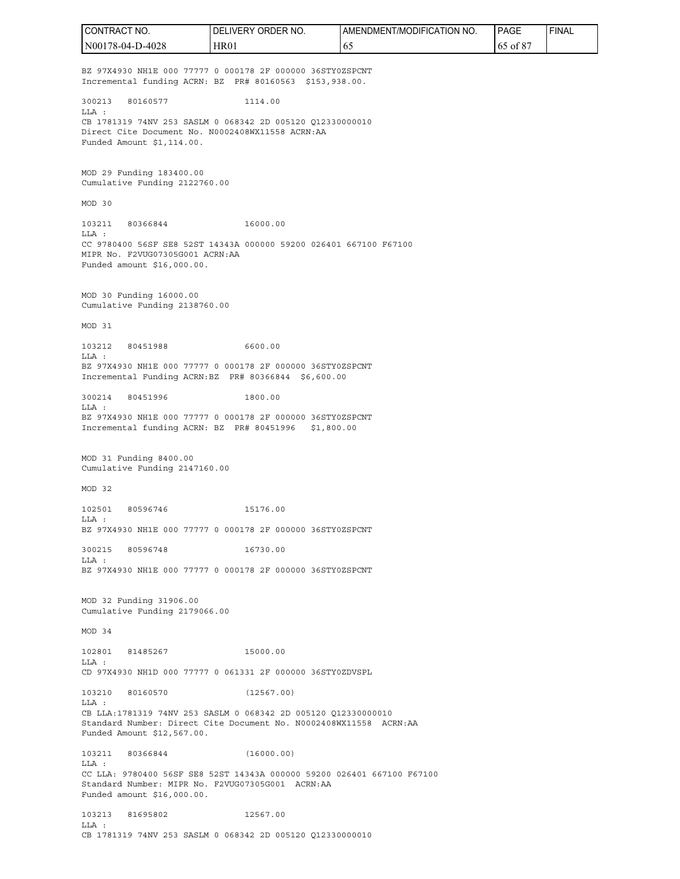BZ 97X4930 NH1E 000 77777 0 000178 2F 000000 36STY0ZSPCNT Incremental funding ACRN: BZ PR# 80160563 \$153,938.00. 300213 80160577 1114.00 LLA : CB 1781319 74NV 253 SASLM 0 068342 2D 005120 Q12330000010 Direct Cite Document No. N0002408WX11558 ACRN:AA Funded Amount \$1,114.00. MOD 29 Funding 183400.00 Cumulative Funding 2122760.00 MOD 30 103211 80366844 16000.00 LLA : CC 9780400 56SF SE8 52ST 14343A 000000 59200 026401 667100 F67100 MIPR No. F2VUG07305G001 ACRN:AA Funded amount \$16,000.00. MOD 30 Funding 16000.00 Cumulative Funding 2138760.00 MOD 31 103212 80451988 6600.00  $T.T.A$   $\cdot$ BZ 97X4930 NH1E 000 77777 0 000178 2F 000000 36STY0ZSPCNT Incremental Funding ACRN:BZ PR# 80366844 \$6,600.00 300214 80451996 1800.00 LLA : BZ 97X4930 NH1E 000 77777 0 000178 2F 000000 36STY0ZSPCNT Incremental funding ACRN: BZ PR# 80451996 \$1,800.00 MOD 31 Funding 8400.00 Cumulative Funding 2147160.00 MOD 32 102501 80596746 15176.00 LLA : BZ 97X4930 NH1E 000 77777 0 000178 2F 000000 36STY0ZSPCNT 300215 80596748 16730.00 LLA : BZ 97X4930 NH1E 000 77777 0 000178 2F 000000 36STY0ZSPCNT MOD 32 Funding 31906.00 Cumulative Funding 2179066.00 MOD 34 102801 81485267 15000.00 LLA : CD 97X4930 NH1D 000 77777 0 061331 2F 000000 36STY0ZDVSPL 103210 80160570 (12567.00) LLA : CB LLA:1781319 74NV 253 SASLM 0 068342 2D 005120 Q12330000010 Standard Number: Direct Cite Document No. N0002408WX11558 ACRN:AA Funded Amount \$12,567.00. 103211 80366844 (16000.00) LLA : CC LLA: 9780400 56SF SE8 52ST 14343A 000000 59200 026401 667100 F67100 Standard Number: MIPR No. F2VUG07305G001 ACRN:AA Funded amount \$16,000.00. 103213 81695802 12567.00  $T.T.A$  : CB 1781319 74NV 253 SASLM 0 068342 2D 005120 Q12330000010 CONTRACT NO. N00178-04-D-4028 DELIVERY ORDER NO. HR01 AMENDMENT/MODIFICATION NO. 65 PAGE 65 of 87 FINAL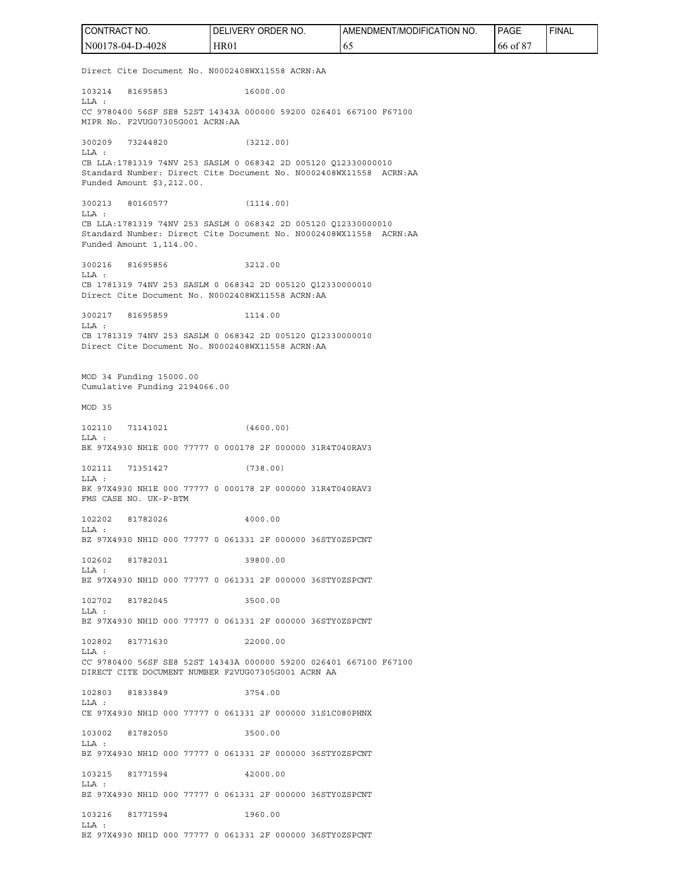Direct Cite Document No. N0002408WX11558 ACRN:AA 103214 81695853 16000.00 LLA : CC 9780400 56SF SE8 52ST 14343A 000000 59200 026401 667100 F67100 MIPR No. F2VUG07305G001 ACRN:AA 300209 73244820 (3212.00) LLA : CB LLA:1781319 74NV 253 SASLM 0 068342 2D 005120 Q12330000010 Standard Number: Direct Cite Document No. N0002408WX11558 ACRN:AA Funded Amount \$3,212.00. 300213 80160577 (1114.00) LLA : CB LLA:1781319 74NV 253 SASLM 0 068342 2D 005120 Q12330000010 Standard Number: Direct Cite Document No. N0002408WX11558 ACRN:AA Funded Amount 1,114.00. 300216 81695856 3212.00 LLA : CB 1781319 74NV 253 SASLM 0 068342 2D 005120 Q12330000010 Direct Cite Document No. N0002408WX11558 ACRN:AA 300217 81695859 1114.00 LLA : CB 1781319 74NV 253 SASLM 0 068342 2D 005120 Q12330000010 Direct Cite Document No. N0002408WX11558 ACRN:AA MOD 34 Funding 15000.00 Cumulative Funding 2194066.00 MOD 35 102110 71141021 (4600.00)  $L.L.A.$ BK 97X4930 NH1E 000 77777 0 000178 2F 000000 31R4T040RAV3 102111 71351427 (738.00) LLA : BK 97X4930 NH1E 000 77777 0 000178 2F 000000 31R4T040RAV3 FMS CASE NO. UK-P-BTM 102202 81782026 4000.00 LLA : BZ 97X4930 NH1D 000 77777 0 061331 2F 000000 36STY0ZSPCNT 102602 81782031 39800.00 LLA : BZ 97X4930 NH1D 000 77777 0 061331 2F 000000 36STY0ZSPCNT 102702 81782045 3500.00 LLA : BZ 97X4930 NH1D 000 77777 0 061331 2F 000000 36STY0ZSPCNT 102802 81771630 22000.00  $T.T.A$   $\cdot$ CC 9780400 56SF SE8 52ST 14343A 000000 59200 026401 667100 F67100 DIRECT CITE DOCUMENT NUMBER F2VUG07305G001 ACRN AA 102803 81833849 3754.00 LLA : CE 97X4930 NH1D 000 77777 0 061331 2F 000000 31S1C080PHNX 103002 81782050 3500.00 T.LA : BZ 97X4930 NH1D 000 77777 0 061331 2F 000000 36STY0ZSPCNT 103215 81771594 42000.00 T.LA : BZ 97X4930 NH1D 000 77777 0 061331 2F 000000 36STY0ZSPCNT 103216 81771594 1960.00  $T.T.A$   $\cdot$ BZ 97X4930 NH1D 000 77777 0 061331 2F 000000 36STY0ZSPCNT CONTRACT NO. N00178-04-D-4028 DELIVERY ORDER NO. HR01 AMENDMENT/MODIFICATION NO. 65 PAGE 66 of 87 FINAL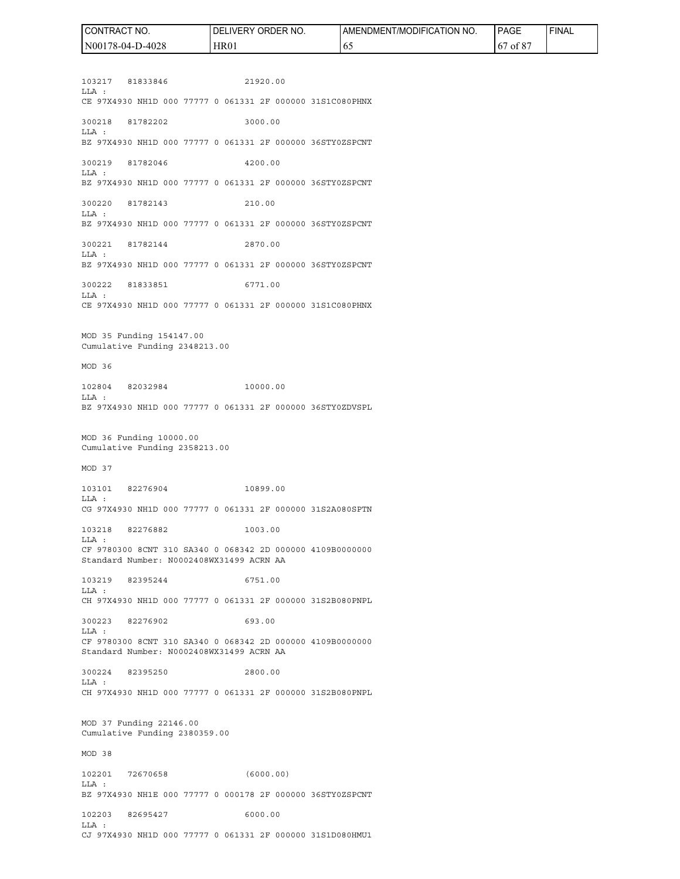103217 81833846 21920.00 LLA : CE 97X4930 NH1D 000 77777 0 061331 2F 000000 31S1C080PHNX 300218 81782202 3000.00 LLA : BZ 97X4930 NH1D 000 77777 0 061331 2F 000000 36STY0ZSPCNT 300219 81782046 4200.00 LLA : BZ 97X4930 NH1D 000 77777 0 061331 2F 000000 36STY0ZSPCNT 300220 81782143 210.00 LLA : BZ 97X4930 NH1D 000 77777 0 061331 2F 000000 36STY0ZSPCNT 300221 81782144 2870.00 LLA : BZ 97X4930 NH1D 000 77777 0 061331 2F 000000 36STY0ZSPCNT 300222 81833851 6771.00 LLA : CE 97X4930 NH1D 000 77777 0 061331 2F 000000 31S1C080PHNX MOD 35 Funding 154147.00 Cumulative Funding 2348213.00 MOD 36 102804 82032984 10000.00  $T.T.A$   $\cdot$ BZ 97X4930 NH1D 000 77777 0 061331 2F 000000 36STY0ZDVSPL MOD 36 Funding 10000.00 Cumulative Funding 2358213.00 MOD 37 103101 82276904 10899.00 LLA : CG 97X4930 NH1D 000 77777 0 061331 2F 000000 31S2A080SPTN 103218 82276882 1003.00 LLA : CF 9780300 8CNT 310 SA340 0 068342 2D 000000 4109B0000000 Standard Number: N0002408WX31499 ACRN AA 103219 82395244 6751.00 LLA : CH 97X4930 NH1D 000 77777 0 061331 2F 000000 31S2B080PNPL 300223 82276902 693.00 LLA : CF 9780300 8CNT 310 SA340 0 068342 2D 000000 4109B0000000 Standard Number: N0002408WX31499 ACRN AA 300224 82395250 2800.00 LLA : CH 97X4930 NH1D 000 77777 0 061331 2F 000000 31S2B080PNPL MOD 37 Funding 22146.00 Cumulative Funding 2380359.00 MOD 38 102201 72670658 (6000.00) LLA : BZ 97X4930 NH1E 000 77777 0 000178 2F 000000 36STY0ZSPCNT 102203 82695427 6000.00  $T.T.A$   $\cdot$ CJ 97X4930 NH1D 000 77777 0 061331 2F 000000 31S1D080HMU1 N00178-04-D-4028 HR01 65 67 of 87

CONTRACT NO.

DELIVERY ORDER NO.

AMENDMENT/MODIFICATION NO.

PAGE

FINAL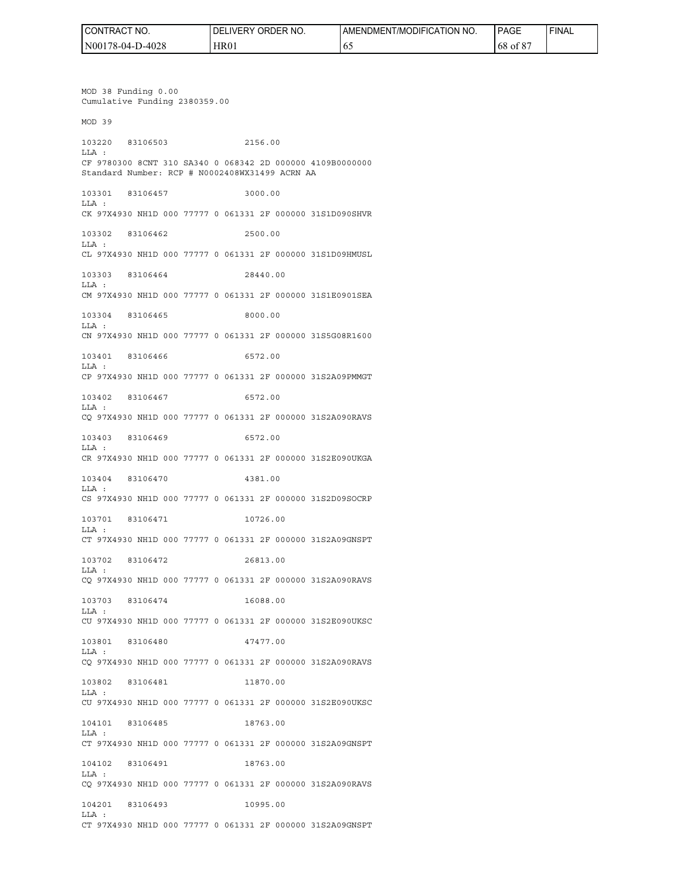| <b><i>IRACT</i></b><br>l CONT<br>'NO. | ' ORDER NO.<br><b>IVERY</b><br>DELI | AMENDMENT/MODIFICATION NO. | <b>PAGE</b> | <b>I FINAL</b> |
|---------------------------------------|-------------------------------------|----------------------------|-------------|----------------|
| N00178-04-D-4028                      | <b>HR01</b>                         | v.                         | $68$ of $8$ |                |

MOD 38 Funding 0.00 Cumulative Funding 2380359.00 MOD 39 103220 83106503 2156.00 LLA : CF 9780300 8CNT 310 SA340 0 068342 2D 000000 4109B0000000 Standard Number: RCP # N0002408WX31499 ACRN AA 103301 83106457 3000.00 LLA : CK 97X4930 NH1D 000 77777 0 061331 2F 000000 31S1D090SHVR 103302 83106462 2500.00 LLA : CL 97X4930 NH1D 000 77777 0 061331 2F 000000 31S1D09HMUSL 103303 83106464 28440.00 LLA : CM 97X4930 NH1D 000 77777 0 061331 2F 000000 31S1E0901SEA 103304 83106465 8000.00 LLA : CN 97X4930 NH1D 000 77777 0 061331 2F 000000 31S5G08R1600 103401 83106466 6572.00 LLA : CP 97X4930 NH1D 000 77777 0 061331 2F 000000 31S2A09PMMGT 103402 83106467 6572.00 LLA : CQ 97X4930 NH1D 000 77777 0 061331 2F 000000 31S2A090RAVS 103403 83106469 6572.00 LLA : CR 97X4930 NH1D 000 77777 0 061331 2F 000000 31S2E090UKGA 103404 83106470 4381.00 LLA : CS 97X4930 NH1D 000 77777 0 061331 2F 000000 31S2D09SOCRP 103701 83106471 10726.00 LLA : CT 97X4930 NH1D 000 77777 0 061331 2F 000000 31S2A09GNSPT 103702 83106472 26813.00 LLA : CQ 97X4930 NH1D 000 77777 0 061331 2F 000000 31S2A090RAVS 103703 83106474 16088.00 LLA : CU 97X4930 NH1D 000 77777 0 061331 2F 000000 31S2E090UKSC 103801 83106480 47477.00  $T.T.A$  : CQ 97X4930 NH1D 000 77777 0 061331 2F 000000 31S2A090RAVS 103802 83106481 11870.00 LLA : CU 97X4930 NH1D 000 77777 0 061331 2F 000000 31S2E090UKSC 104101 83106485 18763.00 LLA : CT 97X4930 NH1D 000 77777 0 061331 2F 000000 31S2A09GNSPT 104102 83106491 18763.00 LLA : CQ 97X4930 NH1D 000 77777 0 061331 2F 000000 31S2A090RAVS 104201 83106493 10995.00 LLA :

CT 97X4930 NH1D 000 77777 0 061331 2F 000000 31S2A09GNSPT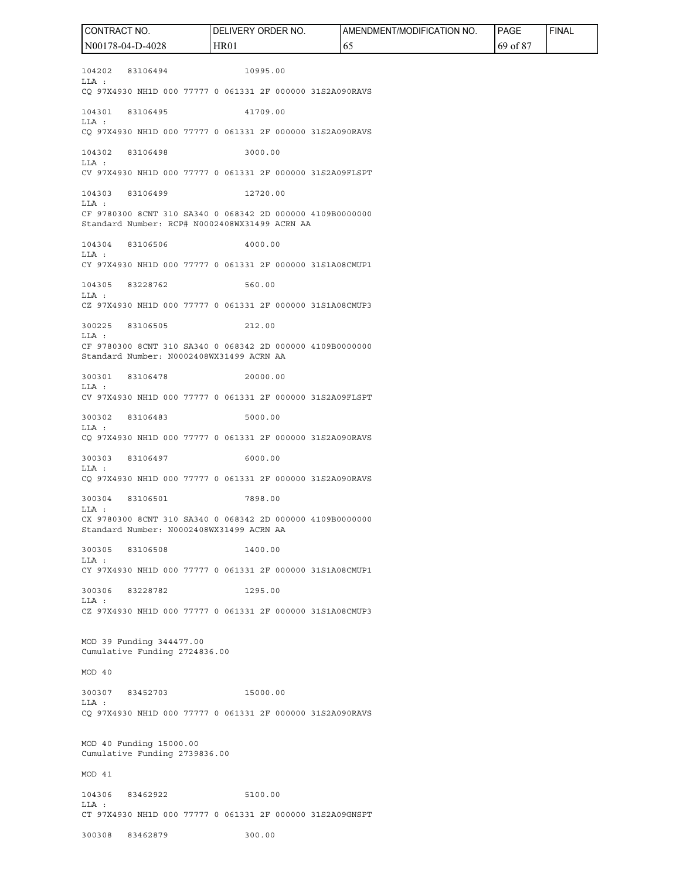104202 83106494 10995.00 LLA : CQ 97X4930 NH1D 000 77777 0 061331 2F 000000 31S2A090RAVS 104301 83106495 41709.00 LLA : CQ 97X4930 NH1D 000 77777 0 061331 2F 000000 31S2A090RAVS 104302 83106498 3000.00 LLA : CV 97X4930 NH1D 000 77777 0 061331 2F 000000 31S2A09FLSPT 104303 83106499 12720.00 LLA : CF 9780300 8CNT 310 SA340 0 068342 2D 000000 4109B0000000 Standard Number: RCP# N0002408WX31499 ACRN AA 104304 83106506 4000.00 LLA : CY 97X4930 NH1D 000 77777 0 061331 2F 000000 31S1A08CMUP1 104305 83228762 560.00 LLA : CZ 97X4930 NH1D 000 77777 0 061331 2F 000000 31S1A08CMUP3 300225 83106505 212.00 LLA : CF 9780300 8CNT 310 SA340 0 068342 2D 000000 4109B0000000 Standard Number: N0002408WX31499 ACRN AA 300301 83106478 20000.00 LLA : CV 97X4930 NH1D 000 77777 0 061331 2F 000000 31S2A09FLSPT 300302 83106483 5000.00 LLA : CQ 97X4930 NH1D 000 77777 0 061331 2F 000000 31S2A090RAVS 300303 83106497 6000.00 LLA : CQ 97X4930 NH1D 000 77777 0 061331 2F 000000 31S2A090RAVS 300304 83106501 7898.00 LLA : CX 9780300 8CNT 310 SA340 0 068342 2D 000000 4109B0000000 Standard Number: N0002408WX31499 ACRN AA 300305 83106508 1400.00 LLA : CY 97X4930 NH1D 000 77777 0 061331 2F 000000 31S1A08CMUP1 300306 83228782 1295.00 LLA : CZ 97X4930 NH1D 000 77777 0 061331 2F 000000 31S1A08CMUP3 MOD 39 Funding 344477.00 Cumulative Funding 2724836.00 MOD 40 300307 83452703 15000.00 LLA : CQ 97X4930 NH1D 000 77777 0 061331 2F 000000 31S2A090RAVS MOD 40 Funding 15000.00 Cumulative Funding 2739836.00 MOD 41 104306 83462922 5100.00 LLA : CT 97X4930 NH1D 000 77777 0 061331 2F 000000 31S2A09GNSPT 300308 83462879 300.00 CONTRACT NO. N00178-04-D-4028 DELIVERY ORDER NO. HR01 AMENDMENT/MODIFICATION NO. 65 PAGE 69 of 87 FINAL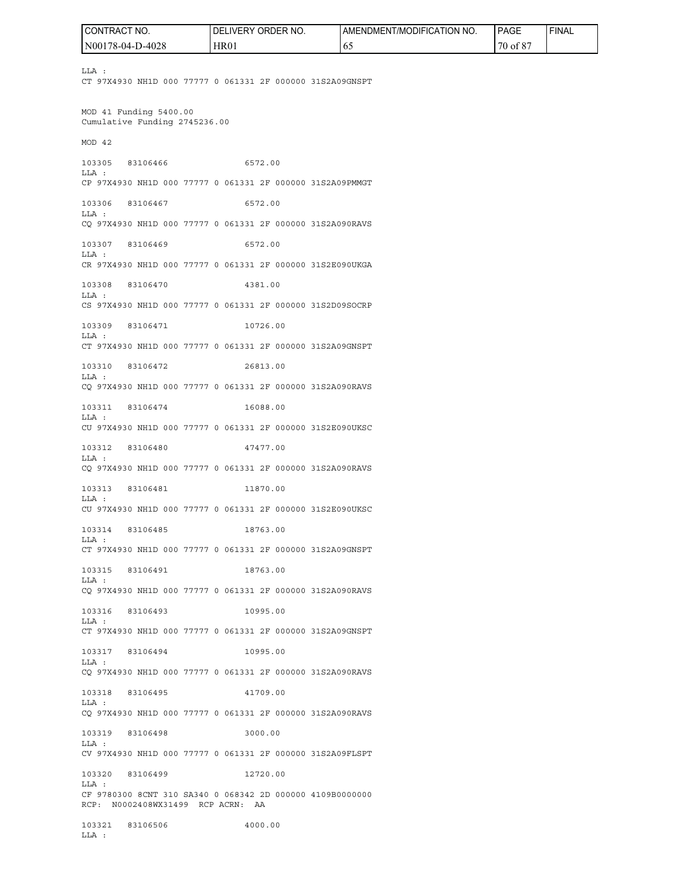LLA : CT 97X4930 NH1D 000 77777 0 061331 2F 000000 31S2A09GNSPT MOD 41 Funding 5400.00 Cumulative Funding 2745236.00 MOD 42 103305 83106466 6572.00 LLA : CP 97X4930 NH1D 000 77777 0 061331 2F 000000 31S2A09PMMGT 103306 83106467 6572.00 LLA : CQ 97X4930 NH1D 000 77777 0 061331 2F 000000 31S2A090RAVS 103307 83106469 6572.00 LLA : CR 97X4930 NH1D 000 77777 0 061331 2F 000000 31S2E090UKGA 103308 83106470 4381.00 LLA : CS 97X4930 NH1D 000 77777 0 061331 2F 000000 31S2D09SOCRP 103309 83106471 10726.00 LLA : CT 97X4930 NH1D 000 77777 0 061331 2F 000000 31S2A09GNSPT 103310 83106472 26813.00 LLA : CQ 97X4930 NH1D 000 77777 0 061331 2F 000000 31S2A090RAVS 103311 83106474 16088.00 LLA : CU 97X4930 NH1D 000 77777 0 061331 2F 000000 31S2E090UKSC 103312 83106480 47477.00 LLA : CQ 97X4930 NH1D 000 77777 0 061331 2F 000000 31S2A090RAVS 103313 83106481 11870.00 LLA : CU 97X4930 NH1D 000 77777 0 061331 2F 000000 31S2E090UKSC 103314 83106485 18763.00 LLA : CT 97X4930 NH1D 000 77777 0 061331 2F 000000 31S2A09GNSPT 103315 83106491 18763.00 LLA : CQ 97X4930 NH1D 000 77777 0 061331 2F 000000 31S2A090RAVS 103316 83106493 10995.00 LLA : CT 97X4930 NH1D 000 77777 0 061331 2F 000000 31S2A09GNSPT 103317 83106494 10995.00 LLA : CQ 97X4930 NH1D 000 77777 0 061331 2F 000000 31S2A090RAVS 103318 83106495 41709.00 LLA : CQ 97X4930 NH1D 000 77777 0 061331 2F 000000 31S2A090RAVS 103319 83106498 3000.00 LLA : CV 97X4930 NH1D 000 77777 0 061331 2F 000000 31S2A09FLSPT 103320 83106499 12720.00 LLA : CF 9780300 8CNT 310 SA340 0 068342 2D 000000 4109B0000000 RCP: N0002408WX31499 RCP ACRN: AA 103321 83106506 4000.00 LLA : CONTRACT NO. N00178-04-D-4028 DELIVERY ORDER NO. HR01 AMENDMENT/MODIFICATION NO. 65 PAGE 70 of 87 FINAL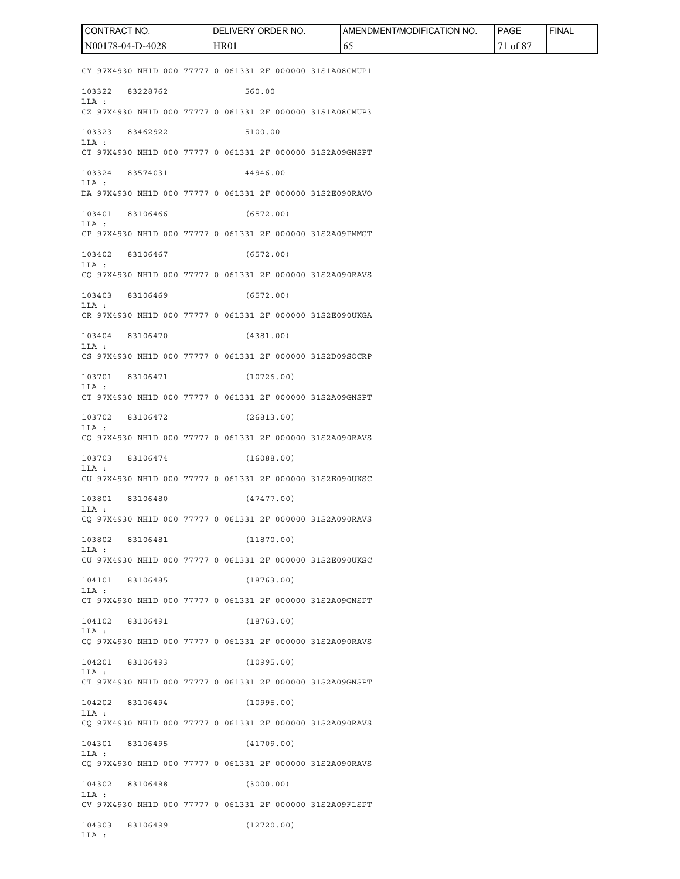CY 97X4930 NH1D 000 77777 0 061331 2F 000000 31S1A08CMUP1 103322 83228762 560.00 LLA : CZ 97X4930 NH1D 000 77777 0 061331 2F 000000 31S1A08CMUP3 103323 83462922 5100.00 LLA : CT 97X4930 NH1D 000 77777 0 061331 2F 000000 31S2A09GNSPT 103324 83574031 44946.00 LLA : DA 97X4930 NH1D 000 77777 0 061331 2F 000000 31S2E090RAVO 103401 83106466 (6572.00)  $T.T.A$   $\cdot$ CP 97X4930 NH1D 000 77777 0 061331 2F 000000 31S2A09PMMGT 103402 83106467 (6572.00) LLA : CQ 97X4930 NH1D 000 77777 0 061331 2F 000000 31S2A090RAVS 103403 83106469 (6572.00) LLA : CR 97X4930 NH1D 000 77777 0 061331 2F 000000 31S2E090UKGA 103404 83106470 (4381.00) LLA : CS 97X4930 NH1D 000 77777 0 061331 2F 000000 31S2D09SOCRP 103701 83106471 (10726.00) LLA : CT 97X4930 NH1D 000 77777 0 061331 2F 000000 31S2A09GNSPT 103702 83106472 (26813.00) LLA : CQ 97X4930 NH1D 000 77777 0 061331 2F 000000 31S2A090RAVS 103703 83106474 (16088.00) LLA : CU 97X4930 NH1D 000 77777 0 061331 2F 000000 31S2E090UKSC 103801 83106480 (47477.00) LLA : CQ 97X4930 NH1D 000 77777 0 061331 2F 000000 31S2A090RAVS 103802 83106481 (11870.00) LLA : CU 97X4930 NH1D 000 77777 0 061331 2F 000000 31S2E090UKSC 104101 83106485 (18763.00) LLA : CT 97X4930 NH1D 000 77777 0 061331 2F 000000 31S2A09GNSPT 104102 83106491 (18763.00) LLA : CQ 97X4930 NH1D 000 77777 0 061331 2F 000000 31S2A090RAVS 104201 83106493 (10995.00) LLA : CT 97X4930 NH1D 000 77777 0 061331 2F 000000 31S2A09GNSPT 104202 83106494 (10995.00) LLA : CQ 97X4930 NH1D 000 77777 0 061331 2F 000000 31S2A090RAVS 104301 83106495 (41709.00) LLA : CQ 97X4930 NH1D 000 77777 0 061331 2F 000000 31S2A090RAVS 104302 83106498 (3000.00) LLA : CV 97X4930 NH1D 000 77777 0 061331 2F 000000 31S2A09FLSPT 104303 83106499 (12720.00) LLA : CONTRACT NO. N00178-04-D-4028 DELIVERY ORDER NO. HR01 AMENDMENT/MODIFICATION NO. 65 PAGE 71 of 87 FINAL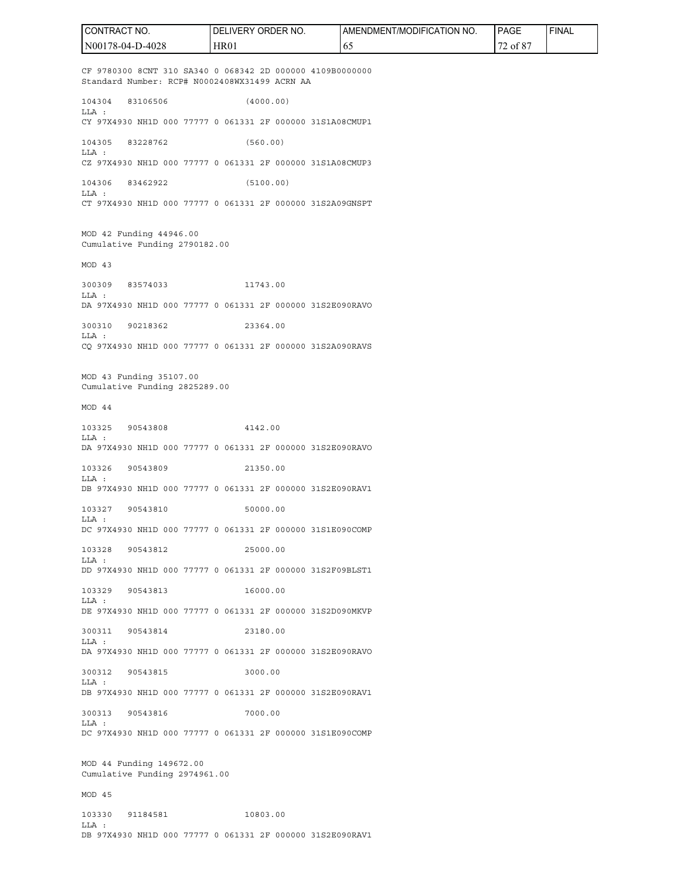CF 9780300 8CNT 310 SA340 0 068342 2D 000000 4109B0000000 Standard Number: RCP# N0002408WX31499 ACRN AA 104304 83106506 (4000.00) LLA : CY 97X4930 NH1D 000 77777 0 061331 2F 000000 31S1A08CMUP1 104305 83228762 (560.00) LLA : CZ 97X4930 NH1D 000 77777 0 061331 2F 000000 31S1A08CMUP3 104306 83462922 (5100.00) LLA : CT 97X4930 NH1D 000 77777 0 061331 2F 000000 31S2A09GNSPT MOD 42 Funding 44946.00 Cumulative Funding 2790182.00 MOD 43 300309 83574033 11743.00 LLA : DA 97X4930 NH1D 000 77777 0 061331 2F 000000 31S2E090RAVO 300310 90218362 23364.00 LLA : CQ 97X4930 NH1D 000 77777 0 061331 2F 000000 31S2A090RAVS MOD 43 Funding 35107.00 Cumulative Funding 2825289.00 MOD 44 103325 90543808 4142.00  $L.L.A.$ DA 97X4930 NH1D 000 77777 0 061331 2F 000000 31S2E090RAVO 103326 90543809 21350.00 LLA : DB 97X4930 NH1D 000 77777 0 061331 2F 000000 31S2E090RAV1 103327 90543810 50000.00 LLA : DC 97X4930 NH1D 000 77777 0 061331 2F 000000 31S1E090COMP 103328 90543812 25000.00 LLA : DD 97X4930 NH1D 000 77777 0 061331 2F 000000 31S2F09BLST1 103329 90543813 16000.00 LLA : DE 97X4930 NH1D 000 77777 0 061331 2F 000000 31S2D090MKVP 300311 90543814 23180.00 LLA : DA 97X4930 NH1D 000 77777 0 061331 2F 000000 31S2E090RAVO 300312 90543815 3000.00 LLA : DB 97X4930 NH1D 000 77777 0 061331 2F 000000 31S2E090RAV1 300313 90543816 7000.00 LLA : DC 97X4930 NH1D 000 77777 0 061331 2F 000000 31S1E090COMP MOD 44 Funding 149672.00 Cumulative Funding 2974961.00 MOD 45 103330 91184581 10803.00  $T.T.A$   $\cdot$  CONTRACT NO. N00178-04-D-4028 DELIVERY ORDER NO. HR01 AMENDMENT/MODIFICATION NO. 65 PAGE 72 of 87 FINAL

DB 97X4930 NH1D 000 77777 0 061331 2F 000000 31S2E090RAV1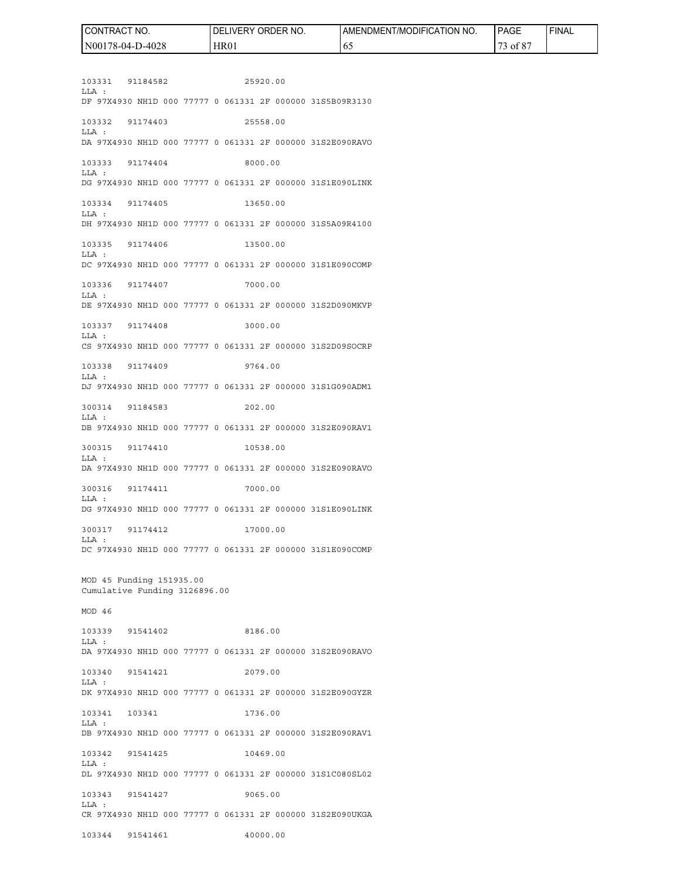| HR01<br>78-04-D-4028<br>N <sub>00</sub> | 0Ī |  |
|-----------------------------------------|----|--|

103331 91184582 25920.00 LLA : DF 97X4930 NH1D 000 77777 0 061331 2F 000000 31S5B09R3130 103332 91174403 25558.00 LLA : DA 97X4930 NH1D 000 77777 0 061331 2F 000000 31S2E090RAVO 103333 91174404 8000.00 LLA : DG 97X4930 NH1D 000 77777 0 061331 2F 000000 31S1E090LINK 103334 91174405 13650.00 LLA : DH 97X4930 NH1D 000 77777 0 061331 2F 000000 31S5A09R4100 103335 91174406 13500.00 LLA : DC 97X4930 NH1D 000 77777 0 061331 2F 000000 31S1E090COMP 103336 91174407 7000.00 LLA : DE 97X4930 NH1D 000 77777 0 061331 2F 000000 31S2D090MKVP 103337 91174408 3000.00 LLA : CS 97X4930 NH1D 000 77777 0 061331 2F 000000 31S2D09SOCRP 103338 91174409 9764.00 LLA : DJ 97X4930 NH1D 000 77777 0 061331 2F 000000 31S1G090ADM1 300314 91184583 202.00 LLA : DB 97X4930 NH1D 000 77777 0 061331 2F 000000 31S2E090RAV1 300315 91174410 10538.00 LLA : DA 97X4930 NH1D 000 77777 0 061331 2F 000000 31S2E090RAVO 300316 91174411 7000.00 LLA : DG 97X4930 NH1D 000 77777 0 061331 2F 000000 31S1E090LINK 300317 91174412 17000.00 LLA : DC 97X4930 NH1D 000 77777 0 061331 2F 000000 31S1E090COMP MOD 45 Funding 151935.00 Cumulative Funding 3126896.00 MOD 46 103339 91541402 8186.00 LLA : DA 97X4930 NH1D 000 77777 0 061331 2F 000000 31S2E090RAVO 103340 91541421 2079.00 LLA : DK 97X4930 NH1D 000 77777 0 061331 2F 000000 31S2E090GYZR 103341 103341 1736.00 LLA : DB 97X4930 NH1D 000 77777 0 061331 2F 000000 31S2E090RAV1 103342 91541425 10469.00 LLA : DL 97X4930 NH1D 000 77777 0 061331 2F 000000 31S1C080SL02 103343 91541427 9065.00 LLA : CR 97X4930 NH1D 000 77777 0 061331 2F 000000 31S2E090UKGA 103344 91541461 40000.00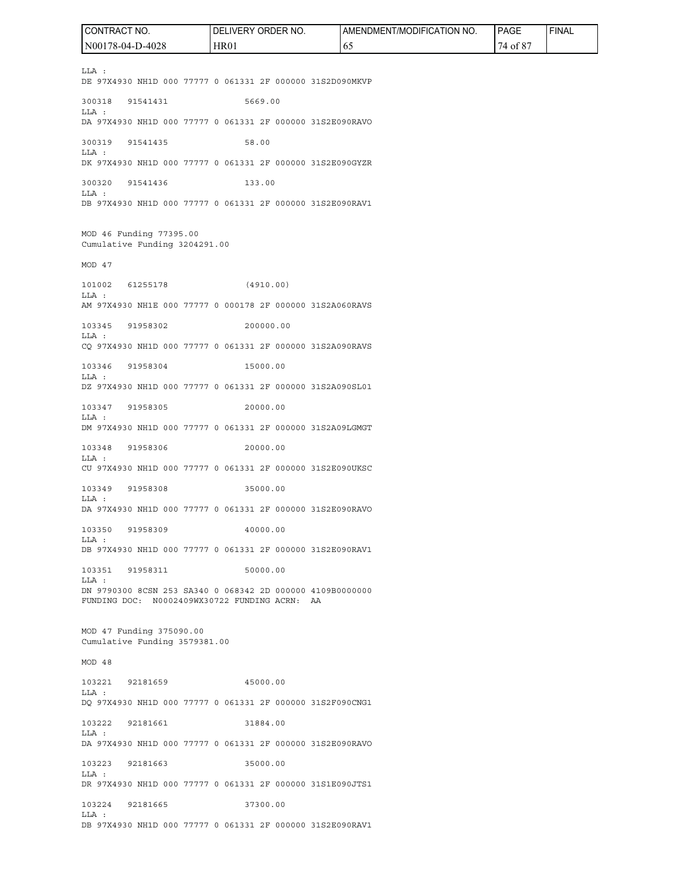LLA : DE 97X4930 NH1D 000 77777 0 061331 2F 000000 31S2D090MKVP 300318 91541431 5669.00 LLA : DA 97X4930 NH1D 000 77777 0 061331 2F 000000 31S2E090RAVO 300319 91541435 58.00 LLA : DK 97X4930 NH1D 000 77777 0 061331 2F 000000 31S2E090GYZR 300320 91541436 133.00 LLA : DB 97X4930 NH1D 000 77777 0 061331 2F 000000 31S2E090RAV1 MOD 46 Funding 77395.00 Cumulative Funding 3204291.00 MOD 47 101002 61255178 (4910.00) LLA : AM 97X4930 NH1E 000 77777 0 000178 2F 000000 31S2A060RAVS 103345 91958302 200000.00 LLA : CQ 97X4930 NH1D 000 77777 0 061331 2F 000000 31S2A090RAVS 103346 91958304 15000.00 LLA : DZ 97X4930 NH1D 000 77777 0 061331 2F 000000 31S2A090SL01 103347 91958305 20000.00 LLA : DM 97X4930 NH1D 000 77777 0 061331 2F 000000 31S2A09LGMGT 103348 91958306 20000.00 LLA : CU 97X4930 NH1D 000 77777 0 061331 2F 000000 31S2E090UKSC 103349 91958308 35000.00 LLA : DA 97X4930 NH1D 000 77777 0 061331 2F 000000 31S2E090RAVO 103350 91958309 40000.00 LLA : DB 97X4930 NH1D 000 77777 0 061331 2F 000000 31S2E090RAV1 103351 91958311 50000.00 LLA : DN 9790300 8CSN 253 SA340 0 068342 2D 000000 4109B0000000 FUNDING DOC: N0002409WX30722 FUNDING ACRN: AA MOD 47 Funding 375090.00 Cumulative Funding 3579381.00 MOD 48 103221 92181659 45000.00 LLA : DQ 97X4930 NH1D 000 77777 0 061331 2F 000000 31S2F090CNG1 103222 92181661 31884.00 LLA : DA 97X4930 NH1D 000 77777 0 061331 2F 000000 31S2E090RAVO 103223 92181663 35000.00 LLA : DR 97X4930 NH1D 000 77777 0 061331 2F 000000 31S1E090JTS1 103224 92181665 37300.00 LLA : DB 97X4930 NH1D 000 77777 0 061331 2F 000000 31S2E090RAV1 CONTRACT NO. N00178-04-D-4028 DELIVERY ORDER NO. HR01 AMENDMENT/MODIFICATION NO. 65 PAGE 74 of 87 FINAL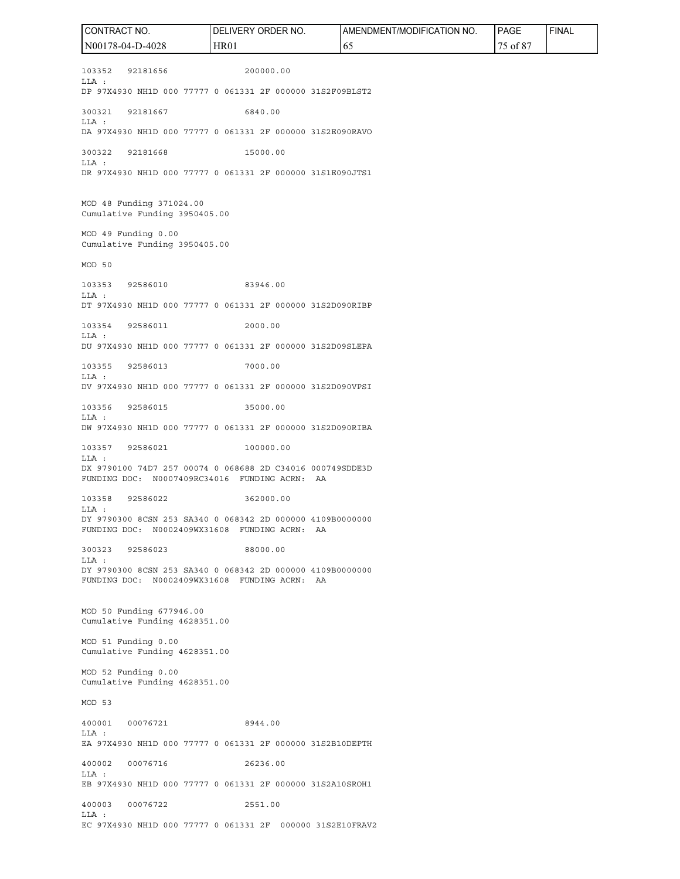103352 92181656 200000.00 LLA : DP 97X4930 NH1D 000 77777 0 061331 2F 000000 31S2F09BLST2 300321 92181667 6840.00 LLA : DA 97X4930 NH1D 000 77777 0 061331 2F 000000 31S2E090RAVO 300322 92181668 15000.00 LLA : DR 97X4930 NH1D 000 77777 0 061331 2F 000000 31S1E090JTS1 MOD 48 Funding 371024.00 Cumulative Funding 3950405.00 MOD 49 Funding 0.00 Cumulative Funding 3950405.00 MOD 50 103353 92586010 83946.00 LLA : DT 97X4930 NH1D 000 77777 0 061331 2F 000000 31S2D090RIBP 103354 92586011 2000.00 LLA : DU 97X4930 NH1D 000 77777 0 061331 2F 000000 31S2D09SLEPA 103355 92586013 7000.00 LLA : DV 97X4930 NH1D 000 77777 0 061331 2F 000000 31S2D090VPSI 103356 92586015 35000.00 LLA : DW 97X4930 NH1D 000 77777 0 061331 2F 000000 31S2D090RIBA 103357 92586021 100000.00 LLA : DX 9790100 74D7 257 00074 0 068688 2D C34016 000749SDDE3D FUNDING DOC: N0007409RC34016 FUNDING ACRN: AA 103358 92586022 362000.00 LLA : DY 9790300 8CSN 253 SA340 0 068342 2D 000000 4109B0000000 FUNDING DOC: N0002409WX31608 FUNDING ACRN: AA 300323 92586023 88000.00 LLA : DY 9790300 8CSN 253 SA340 0 068342 2D 000000 4109B0000000 FUNDING DOC: N0002409WX31608 FUNDING ACRN: AA MOD 50 Funding 677946.00 Cumulative Funding 4628351.00 MOD 51 Funding 0.00 Cumulative Funding 4628351.00 MOD 52 Funding 0.00 Cumulative Funding 4628351.00 MOD 53 400001 00076721 8944.00 LLA : EA 97X4930 NH1D 000 77777 0 061331 2F 000000 31S2B10DEPTH 400002 00076716 26236.00 LLA : EB 97X4930 NH1D 000 77777 0 061331 2F 000000 31S2A10SROH1 400003 00076722 2551.00 LLA : EC 97X4930 NH1D 000 77777 0 061331 2F 000000 31S2E10FRAV2 CONTRACT NO. N00178-04-D-4028 DELIVERY ORDER NO. HR01 AMENDMENT/MODIFICATION NO. 65 PAGE 75 of 87 FINAL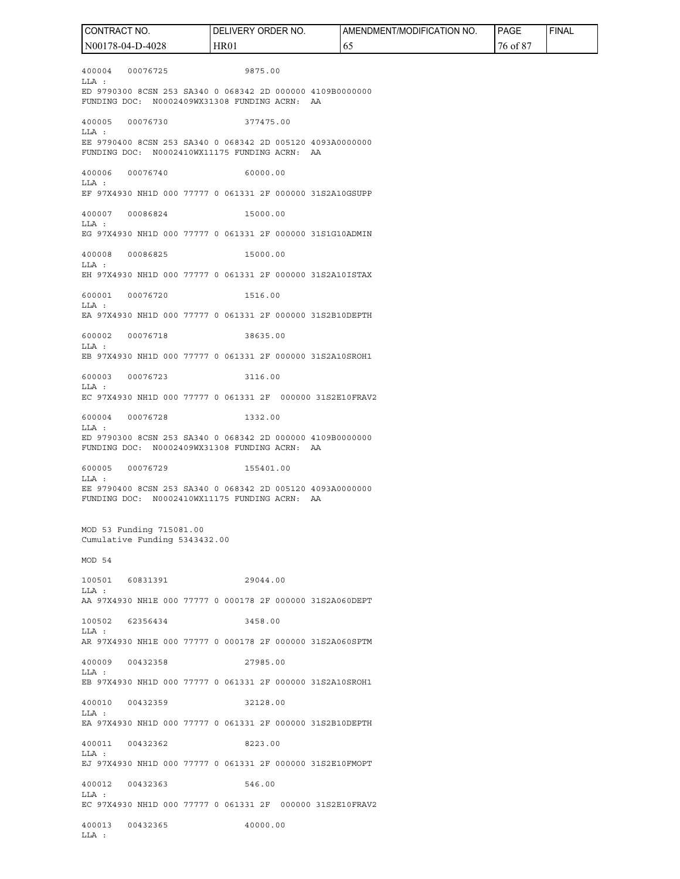400004 00076725 9875.00 LLA : ED 9790300 8CSN 253 SA340 0 068342 2D 000000 4109B0000000 FUNDING DOC: N0002409WX31308 FUNDING ACRN: AA 400005 00076730 377475.00 LLA : EE 9790400 8CSN 253 SA340 0 068342 2D 005120 4093A0000000 FUNDING DOC: N0002410WX11175 FUNDING ACRN: AA 400006 00076740 60000.00 LLA : EF 97X4930 NH1D 000 77777 0 061331 2F 000000 31S2A10GSUPP 400007 00086824 15000.00  $T.T.A$   $\cdot$ EG 97X4930 NH1D 000 77777 0 061331 2F 000000 31S1G10ADMIN 400008 00086825 15000.00 LLA : EH 97X4930 NH1D 000 77777 0 061331 2F 000000 31S2A10ISTAX 600001 00076720 1516.00 LLA : EA 97X4930 NH1D 000 77777 0 061331 2F 000000 31S2B10DEPTH 600002 00076718 38635.00 LLA : EB 97X4930 NH1D 000 77777 0 061331 2F 000000 31S2A10SROH1 600003 00076723 3116.00 LLA : EC 97X4930 NH1D 000 77777 0 061331 2F 000000 31S2E10FRAV2 600004 00076728 1332.00 LLA : ED 9790300 8CSN 253 SA340 0 068342 2D 000000 4109B0000000 FUNDING DOC: N0002409WX31308 FUNDING ACRN: AA 600005 00076729 155401.00 LLA : EE 9790400 8CSN 253 SA340 0 068342 2D 005120 4093A0000000 FUNDING DOC: N0002410WX11175 FUNDING ACRN: AA MOD 53 Funding 715081.00 Cumulative Funding 5343432.00 MOD 54 100501 60831391 29044.00 LLA : AA 97X4930 NH1E 000 77777 0 000178 2F 000000 31S2A060DEPT 100502 62356434 3458.00 LLA : AR 97X4930 NH1E 000 77777 0 000178 2F 000000 31S2A060SPTM 400009 00432358 27985.00 LLA : EB 97X4930 NH1D 000 77777 0 061331 2F 000000 31S2A10SROH1 400010 00432359 32128.00 LLA : EA 97X4930 NH1D 000 77777 0 061331 2F 000000 31S2B10DEPTH 400011 00432362 8223.00 LLA : EJ 97X4930 NH1D 000 77777 0 061331 2F 000000 31S2E10FMOPT 400012 00432363 546.00 LLA : EC 97X4930 NH1D 000 77777 0 061331 2F 000000 31S2E10FRAV2 400013 00432365 40000.00 LLA : CONTRACT NO. N00178-04-D-4028 DELIVERY ORDER NO. HR01 AMENDMENT/MODIFICATION NO. 65 PAGE 76 of 87 FINAL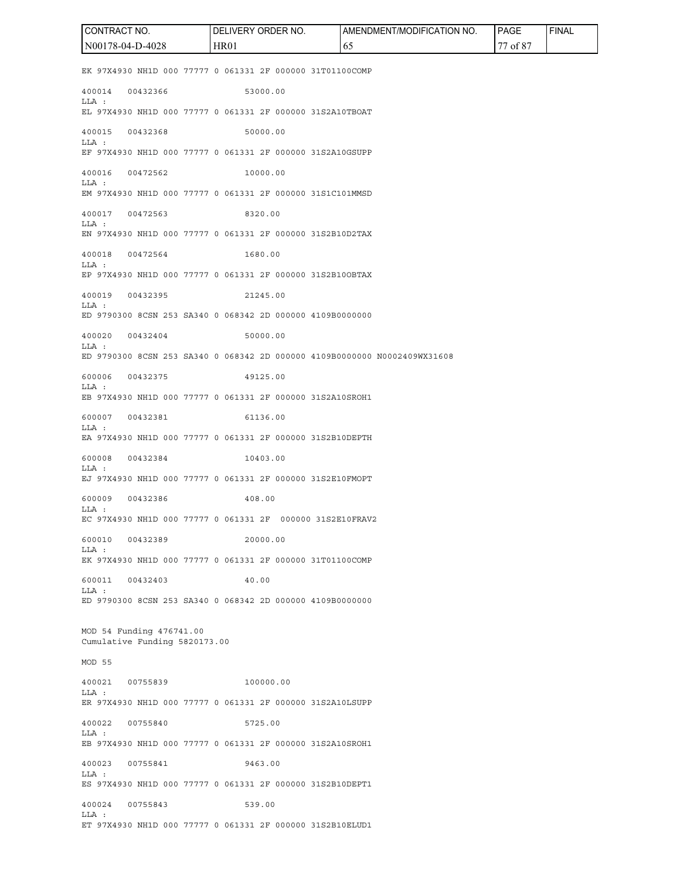EK 97X4930 NH1D 000 77777 0 061331 2F 000000 31T01100COMP 400014 00432366 53000.00 LLA : EL 97X4930 NH1D 000 77777 0 061331 2F 000000 31S2A10TBOAT 400015 00432368 50000.00 LLA : EF 97X4930 NH1D 000 77777 0 061331 2F 000000 31S2A10GSUPP 400016 00472562 10000.00 LLA : EM 97X4930 NH1D 000 77777 0 061331 2F 000000 31S1C101MMSD 400017 00472563 8320.00  $T.T.A$   $\cdot$ EN 97X4930 NH1D 000 77777 0 061331 2F 000000 31S2B10D2TAX 400018 00472564 1680.00 LLA : EP 97X4930 NH1D 000 77777 0 061331 2F 000000 31S2B10OBTAX 400019 00432395 21245.00 LLA : ED 9790300 8CSN 253 SA340 0 068342 2D 000000 4109B0000000 400020 00432404 50000.00 LLA : ED 9790300 8CSN 253 SA340 0 068342 2D 000000 4109B0000000 N0002409WX31608 600006 00432375 49125.00 LLA : EB 97X4930 NH1D 000 77777 0 061331 2F 000000 31S2A10SROH1 600007 00432381 61136.00 LLA : EA 97X4930 NH1D 000 77777 0 061331 2F 000000 31S2B10DEPTH 600008 00432384 10403.00 LLA : EJ 97X4930 NH1D 000 77777 0 061331 2F 000000 31S2E10FMOPT 600009 00432386 408.00 LLA : EC 97X4930 NH1D 000 77777 0 061331 2F 000000 31S2E10FRAV2 600010 00432389 20000.00 LLA : EK 97X4930 NH1D 000 77777 0 061331 2F 000000 31T01100COMP 600011 00432403 40.00 LLA : ED 9790300 8CSN 253 SA340 0 068342 2D 000000 4109B0000000 MOD 54 Funding 476741.00 Cumulative Funding 5820173.00 MOD 55 400021 00755839 100000.00 LLA : ER 97X4930 NH1D 000 77777 0 061331 2F 000000 31S2A10LSUPP 400022 00755840 5725.00 LLA : EB 97X4930 NH1D 000 77777 0 061331 2F 000000 31S2A10SROH1 400023 00755841 9463.00 LLA : ES 97X4930 NH1D 000 77777 0 061331 2F 000000 31S2B10DEPT1 400024 00755843 539.00 LLA : ET 97X4930 NH1D 000 77777 0 061331 2F 000000 31S2B10ELUD1 CONTRACT NO. N00178-04-D-4028 DELIVERY ORDER NO. HR01 AMENDMENT/MODIFICATION NO. 65 PAGE 77 of 87 FINAL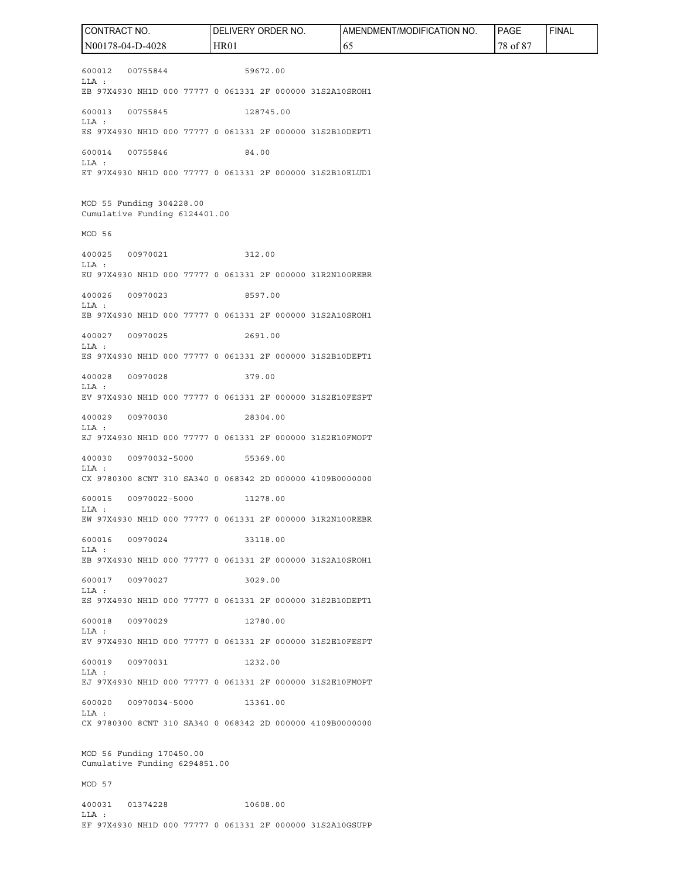600012 00755844 59672.00 LLA : EB 97X4930 NH1D 000 77777 0 061331 2F 000000 31S2A10SROH1 600013 00755845 128745.00 LLA : ES 97X4930 NH1D 000 77777 0 061331 2F 000000 31S2B10DEPT1 600014 00755846 84.00 LLA : ET 97X4930 NH1D 000 77777 0 061331 2F 000000 31S2B10ELUD1 MOD 55 Funding 304228.00 Cumulative Funding 6124401.00 MOD 56 400025 00970021 312.00 LLA : EU 97X4930 NH1D 000 77777 0 061331 2F 000000 31R2N100REBR 400026 00970023 8597.00 LLA : EB 97X4930 NH1D 000 77777 0 061331 2F 000000 31S2A10SROH1 400027 00970025 2691.00 LLA : ES 97X4930 NH1D 000 77777 0 061331 2F 000000 31S2B10DEPT1 400028 00970028 379.00 LLA : EV 97X4930 NH1D 000 77777 0 061331 2F 000000 31S2E10FESPT 400029 00970030 28304.00 LLA : EJ 97X4930 NH1D 000 77777 0 061331 2F 000000 31S2E10FMOPT 400030 00970032-5000 55369.00 LLA : CX 9780300 8CNT 310 SA340 0 068342 2D 000000 4109B0000000 600015 00970022-5000 11278.00 LLA : EW 97X4930 NH1D 000 77777 0 061331 2F 000000 31R2N100REBR 600016 00970024 33118.00 LLA : EB 97X4930 NH1D 000 77777 0 061331 2F 000000 31S2A10SROH1 600017 00970027 3029.00 LLA : ES 97X4930 NH1D 000 77777 0 061331 2F 000000 31S2B10DEPT1 600018 00970029 12780.00 LLA : EV 97X4930 NH1D 000 77777 0 061331 2F 000000 31S2E10FESPT 600019 00970031 1232.00 LLA : EJ 97X4930 NH1D 000 77777 0 061331 2F 000000 31S2E10FMOPT 600020 00970034-5000 13361.00 LLA : CX 9780300 8CNT 310 SA340 0 068342 2D 000000 4109B0000000 MOD 56 Funding 170450.00 Cumulative Funding 6294851.00 MOD 57 400031 01374228 10608.00 LLA : CONTRACT NO. N00178-04-D-4028 DELIVERY ORDER NO. HR01 AMENDMENT/MODIFICATION NO. 65 PAGE 78 of 87 FINAL

EF 97X4930 NH1D 000 77777 0 061331 2F 000000 31S2A10GSUPP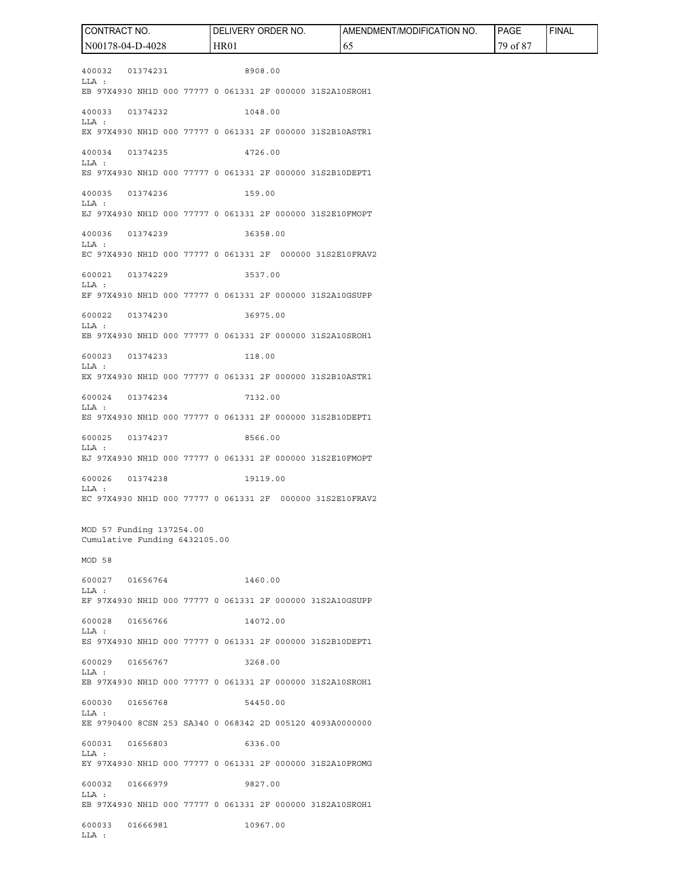400032 01374231 8908.00 LLA : EB 97X4930 NH1D 000 77777 0 061331 2F 000000 31S2A10SROH1 400033 01374232 1048.00 LLA : EX 97X4930 NH1D 000 77777 0 061331 2F 000000 31S2B10ASTR1 400034 01374235 4726.00 LLA : ES 97X4930 NH1D 000 77777 0 061331 2F 000000 31S2B10DEPT1 400035 01374236 159.00 LLA : EJ 97X4930 NH1D 000 77777 0 061331 2F 000000 31S2E10FMOPT 400036 01374239 36358.00 LLA : EC 97X4930 NH1D 000 77777 0 061331 2F 000000 31S2E10FRAV2 600021 01374229 3537.00 LLA : EF 97X4930 NH1D 000 77777 0 061331 2F 000000 31S2A10GSUPP 600022 01374230 36975.00 LLA : EB 97X4930 NH1D 000 77777 0 061331 2F 000000 31S2A10SROH1 600023 01374233 118.00 LLA : EX 97X4930 NH1D 000 77777 0 061331 2F 000000 31S2B10ASTR1 600024 01374234 7132.00 LLA : ES 97X4930 NH1D 000 77777 0 061331 2F 000000 31S2B10DEPT1 600025 01374237 8566.00 LLA : EJ 97X4930 NH1D 000 77777 0 061331 2F 000000 31S2E10FMOPT 600026 01374238 19119.00 LLA : EC 97X4930 NH1D 000 77777 0 061331 2F 000000 31S2E10FRAV2 MOD 57 Funding 137254.00 Cumulative Funding 6432105.00 MOD 58 600027 01656764 1460.00 LLA : EF 97X4930 NH1D 000 77777 0 061331 2F 000000 31S2A10GSUPP 600028 01656766 14072.00 LLA : ES 97X4930 NH1D 000 77777 0 061331 2F 000000 31S2B10DEPT1 600029 01656767 3268.00 LLA : EB 97X4930 NH1D 000 77777 0 061331 2F 000000 31S2A10SROH1 600030 01656768 54450.00 LLA : EE 9790400 8CSN 253 SA340 0 068342 2D 005120 4093A0000000 600031 01656803 6336.00 LLA : EY 97X4930 NH1D 000 77777 0 061331 2F 000000 31S2A10PROMG 600032 01666979 9827.00 LLA : EB 97X4930 NH1D 000 77777 0 061331 2F 000000 31S2A10SROH1 600033 01666981 10967.00 LLA : CONTRACT NO. N00178-04-D-4028 DELIVERY ORDER NO. HR01 AMENDMENT/MODIFICATION NO. 65 PAGE 79 of 87 FINAL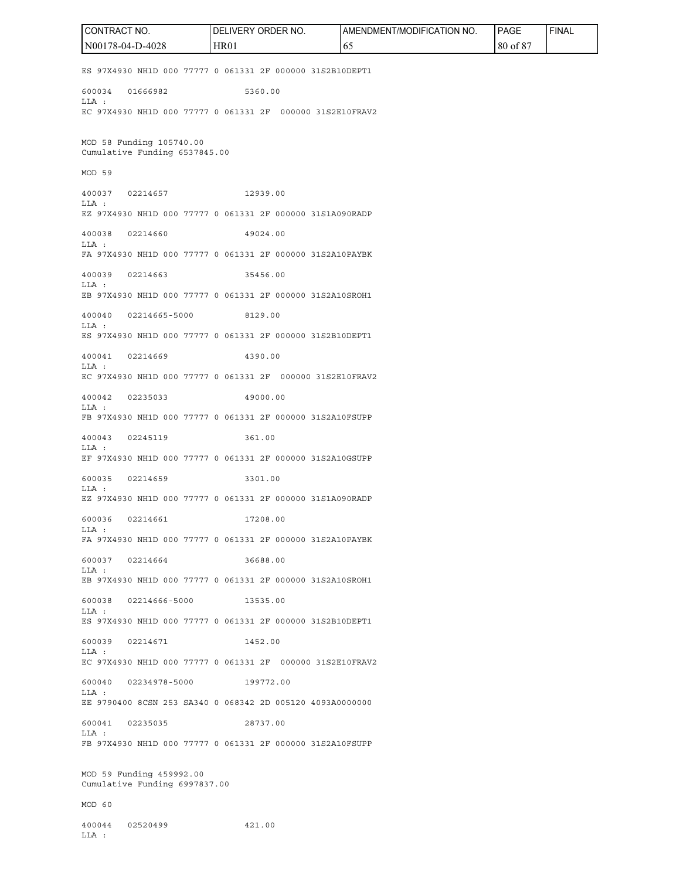ES 97X4930 NH1D 000 77777 0 061331 2F 000000 31S2B10DEPT1 600034 01666982 5360.00 LLA : EC 97X4930 NH1D 000 77777 0 061331 2F 000000 31S2E10FRAV2 MOD 58 Funding 105740.00 Cumulative Funding 6537845.00 MOD 59 400037 02214657 12939.00 LLA : EZ 97X4930 NH1D 000 77777 0 061331 2F 000000 31S1A090RADP 400038 02214660 49024.00 LLA : FA 97X4930 NH1D 000 77777 0 061331 2F 000000 31S2A10PAYBK 400039 02214663 35456.00 LLA : EB 97X4930 NH1D 000 77777 0 061331 2F 000000 31S2A10SROH1 400040 02214665-5000 8129.00 LLA : ES 97X4930 NH1D 000 77777 0 061331 2F 000000 31S2B10DEPT1 400041 02214669 4390.00 LLA : EC 97X4930 NH1D 000 77777 0 061331 2F 000000 31S2E10FRAV2 400042 02235033 49000.00 LLA : FB 97X4930 NH1D 000 77777 0 061331 2F 000000 31S2A10FSUPP 400043 02245119 361.00 LLA : EF 97X4930 NH1D 000 77777 0 061331 2F 000000 31S2A10GSUPP 600035 02214659 3301.00 LLA : EZ 97X4930 NH1D 000 77777 0 061331 2F 000000 31S1A090RADP 600036 02214661 17208.00 LLA : FA 97X4930 NH1D 000 77777 0 061331 2F 000000 31S2A10PAYBK 600037 02214664 36688.00 LLA : EB 97X4930 NH1D 000 77777 0 061331 2F 000000 31S2A10SROH1 600038 02214666-5000 13535.00 LLA : ES 97X4930 NH1D 000 77777 0 061331 2F 000000 31S2B10DEPT1 600039 02214671 1452.00  $T.T.A$   $\cdot$ EC 97X4930 NH1D 000 77777 0 061331 2F 000000 31S2E10FRAV2 600040 02234978-5000 199772.00 LLA : EE 9790400 8CSN 253 SA340 0 068342 2D 005120 4093A0000000 600041 02235035 28737.00 LLA : FB 97X4930 NH1D 000 77777 0 061331 2F 000000 31S2A10FSUPP MOD 59 Funding 459992.00 Cumulative Funding 6997837.00 MOD 60 400044 02520499 421.00 LLA : CONTRACT NO. N00178-04-D-4028 DELIVERY ORDER NO. HR01 AMENDMENT/MODIFICATION NO. 65 PAGE 80 of 87 FINAL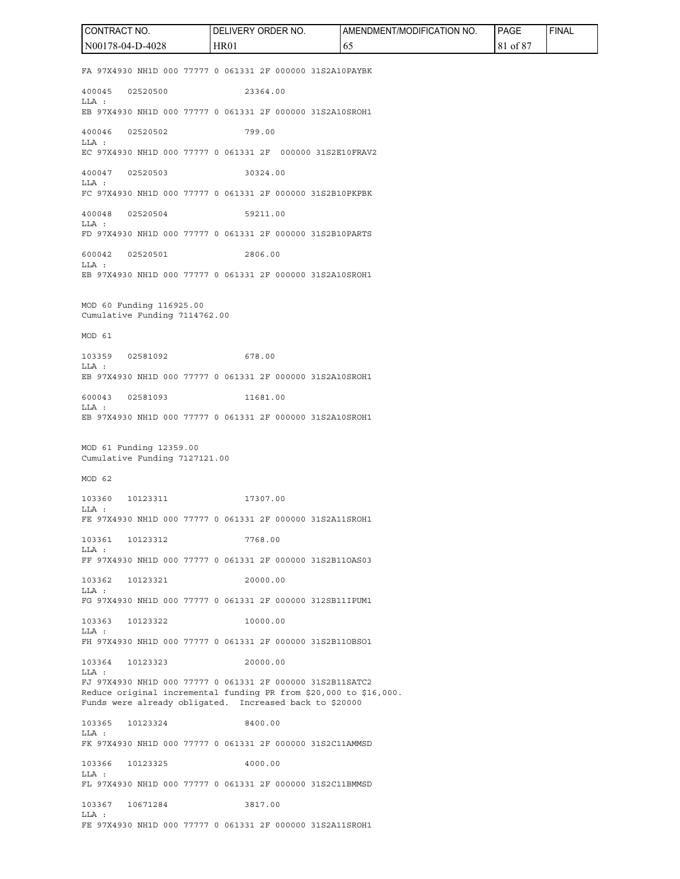FA 97X4930 NH1D 000 77777 0 061331 2F 000000 31S2A10PAYBK 400045 02520500 23364.00 LLA : EB 97X4930 NH1D 000 77777 0 061331 2F 000000 31S2A10SROH1 400046 02520502 799.00 LLA : EC 97X4930 NH1D 000 77777 0 061331 2F 000000 31S2E10FRAV2 400047 02520503 30324.00 LLA : FC 97X4930 NH1D 000 77777 0 061331 2F 000000 31S2B10PKPBK 400048 02520504 59211.00  $T.T.A$   $\cdot$ FD 97X4930 NH1D 000 77777 0 061331 2F 000000 31S2B10PARTS 600042 02520501 2806.00 LLA : EB 97X4930 NH1D 000 77777 0 061331 2F 000000 31S2A10SROH1 MOD 60 Funding 116925.00 Cumulative Funding 7114762.00 MOD 61 103359 02581092 678.00 LLA : EB 97X4930 NH1D 000 77777 0 061331 2F 000000 31S2A10SROH1 600043 02581093 11681.00 LLA : EB 97X4930 NH1D 000 77777 0 061331 2F 000000 31S2A10SROH1 MOD 61 Funding 12359.00 Cumulative Funding 7127121.00 MOD 62 103360 10123311 17307.00 LLA : FE 97X4930 NH1D 000 77777 0 061331 2F 000000 31S2A11SROH1 103361 10123312 7768.00 LLA : FF 97X4930 NH1D 000 77777 0 061331 2F 000000 31S2B11OAS03 103362 10123321 20000.00 LLA : FG 97X4930 NH1D 000 77777 0 061331 2F 000000 312SB11IPUM1 103363 10123322 10000.00 LLA : FH 97X4930 NH1D 000 77777 0 061331 2F 000000 31S2B11OBSO1 103364 10123323 20000.00 LLA : FJ 97X4930 NH1D 000 77777 0 061331 2F 000000 31S2B11SATC2 Reduce original incremental funding PR from \$20,000 to \$16,000. Funds were already obligated. Increased back to \$20000 103365 10123324 8400.00 LLA : FK 97X4930 NH1D 000 77777 0 061331 2F 000000 31S2C11AMMSD 103366 10123325 4000.00 LLA : FL 97X4930 NH1D 000 77777 0 061331 2F 000000 31S2C11BMMSD 103367 10671284 3817.00 LLA : FE 97X4930 NH1D 000 77777 0 061331 2F 000000 31S2A11SROH1 CONTRACT NO. N00178-04-D-4028 DELIVERY ORDER NO. HR01 AMENDMENT/MODIFICATION NO. 65 PAGE 81 of 87 FINAL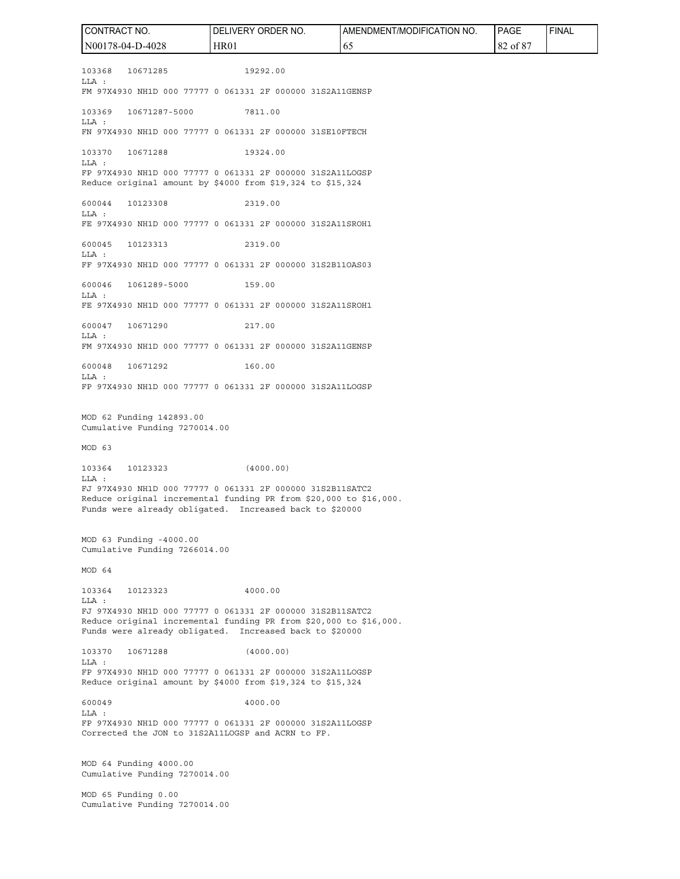103368 10671285 19292.00 LLA : FM 97X4930 NH1D 000 77777 0 061331 2F 000000 31S2A11GENSP 103369 10671287-5000 7811.00 LLA : FN 97X4930 NH1D 000 77777 0 061331 2F 000000 31SE10FTECH 103370 10671288 19324.00 LLA : FP 97X4930 NH1D 000 77777 0 061331 2F 000000 31S2A11LOGSP Reduce original amount by \$4000 from \$19,324 to \$15,324 600044 10123308 2319.00 LLA : FE 97X4930 NH1D 000 77777 0 061331 2F 000000 31S2A11SROH1 600045 10123313 2319.00 LLA : FF 97X4930 NH1D 000 77777 0 061331 2F 000000 31S2B11OAS03 600046 1061289-5000 159.00 LLA : FE 97X4930 NH1D 000 77777 0 061331 2F 000000 31S2A11SROH1 600047 10671290 217.00 LLA : FM 97X4930 NH1D 000 77777 0 061331 2F 000000 31S2A11GENSP 600048 10671292 160.00 LLA : FP 97X4930 NH1D 000 77777 0 061331 2F 000000 31S2A11LOGSP MOD 62 Funding 142893.00 Cumulative Funding 7270014.00 MOD 63 103364 10123323 (4000.00) LLA : FJ 97X4930 NH1D 000 77777 0 061331 2F 000000 31S2B11SATC2 Reduce original incremental funding PR from \$20,000 to \$16,000. Funds were already obligated. Increased back to \$20000 MOD 63 Funding -4000.00 Cumulative Funding 7266014.00 MOD 64 103364 10123323 4000.00 LLA : FJ 97X4930 NH1D 000 77777 0 061331 2F 000000 31S2B11SATC2 Reduce original incremental funding PR from \$20,000 to \$16,000. Funds were already obligated. Increased back to \$20000 103370 10671288 (4000.00) LLA : FP 97X4930 NH1D 000 77777 0 061331 2F 000000 31S2A11LOGSP Reduce original amount by \$4000 from \$19,324 to \$15,324 600049 4000.00 LLA : FP 97X4930 NH1D 000 77777 0 061331 2F 000000 31S2A11LOGSP Corrected the JON to 31S2A11LOGSP and ACRN to FP. MOD 64 Funding 4000.00 Cumulative Funding 7270014.00 MOD 65 Funding 0.00 Cumulative Funding 7270014.00 CONTRACT NO. N00178-04-D-4028 DELIVERY ORDER NO. HR01 AMENDMENT/MODIFICATION NO. 65 PAGE 82 of 87 FINAL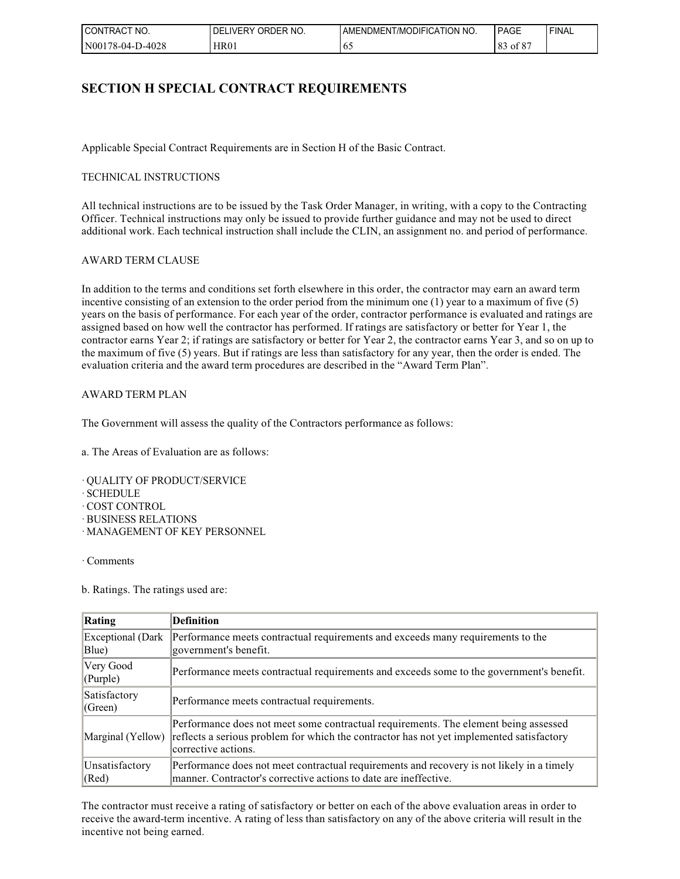| $\sim$<br>'NO.<br><b>CONTRACT</b> | ORDER NO.<br><b>LIVERY</b><br>DFI | AMENDMENT/MODIFICATION NO. | PAGE                            | ' FINAL |
|-----------------------------------|-----------------------------------|----------------------------|---------------------------------|---------|
| N00178-04-D-4028                  | <b>HR01</b>                       | ν.                         | 0 °C<br>$\Omega$<br>ot 8<br>o J |         |

### **SECTION H SPECIAL CONTRACT REQUIREMENTS**

Applicable Special Contract Requirements are in Section H of the Basic Contract.

#### TECHNICAL INSTRUCTIONS

All technical instructions are to be issued by the Task Order Manager, in writing, with a copy to the Contracting Officer. Technical instructions may only be issued to provide further guidance and may not be used to direct additional work. Each technical instruction shall include the CLIN, an assignment no. and period of performance.

#### AWARD TERM CLAUSE

In addition to the terms and conditions set forth elsewhere in this order, the contractor may earn an award term incentive consisting of an extension to the order period from the minimum one (1) year to a maximum of five (5) years on the basis of performance. For each year of the order, contractor performance is evaluated and ratings are assigned based on how well the contractor has performed. If ratings are satisfactory or better for Year 1, the contractor earns Year 2; if ratings are satisfactory or better for Year 2, the contractor earns Year 3, and so on up to the maximum of five (5) years. But if ratings are less than satisfactory for any year, then the order is ended. The evaluation criteria and the award term procedures are described in the "Award Term Plan".

#### AWARD TERM PLAN

The Government will assess the quality of the Contractors performance as follows:

a. The Areas of Evaluation are as follows:

- · QUALITY OF PRODUCT/SERVICE
- · SCHEDULE
- · COST CONTROL
- · BUSINESS RELATIONS
- · MANAGEMENT OF KEY PERSONNEL

· Comments

b. Ratings. The ratings used are:

| Rating                      | <b>Definition</b>                                                                                                                                                                                      |
|-----------------------------|--------------------------------------------------------------------------------------------------------------------------------------------------------------------------------------------------------|
| Exceptional (Dark<br>Blue)  | Performance meets contractual requirements and exceeds many requirements to the<br>government's benefit.                                                                                               |
| Very Good<br>$ $ (Purple)   | Performance meets contractual requirements and exceeds some to the government's benefit.                                                                                                               |
| Satisfactory<br>$ $ (Green) | Performance meets contractual requirements.                                                                                                                                                            |
| Marginal (Yellow)           | Performance does not meet some contractual requirements. The element being assessed<br>reflects a serious problem for which the contractor has not yet implemented satisfactory<br>corrective actions. |
| Unsatisfactory<br>  (Red)   | Performance does not meet contractual requirements and recovery is not likely in a timely<br>manner. Contractor's corrective actions to date are ineffective.                                          |

The contractor must receive a rating of satisfactory or better on each of the above evaluation areas in order to receive the award-term incentive. A rating of less than satisfactory on any of the above criteria will result in the incentive not being earned.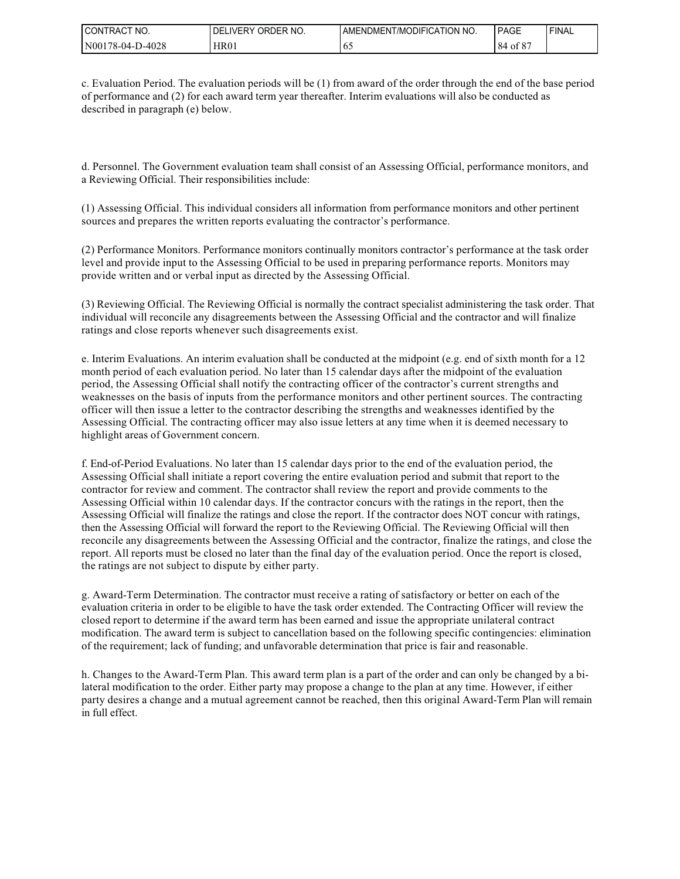| I CONTRACT<br>'NO. | ORDER NO.<br>_IVERY<br>DEL | AMENDMENT/MODIFICATION NO. | PAGE                          | 'FINAL |
|--------------------|----------------------------|----------------------------|-------------------------------|--------|
| N00178-04-D-4028   | <b>HR01</b>                | v.                         | 00 <sup>2</sup><br>84<br>ot 8 |        |

c. Evaluation Period. The evaluation periods will be (1) from award of the order through the end of the base period of performance and (2) for each award term year thereafter. Interim evaluations will also be conducted as described in paragraph (e) below.

d. Personnel. The Government evaluation team shall consist of an Assessing Official, performance monitors, and a Reviewing Official. Their responsibilities include:

(1) Assessing Official. This individual considers all information from performance monitors and other pertinent sources and prepares the written reports evaluating the contractor's performance.

(2) Performance Monitors. Performance monitors continually monitors contractor's performance at the task order level and provide input to the Assessing Official to be used in preparing performance reports. Monitors may provide written and or verbal input as directed by the Assessing Official.

(3) Reviewing Official. The Reviewing Official is normally the contract specialist administering the task order. That individual will reconcile any disagreements between the Assessing Official and the contractor and will finalize ratings and close reports whenever such disagreements exist.

e. Interim Evaluations. An interim evaluation shall be conducted at the midpoint (e.g. end of sixth month for a 12 month period of each evaluation period. No later than 15 calendar days after the midpoint of the evaluation period, the Assessing Official shall notify the contracting officer of the contractor's current strengths and weaknesses on the basis of inputs from the performance monitors and other pertinent sources. The contracting officer will then issue a letter to the contractor describing the strengths and weaknesses identified by the Assessing Official. The contracting officer may also issue letters at any time when it is deemed necessary to highlight areas of Government concern.

f. End-of-Period Evaluations. No later than 15 calendar days prior to the end of the evaluation period, the Assessing Official shall initiate a report covering the entire evaluation period and submit that report to the contractor for review and comment. The contractor shall review the report and provide comments to the Assessing Official within 10 calendar days. If the contractor concurs with the ratings in the report, then the Assessing Official will finalize the ratings and close the report. If the contractor does NOT concur with ratings, then the Assessing Official will forward the report to the Reviewing Official. The Reviewing Official will then reconcile any disagreements between the Assessing Official and the contractor, finalize the ratings, and close the report. All reports must be closed no later than the final day of the evaluation period. Once the report is closed, the ratings are not subject to dispute by either party.

g. Award-Term Determination. The contractor must receive a rating of satisfactory or better on each of the evaluation criteria in order to be eligible to have the task order extended. The Contracting Officer will review the closed report to determine if the award term has been earned and issue the appropriate unilateral contract modification. The award term is subject to cancellation based on the following specific contingencies: elimination of the requirement; lack of funding; and unfavorable determination that price is fair and reasonable.

h. Changes to the Award-Term Plan. This award term plan is a part of the order and can only be changed by a bilateral modification to the order. Either party may propose a change to the plan at any time. However, if either party desires a change and a mutual agreement cannot be reached, then this original Award-Term Plan will remain in full effect.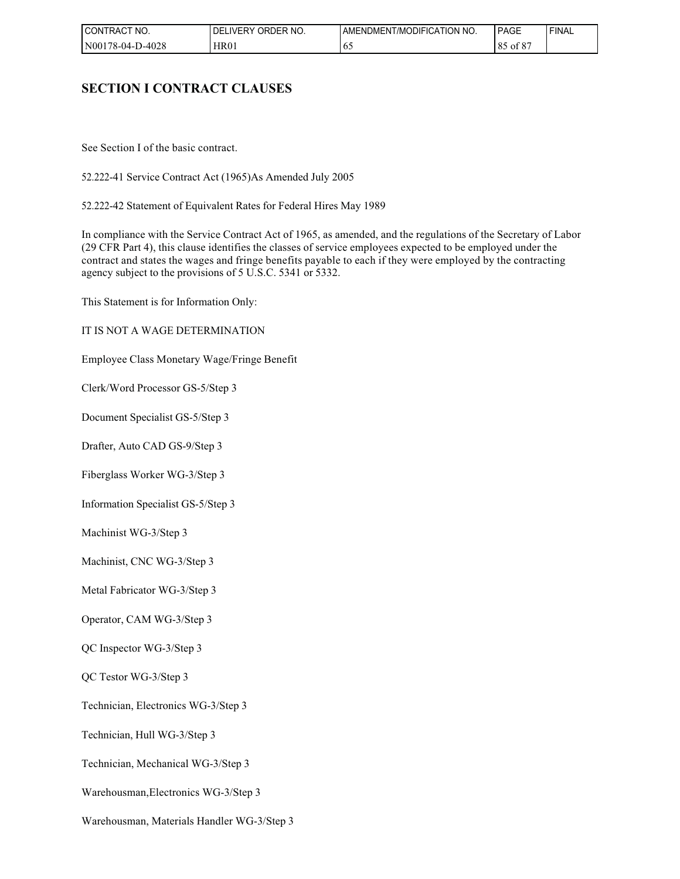| I CONTRACT<br>NO. | ORDER NO.<br>DEL<br>LIVERY | AMENDMENT/MODIFICATION NO. | PAGE                             | ' FINAL |
|-------------------|----------------------------|----------------------------|----------------------------------|---------|
| N00178-04-D-4028  | <b>HR01</b>                | - 61                       | - ت - ت<br>$Q \leq$<br>018<br>oυ |         |

# **SECTION I CONTRACT CLAUSES**

See Section I of the basic contract.

52.222-41 Service Contract Act (1965)As Amended July 2005

52.222-42 Statement of Equivalent Rates for Federal Hires May 1989

In compliance with the Service Contract Act of 1965, as amended, and the regulations of the Secretary of Labor (29 CFR Part 4), this clause identifies the classes of service employees expected to be employed under the contract and states the wages and fringe benefits payable to each if they were employed by the contracting agency subject to the provisions of 5 U.S.C. 5341 or 5332.

This Statement is for Information Only:

IT IS NOT A WAGE DETERMINATION

Employee Class Monetary Wage/Fringe Benefit

Clerk/Word Processor GS-5/Step 3

Document Specialist GS-5/Step 3

Drafter, Auto CAD GS-9/Step 3

Fiberglass Worker WG-3/Step 3

Information Specialist GS-5/Step 3

Machinist WG-3/Step 3

Machinist, CNC WG-3/Step 3

Metal Fabricator WG-3/Step 3

Operator, CAM WG-3/Step 3

QC Inspector WG-3/Step 3

QC Testor WG-3/Step 3

Technician, Electronics WG-3/Step 3

Technician, Hull WG-3/Step 3

Technician, Mechanical WG-3/Step 3

Warehousman,Electronics WG-3/Step 3

Warehousman, Materials Handler WG-3/Step 3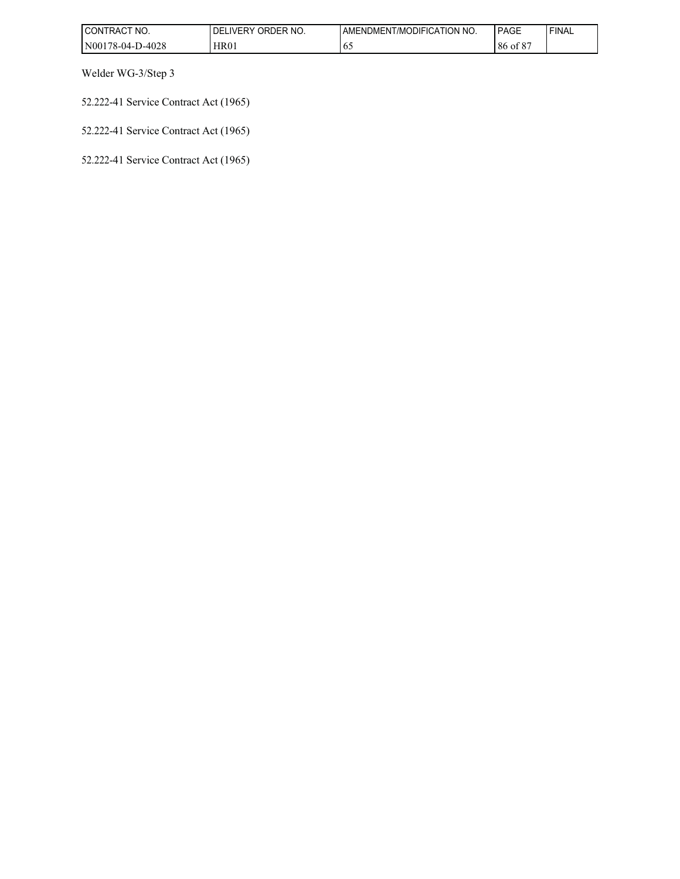| I CONTRACT NO.   | ORDER NO.<br>DELI<br><b>IVERY</b> | AMENDMENT/MODIFICATION NO. | PAGE                       | 'FINAL |
|------------------|-----------------------------------|----------------------------|----------------------------|--------|
| N00178-04-D-4028 | <b>HR01</b>                       | 02                         | 00 <sup>2</sup><br>86 of 8 |        |

Welder WG-3/Step 3

52.222-41 Service Contract Act (1965)

52.222-41 Service Contract Act (1965)

52.222-41 Service Contract Act (1965)